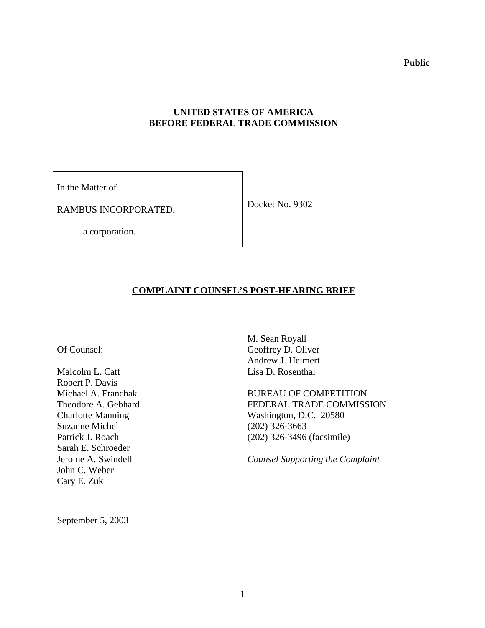**Public**

# **UNITED STATES OF AMERICA BEFORE FEDERAL TRADE COMMISSION**

In the Matter of

RAMBUS INCORPORATED,

Docket No. 9302

a corporation.

# **COMPLAINT COUNSEL'S POST-HEARING BRIEF**

Of Counsel:

Malcolm L. Catt Robert P. Davis Michael A. Franchak Theodore A. Gebhard Charlotte Manning Suzanne Michel Patrick J. Roach Sarah E. Schroeder Jerome A. Swindell John C. Weber Cary E. Zuk

M. Sean Royall Geoffrey D. Oliver Andrew J. Heimert Lisa D. Rosenthal

BUREAU OF COMPETITION FEDERAL TRADE COMMISSION Washington, D.C. 20580 (202) 326-3663 (202) 326-3496 (facsimile)

*Counsel Supporting the Complaint*

September 5, 2003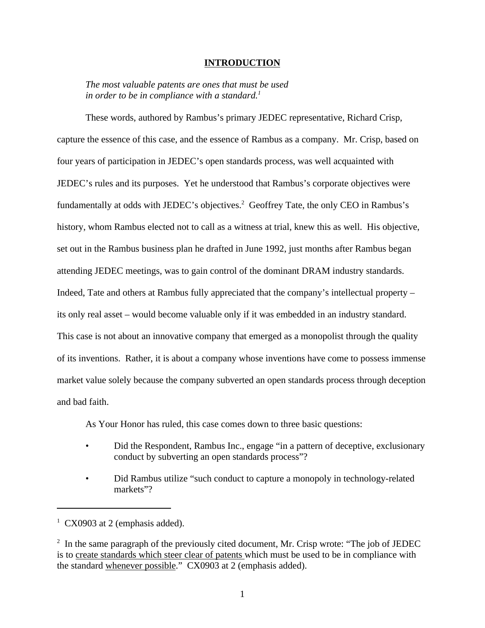#### **INTRODUCTION**

*The most valuable patents are ones that must be used in order to be in compliance with a standard.<sup>1</sup>*

These words, authored by Rambus's primary JEDEC representative, Richard Crisp, capture the essence of this case, and the essence of Rambus as a company. Mr. Crisp, based on four years of participation in JEDEC's open standards process, was well acquainted with JEDEC's rules and its purposes. Yet he understood that Rambus's corporate objectives were fundamentally at odds with JEDEC's objectives.<sup>2</sup> Geoffrey Tate, the only CEO in Rambus's history, whom Rambus elected not to call as a witness at trial, knew this as well. His objective, set out in the Rambus business plan he drafted in June 1992, just months after Rambus began attending JEDEC meetings, was to gain control of the dominant DRAM industry standards. Indeed, Tate and others at Rambus fully appreciated that the company's intellectual property – its only real asset – would become valuable only if it was embedded in an industry standard. This case is not about an innovative company that emerged as a monopolist through the quality of its inventions. Rather, it is about a company whose inventions have come to possess immense market value solely because the company subverted an open standards process through deception and bad faith.

As Your Honor has ruled, this case comes down to three basic questions:

- Did the Respondent, Rambus Inc., engage "in a pattern of deceptive, exclusionary conduct by subverting an open standards process"?
- Did Rambus utilize "such conduct to capture a monopoly in technology-related markets"?

 $1$  CX0903 at 2 (emphasis added).

 $2\;\;$  In the same paragraph of the previously cited document, Mr. Crisp wrote: "The job of JEDEC is to create standards which steer clear of patents which must be used to be in compliance with the standard whenever possible." CX0903 at 2 (emphasis added).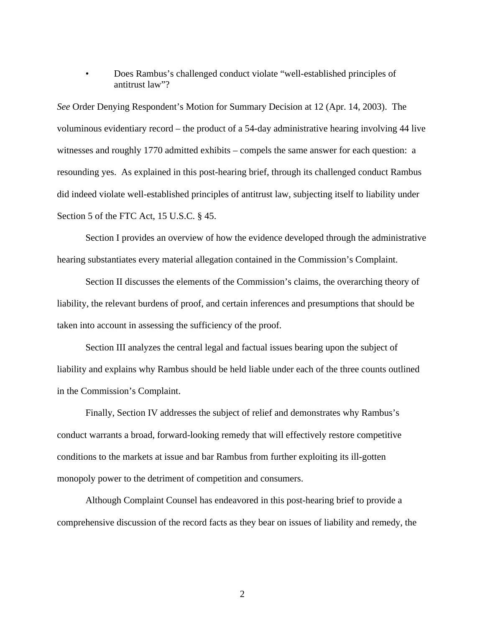• Does Rambus's challenged conduct violate "well-established principles of antitrust law"?

*See* Order Denying Respondent's Motion for Summary Decision at 12 (Apr. 14, 2003). The voluminous evidentiary record – the product of a 54-day administrative hearing involving 44 live witnesses and roughly 1770 admitted exhibits – compels the same answer for each question: a resounding yes. As explained in this post-hearing brief, through its challenged conduct Rambus did indeed violate well-established principles of antitrust law, subjecting itself to liability under Section 5 of the FTC Act, 15 U.S.C. § 45.

Section I provides an overview of how the evidence developed through the administrative hearing substantiates every material allegation contained in the Commission's Complaint.

Section II discusses the elements of the Commission's claims, the overarching theory of liability, the relevant burdens of proof, and certain inferences and presumptions that should be taken into account in assessing the sufficiency of the proof.

Section III analyzes the central legal and factual issues bearing upon the subject of liability and explains why Rambus should be held liable under each of the three counts outlined in the Commission's Complaint.

Finally, Section IV addresses the subject of relief and demonstrates why Rambus's conduct warrants a broad, forward-looking remedy that will effectively restore competitive conditions to the markets at issue and bar Rambus from further exploiting its ill-gotten monopoly power to the detriment of competition and consumers.

Although Complaint Counsel has endeavored in this post-hearing brief to provide a comprehensive discussion of the record facts as they bear on issues of liability and remedy, the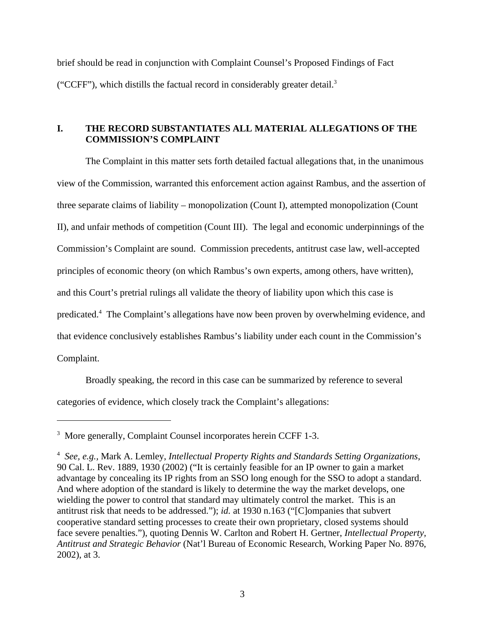brief should be read in conjunction with Complaint Counsel's Proposed Findings of Fact ("CCFF"), which distills the factual record in considerably greater detail.<sup>3</sup>

# **I. THE RECORD SUBSTANTIATES ALL MATERIAL ALLEGATIONS OF THE COMMISSION'S COMPLAINT**

The Complaint in this matter sets forth detailed factual allegations that, in the unanimous view of the Commission, warranted this enforcement action against Rambus, and the assertion of three separate claims of liability – monopolization (Count I), attempted monopolization (Count II), and unfair methods of competition (Count III). The legal and economic underpinnings of the Commission's Complaint are sound. Commission precedents, antitrust case law, well-accepted principles of economic theory (on which Rambus's own experts, among others, have written), and this Court's pretrial rulings all validate the theory of liability upon which this case is predicated.<sup>4</sup> The Complaint's allegations have now been proven by overwhelming evidence, and that evidence conclusively establishes Rambus's liability under each count in the Commission's Complaint.

Broadly speaking, the record in this case can be summarized by reference to several categories of evidence, which closely track the Complaint's allegations:

<sup>&</sup>lt;sup>3</sup> More generally, Complaint Counsel incorporates herein CCFF 1-3.

<sup>4</sup>  *See, e.g.,* Mark A. Lemley, *Intellectual Property Rights and Standards Setting Organizations*, 90 Cal. L. Rev. 1889, 1930 (2002) ("It is certainly feasible for an IP owner to gain a market advantage by concealing its IP rights from an SSO long enough for the SSO to adopt a standard. And where adoption of the standard is likely to determine the way the market develops, one wielding the power to control that standard may ultimately control the market. This is an antitrust risk that needs to be addressed."); *id.* at 1930 n.163 ("[C]ompanies that subvert cooperative standard setting processes to create their own proprietary, closed systems should face severe penalties."), quoting Dennis W. Carlton and Robert H. Gertner, *Intellectual Property, Antitrust and Strategic Behavior* (Nat'l Bureau of Economic Research, Working Paper No. 8976, 2002), at 3.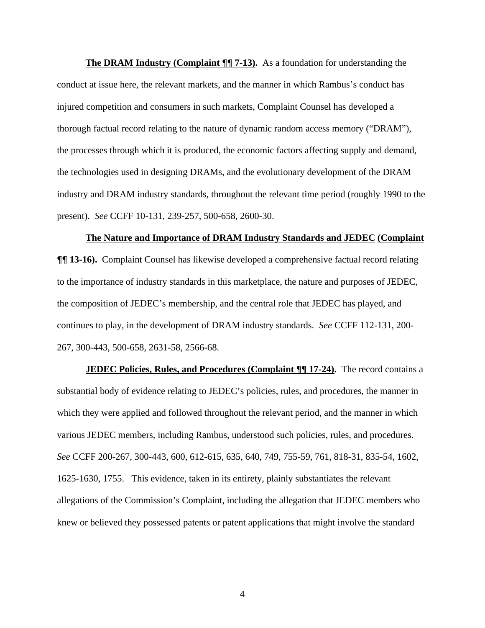**The DRAM Industry (Complaint ¶| 7-13).** As a foundation for understanding the conduct at issue here, the relevant markets, and the manner in which Rambus's conduct has injured competition and consumers in such markets, Complaint Counsel has developed a thorough factual record relating to the nature of dynamic random access memory ("DRAM"), the processes through which it is produced, the economic factors affecting supply and demand, the technologies used in designing DRAMs, and the evolutionary development of the DRAM industry and DRAM industry standards, throughout the relevant time period (roughly 1990 to the present). *See* CCFF 10-131, 239-257, 500-658, 2600-30.

#### **The Nature and Importance of DRAM Industry Standards and JEDEC (Complaint**

 $\P$  **13-16**. Complaint Counsel has likewise developed a comprehensive factual record relating to the importance of industry standards in this marketplace, the nature and purposes of JEDEC, the composition of JEDEC's membership, and the central role that JEDEC has played, and continues to play, in the development of DRAM industry standards. *See* CCFF 112-131, 200- 267, 300-443, 500-658, 2631-58, 2566-68.

**JEDEC Policies, Rules, and Procedures** (Complaint  $\P\P$  17-24). The record contains a substantial body of evidence relating to JEDEC's policies, rules, and procedures, the manner in which they were applied and followed throughout the relevant period, and the manner in which various JEDEC members, including Rambus, understood such policies, rules, and procedures. *See* CCFF 200-267, 300-443, 600, 612-615, 635, 640, 749, 755-59, 761, 818-31, 835-54, 1602, 1625-1630, 1755. This evidence, taken in its entirety, plainly substantiates the relevant allegations of the Commission's Complaint, including the allegation that JEDEC members who knew or believed they possessed patents or patent applications that might involve the standard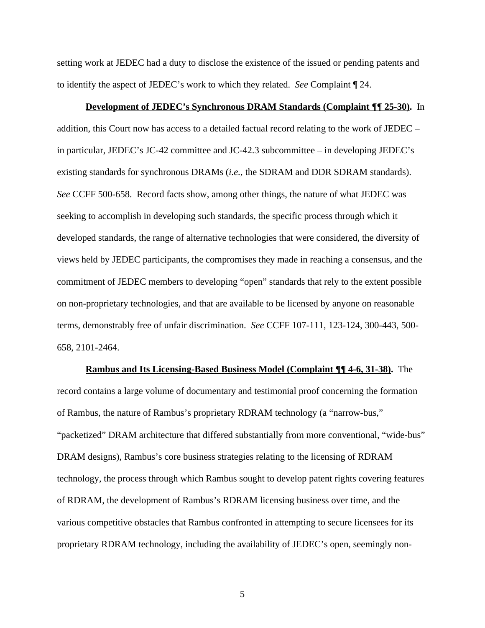setting work at JEDEC had a duty to disclose the existence of the issued or pending patents and to identify the aspect of JEDEC's work to which they related. *See* Complaint ¶ 24.

#### **Development of JEDEC's Synchronous DRAM Standards (Complaint ¶¶ 25-30).** In

addition, this Court now has access to a detailed factual record relating to the work of JEDEC – in particular, JEDEC's JC-42 committee and JC-42.3 subcommittee – in developing JEDEC's existing standards for synchronous DRAMs (*i.e.,* the SDRAM and DDR SDRAM standards). *See* CCFF 500-658. Record facts show, among other things, the nature of what JEDEC was seeking to accomplish in developing such standards, the specific process through which it developed standards, the range of alternative technologies that were considered, the diversity of views held by JEDEC participants, the compromises they made in reaching a consensus, and the commitment of JEDEC members to developing "open" standards that rely to the extent possible on non-proprietary technologies, and that are available to be licensed by anyone on reasonable terms, demonstrably free of unfair discrimination. *See* CCFF 107-111, 123-124, 300-443, 500- 658, 2101-2464.

**Rambus and Its Licensing-Based Business Model (Complaint ¶¶ 4-6, 31-38).** The record contains a large volume of documentary and testimonial proof concerning the formation of Rambus, the nature of Rambus's proprietary RDRAM technology (a "narrow-bus," "packetized" DRAM architecture that differed substantially from more conventional, "wide-bus" DRAM designs), Rambus's core business strategies relating to the licensing of RDRAM technology, the process through which Rambus sought to develop patent rights covering features of RDRAM, the development of Rambus's RDRAM licensing business over time, and the various competitive obstacles that Rambus confronted in attempting to secure licensees for its proprietary RDRAM technology, including the availability of JEDEC's open, seemingly non-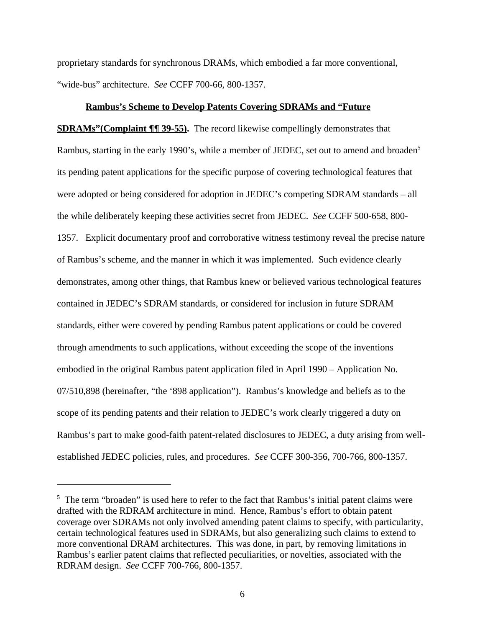proprietary standards for synchronous DRAMs, which embodied a far more conventional, "wide-bus" architecture. *See* CCFF 700-66, 800-1357.

#### **Rambus's Scheme to Develop Patents Covering SDRAMs and "Future**

**SDRAMs"(Complaint ¶¶ 39-55).** The record likewise compellingly demonstrates that Rambus, starting in the early 1990's, while a member of JEDEC, set out to amend and broaden<sup>5</sup> its pending patent applications for the specific purpose of covering technological features that were adopted or being considered for adoption in JEDEC's competing SDRAM standards – all the while deliberately keeping these activities secret from JEDEC. *See* CCFF 500-658, 800- 1357. Explicit documentary proof and corroborative witness testimony reveal the precise nature of Rambus's scheme, and the manner in which it was implemented. Such evidence clearly demonstrates, among other things, that Rambus knew or believed various technological features contained in JEDEC's SDRAM standards, or considered for inclusion in future SDRAM standards, either were covered by pending Rambus patent applications or could be covered through amendments to such applications, without exceeding the scope of the inventions embodied in the original Rambus patent application filed in April 1990 – Application No. 07/510,898 (hereinafter, "the '898 application"). Rambus's knowledge and beliefs as to the scope of its pending patents and their relation to JEDEC's work clearly triggered a duty on Rambus's part to make good-faith patent-related disclosures to JEDEC, a duty arising from wellestablished JEDEC policies, rules, and procedures. *See* CCFF 300-356, 700-766, 800-1357.

<sup>&</sup>lt;sup>5</sup> The term "broaden" is used here to refer to the fact that Rambus's initial patent claims were drafted with the RDRAM architecture in mind. Hence, Rambus's effort to obtain patent coverage over SDRAMs not only involved amending patent claims to specify, with particularity, certain technological features used in SDRAMs, but also generalizing such claims to extend to more conventional DRAM architectures. This was done, in part, by removing limitations in Rambus's earlier patent claims that reflected peculiarities, or novelties, associated with the RDRAM design. *See* CCFF 700-766, 800-1357.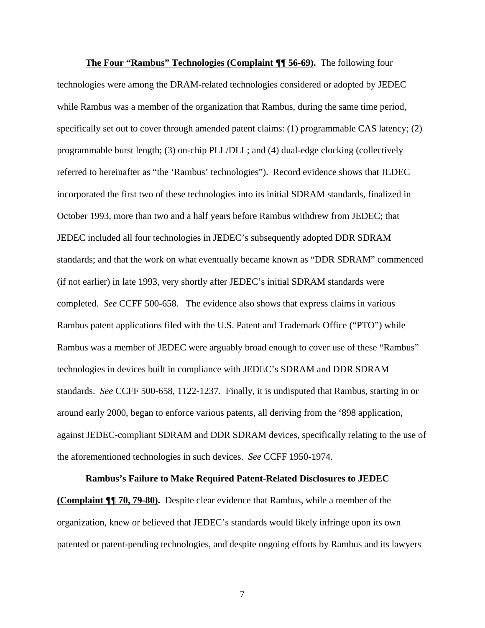**The Four "Rambus" Technologies (Complaint ¶¶ 56-69).** The following four technologies were among the DRAM-related technologies considered or adopted by JEDEC while Rambus was a member of the organization that Rambus, during the same time period, specifically set out to cover through amended patent claims: (1) programmable CAS latency; (2) programmable burst length; (3) on-chip PLL/DLL; and (4) dual-edge clocking (collectively referred to hereinafter as "the 'Rambus' technologies"). Record evidence shows that JEDEC incorporated the first two of these technologies into its initial SDRAM standards, finalized in October 1993, more than two and a half years before Rambus withdrew from JEDEC; that JEDEC included all four technologies in JEDEC's subsequently adopted DDR SDRAM standards; and that the work on what eventually became known as "DDR SDRAM" commenced (if not earlier) in late 1993, very shortly after JEDEC's initial SDRAM standards were completed. *See* CCFF 500-658. The evidence also shows that express claims in various Rambus patent applications filed with the U.S. Patent and Trademark Office ("PTO") while Rambus was a member of JEDEC were arguably broad enough to cover use of these "Rambus" technologies in devices built in compliance with JEDEC's SDRAM and DDR SDRAM standards. *See* CCFF 500-658, 1122-1237. Finally, it is undisputed that Rambus, starting in or around early 2000, began to enforce various patents, all deriving from the '898 application, against JEDEC-compliant SDRAM and DDR SDRAM devices, specifically relating to the use of the aforementioned technologies in such devices. *See* CCFF 1950-1974.

### **Rambus's Failure to Make Required Patent-Related Disclosures to JEDEC**

**(Complaint ¶¶ 70, 79-80).** Despite clear evidence that Rambus, while a member of the organization, knew or believed that JEDEC's standards would likely infringe upon its own patented or patent-pending technologies, and despite ongoing efforts by Rambus and its lawyers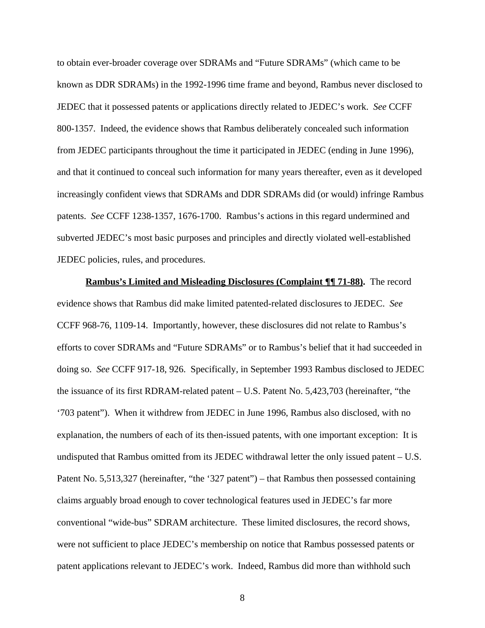to obtain ever-broader coverage over SDRAMs and "Future SDRAMs" (which came to be known as DDR SDRAMs) in the 1992-1996 time frame and beyond, Rambus never disclosed to JEDEC that it possessed patents or applications directly related to JEDEC's work. *See* CCFF 800-1357. Indeed, the evidence shows that Rambus deliberately concealed such information from JEDEC participants throughout the time it participated in JEDEC (ending in June 1996), and that it continued to conceal such information for many years thereafter, even as it developed increasingly confident views that SDRAMs and DDR SDRAMs did (or would) infringe Rambus patents. *See* CCFF 1238-1357, 1676-1700. Rambus's actions in this regard undermined and subverted JEDEC's most basic purposes and principles and directly violated well-established JEDEC policies, rules, and procedures.

**Rambus's Limited and Misleading Disclosures (Complaint ¶¶ 71-88).** The record evidence shows that Rambus did make limited patented-related disclosures to JEDEC. *See* CCFF 968-76, 1109-14. Importantly, however, these disclosures did not relate to Rambus's efforts to cover SDRAMs and "Future SDRAMs" or to Rambus's belief that it had succeeded in doing so. *See* CCFF 917-18, 926. Specifically, in September 1993 Rambus disclosed to JEDEC the issuance of its first RDRAM-related patent – U.S. Patent No. 5,423,703 (hereinafter, "the '703 patent"). When it withdrew from JEDEC in June 1996, Rambus also disclosed, with no explanation, the numbers of each of its then-issued patents, with one important exception: It is undisputed that Rambus omitted from its JEDEC withdrawal letter the only issued patent – U.S. Patent No. 5,513,327 (hereinafter, "the '327 patent") – that Rambus then possessed containing claims arguably broad enough to cover technological features used in JEDEC's far more conventional "wide-bus" SDRAM architecture. These limited disclosures, the record shows, were not sufficient to place JEDEC's membership on notice that Rambus possessed patents or patent applications relevant to JEDEC's work. Indeed, Rambus did more than withhold such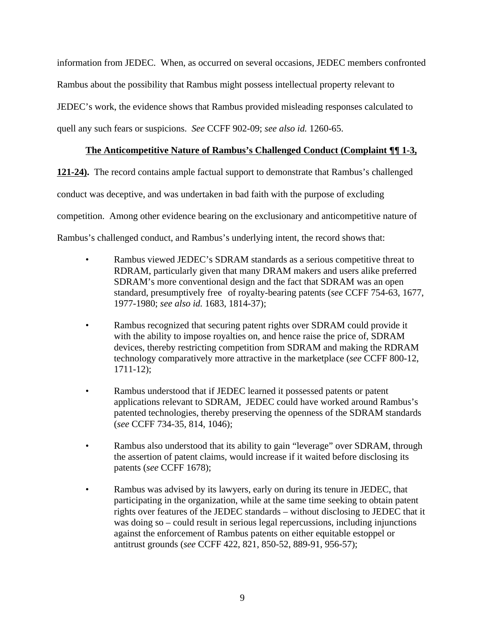information from JEDEC. When, as occurred on several occasions, JEDEC members confronted Rambus about the possibility that Rambus might possess intellectual property relevant to JEDEC's work, the evidence shows that Rambus provided misleading responses calculated to quell any such fears or suspicions. *See* CCFF 902-09; *see also id.* 1260-65.

# **The Anticompetitive Nature of Rambus's Challenged Conduct (Complaint ¶¶ 1-3,**

**121-24).** The record contains ample factual support to demonstrate that Rambus's challenged conduct was deceptive, and was undertaken in bad faith with the purpose of excluding competition. Among other evidence bearing on the exclusionary and anticompetitive nature of Rambus's challenged conduct, and Rambus's underlying intent, the record shows that:

- Rambus viewed JEDEC's SDRAM standards as a serious competitive threat to RDRAM, particularly given that many DRAM makers and users alike preferred SDRAM's more conventional design and the fact that SDRAM was an open standard, presumptively free of royalty-bearing patents (*see* CCFF 754-63, 1677, 1977-1980; *see also id.* 1683, 1814-37);
- Rambus recognized that securing patent rights over SDRAM could provide it with the ability to impose royalties on, and hence raise the price of, SDRAM devices, thereby restricting competition from SDRAM and making the RDRAM technology comparatively more attractive in the marketplace (*see* CCFF 800-12, 1711-12);
- Rambus understood that if JEDEC learned it possessed patents or patent applications relevant to SDRAM, JEDEC could have worked around Rambus's patented technologies, thereby preserving the openness of the SDRAM standards (*see* CCFF 734-35, 814, 1046);
- Rambus also understood that its ability to gain "leverage" over SDRAM, through the assertion of patent claims, would increase if it waited before disclosing its patents (*see* CCFF 1678);
- Rambus was advised by its lawyers, early on during its tenure in JEDEC, that participating in the organization, while at the same time seeking to obtain patent rights over features of the JEDEC standards – without disclosing to JEDEC that it was doing so – could result in serious legal repercussions, including injunctions against the enforcement of Rambus patents on either equitable estoppel or antitrust grounds (*see* CCFF 422, 821, 850-52, 889-91, 956-57);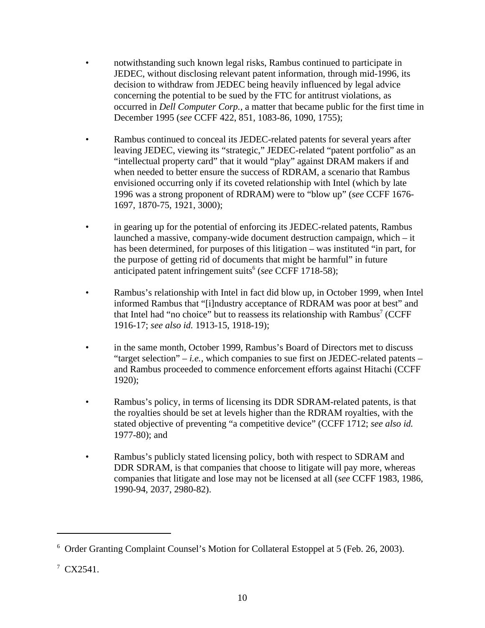- notwithstanding such known legal risks, Rambus continued to participate in JEDEC, without disclosing relevant patent information, through mid-1996, its decision to withdraw from JEDEC being heavily influenced by legal advice concerning the potential to be sued by the FTC for antitrust violations, as occurred in *Dell Computer Corp.*, a matter that became public for the first time in December 1995 (*see* CCFF 422, 851, 1083-86, 1090, 1755);
- Rambus continued to conceal its JEDEC-related patents for several years after leaving JEDEC, viewing its "strategic," JEDEC-related "patent portfolio" as an "intellectual property card" that it would "play" against DRAM makers if and when needed to better ensure the success of RDRAM, a scenario that Rambus envisioned occurring only if its coveted relationship with Intel (which by late 1996 was a strong proponent of RDRAM) were to "blow up" (*see* CCFF 1676- 1697, 1870-75, 1921, 3000);
- in gearing up for the potential of enforcing its JEDEC-related patents, Rambus launched a massive, company-wide document destruction campaign, which – it has been determined, for purposes of this litigation – was instituted "in part, for the purpose of getting rid of documents that might be harmful" in future anticipated patent infringement suits<sup>6</sup> (see CCFF 1718-58);
- Rambus's relationship with Intel in fact did blow up, in October 1999, when Intel informed Rambus that "[i]ndustry acceptance of RDRAM was poor at best" and that Intel had "no choice" but to reassess its relationship with Rambus<sup>7</sup> (CCFF 1916-17; *see also id.* 1913-15, 1918-19);
- in the same month, October 1999, Rambus's Board of Directors met to discuss "target selection" – *i.e.,* which companies to sue first on JEDEC-related patents – and Rambus proceeded to commence enforcement efforts against Hitachi (CCFF 1920);
- Rambus's policy, in terms of licensing its DDR SDRAM-related patents, is that the royalties should be set at levels higher than the RDRAM royalties, with the stated objective of preventing "a competitive device" (CCFF 1712; *see also id.* 1977-80); and
- Rambus's publicly stated licensing policy, both with respect to SDRAM and DDR SDRAM, is that companies that choose to litigate will pay more, whereas companies that litigate and lose may not be licensed at all (*see* CCFF 1983, 1986, 1990-94, 2037, 2980-82).

<sup>&</sup>lt;sup>6</sup> Order Granting Complaint Counsel's Motion for Collateral Estoppel at 5 (Feb. 26, 2003).

 $7 \text{ CX} 2541.$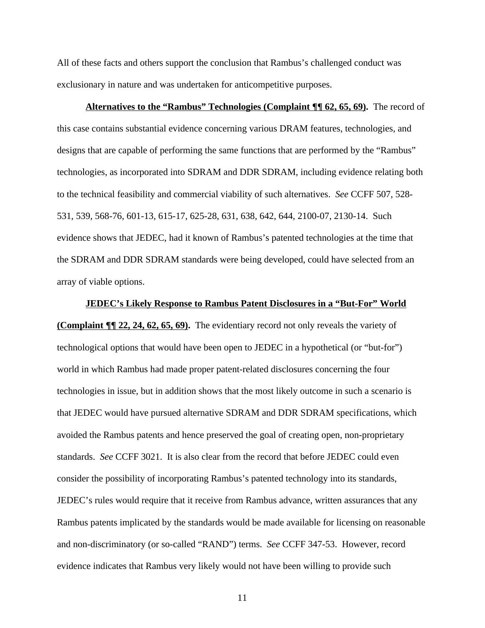All of these facts and others support the conclusion that Rambus's challenged conduct was exclusionary in nature and was undertaken for anticompetitive purposes.

**Alternatives to the "Rambus" Technologies (Complaint ¶¶ 62, 65, 69).** The record of this case contains substantial evidence concerning various DRAM features, technologies, and designs that are capable of performing the same functions that are performed by the "Rambus" technologies, as incorporated into SDRAM and DDR SDRAM, including evidence relating both to the technical feasibility and commercial viability of such alternatives. *See* CCFF 507, 528- 531, 539, 568-76, 601-13, 615-17, 625-28, 631, 638, 642, 644, 2100-07, 2130-14. Such evidence shows that JEDEC, had it known of Rambus's patented technologies at the time that the SDRAM and DDR SDRAM standards were being developed, could have selected from an array of viable options.

### **JEDEC's Likely Response to Rambus Patent Disclosures in a "But-For" World**

**(Complaint ¶¶ 22, 24, 62, 65, 69).** The evidentiary record not only reveals the variety of technological options that would have been open to JEDEC in a hypothetical (or "but-for") world in which Rambus had made proper patent-related disclosures concerning the four technologies in issue, but in addition shows that the most likely outcome in such a scenario is that JEDEC would have pursued alternative SDRAM and DDR SDRAM specifications, which avoided the Rambus patents and hence preserved the goal of creating open, non-proprietary standards. *See* CCFF 3021. It is also clear from the record that before JEDEC could even consider the possibility of incorporating Rambus's patented technology into its standards, JEDEC's rules would require that it receive from Rambus advance, written assurances that any Rambus patents implicated by the standards would be made available for licensing on reasonable and non-discriminatory (or so-called "RAND") terms. *See* CCFF 347-53. However, record evidence indicates that Rambus very likely would not have been willing to provide such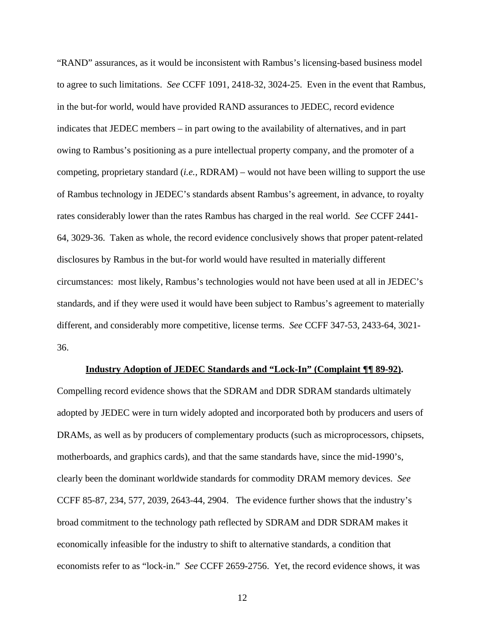"RAND" assurances, as it would be inconsistent with Rambus's licensing-based business model to agree to such limitations. *See* CCFF 1091, 2418-32, 3024-25. Even in the event that Rambus, in the but-for world, would have provided RAND assurances to JEDEC, record evidence indicates that JEDEC members – in part owing to the availability of alternatives, and in part owing to Rambus's positioning as a pure intellectual property company, and the promoter of a competing, proprietary standard (*i.e.,* RDRAM) – would not have been willing to support the use of Rambus technology in JEDEC's standards absent Rambus's agreement, in advance, to royalty rates considerably lower than the rates Rambus has charged in the real world. *See* CCFF 2441- 64, 3029-36. Taken as whole, the record evidence conclusively shows that proper patent-related disclosures by Rambus in the but-for world would have resulted in materially different circumstances: most likely, Rambus's technologies would not have been used at all in JEDEC's standards, and if they were used it would have been subject to Rambus's agreement to materially different, and considerably more competitive, license terms. *See* CCFF 347-53, 2433-64, 3021- 36.

#### **Industry Adoption of JEDEC Standards and "Lock-In" (Complaint ¶¶ 89-92).**

Compelling record evidence shows that the SDRAM and DDR SDRAM standards ultimately adopted by JEDEC were in turn widely adopted and incorporated both by producers and users of DRAMs, as well as by producers of complementary products (such as microprocessors, chipsets, motherboards, and graphics cards), and that the same standards have, since the mid-1990's, clearly been the dominant worldwide standards for commodity DRAM memory devices. *See* CCFF 85-87, 234, 577, 2039, 2643-44, 2904. The evidence further shows that the industry's broad commitment to the technology path reflected by SDRAM and DDR SDRAM makes it economically infeasible for the industry to shift to alternative standards, a condition that economists refer to as "lock-in." *See* CCFF 2659-2756. Yet, the record evidence shows, it was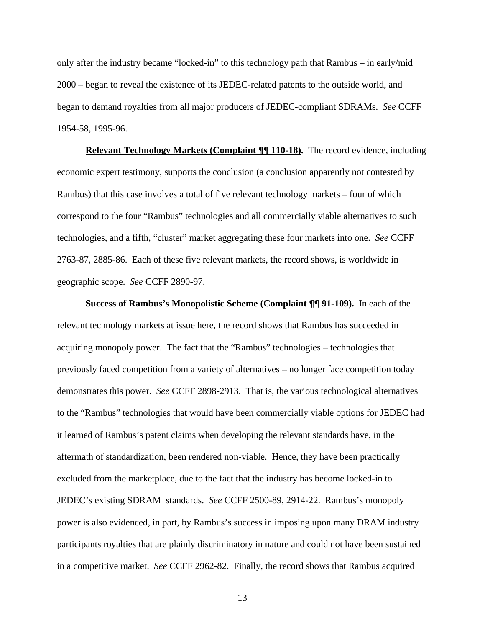only after the industry became "locked-in" to this technology path that Rambus – in early/mid 2000 – began to reveal the existence of its JEDEC-related patents to the outside world, and began to demand royalties from all major producers of JEDEC-compliant SDRAMs. *See* CCFF 1954-58, 1995-96.

**Relevant Technology Markets (Complaint ¶¶ 110-18).** The record evidence, including economic expert testimony, supports the conclusion (a conclusion apparently not contested by Rambus) that this case involves a total of five relevant technology markets – four of which correspond to the four "Rambus" technologies and all commercially viable alternatives to such technologies, and a fifth, "cluster" market aggregating these four markets into one. *See* CCFF 2763-87, 2885-86. Each of these five relevant markets, the record shows, is worldwide in geographic scope. *See* CCFF 2890-97.

 **Success of Rambus's Monopolistic Scheme (Complaint ¶¶ 91-109).** In each of the relevant technology markets at issue here, the record shows that Rambus has succeeded in acquiring monopoly power. The fact that the "Rambus" technologies – technologies that previously faced competition from a variety of alternatives – no longer face competition today demonstrates this power. *See* CCFF 2898-2913. That is, the various technological alternatives to the "Rambus" technologies that would have been commercially viable options for JEDEC had it learned of Rambus's patent claims when developing the relevant standards have, in the aftermath of standardization, been rendered non-viable. Hence, they have been practically excluded from the marketplace, due to the fact that the industry has become locked-in to JEDEC's existing SDRAM standards. *See* CCFF 2500-89, 2914-22. Rambus's monopoly power is also evidenced, in part, by Rambus's success in imposing upon many DRAM industry participants royalties that are plainly discriminatory in nature and could not have been sustained in a competitive market. *See* CCFF 2962-82. Finally, the record shows that Rambus acquired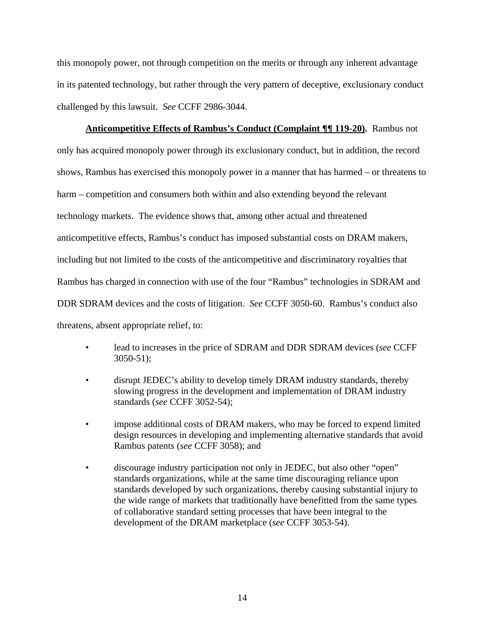this monopoly power, not through competition on the merits or through any inherent advantage in its patented technology, but rather through the very pattern of deceptive, exclusionary conduct challenged by this lawsuit. *See* CCFF 2986-3044.

**Anticompetitive Effects of Rambus's Conduct (Complaint ¶¶ 119-20).** Rambus not only has acquired monopoly power through its exclusionary conduct, but in addition, the record shows, Rambus has exercised this monopoly power in a manner that has harmed – or threatens to harm – competition and consumers both within and also extending beyond the relevant technology markets. The evidence shows that, among other actual and threatened anticompetitive effects, Rambus's conduct has imposed substantial costs on DRAM makers, including but not limited to the costs of the anticompetitive and discriminatory royalties that Rambus has charged in connection with use of the four "Rambus" technologies in SDRAM and DDR SDRAM devices and the costs of litigation. *See* CCFF 3050-60. Rambus's conduct also threatens, absent appropriate relief, to:

- lead to increases in the price of SDRAM and DDR SDRAM devices (*see* CCFF 3050-51);
- disrupt JEDEC's ability to develop timely DRAM industry standards, thereby slowing progress in the development and implementation of DRAM industry standards (*see* CCFF 3052-54);
- impose additional costs of DRAM makers, who may be forced to expend limited design resources in developing and implementing alternative standards that avoid Rambus patents (*see* CCFF 3058); and
- discourage industry participation not only in JEDEC, but also other "open" standards organizations, while at the same time discouraging reliance upon standards developed by such organizations, thereby causing substantial injury to the wide range of markets that traditionally have benefitted from the same types of collaborative standard setting processes that have been integral to the development of the DRAM marketplace (*see* CCFF 3053-54).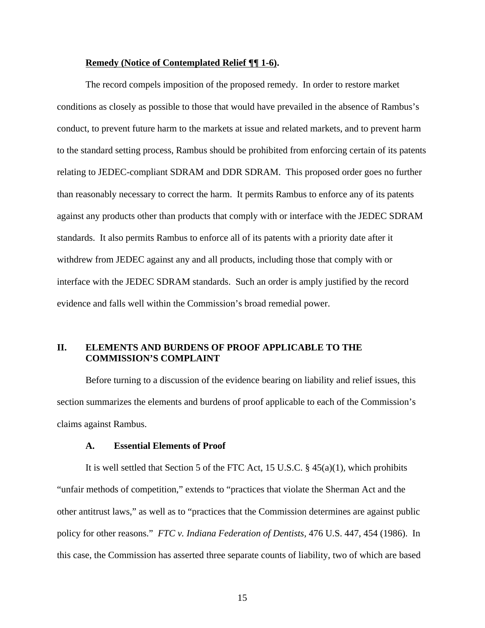### **Remedy (Notice of Contemplated Relief ¶¶ 1-6).**

The record compels imposition of the proposed remedy. In order to restore market conditions as closely as possible to those that would have prevailed in the absence of Rambus's conduct, to prevent future harm to the markets at issue and related markets, and to prevent harm to the standard setting process, Rambus should be prohibited from enforcing certain of its patents relating to JEDEC-compliant SDRAM and DDR SDRAM. This proposed order goes no further than reasonably necessary to correct the harm. It permits Rambus to enforce any of its patents against any products other than products that comply with or interface with the JEDEC SDRAM standards. It also permits Rambus to enforce all of its patents with a priority date after it withdrew from JEDEC against any and all products, including those that comply with or interface with the JEDEC SDRAM standards. Such an order is amply justified by the record evidence and falls well within the Commission's broad remedial power.

## **II. ELEMENTS AND BURDENS OF PROOF APPLICABLE TO THE COMMISSION'S COMPLAINT**

Before turning to a discussion of the evidence bearing on liability and relief issues, this section summarizes the elements and burdens of proof applicable to each of the Commission's claims against Rambus.

#### **A. Essential Elements of Proof**

It is well settled that Section 5 of the FTC Act, 15 U.S.C. § 45(a)(1), which prohibits "unfair methods of competition," extends to "practices that violate the Sherman Act and the other antitrust laws," as well as to "practices that the Commission determines are against public policy for other reasons." *FTC v. Indiana Federation of Dentists,* 476 U.S. 447, 454 (1986). In this case, the Commission has asserted three separate counts of liability, two of which are based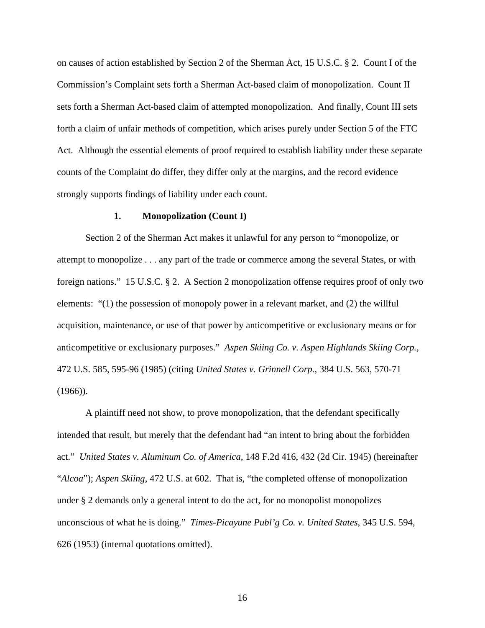on causes of action established by Section 2 of the Sherman Act, 15 U.S.C. § 2. Count I of the Commission's Complaint sets forth a Sherman Act-based claim of monopolization. Count II sets forth a Sherman Act-based claim of attempted monopolization. And finally, Count III sets forth a claim of unfair methods of competition, which arises purely under Section 5 of the FTC Act. Although the essential elements of proof required to establish liability under these separate counts of the Complaint do differ, they differ only at the margins, and the record evidence strongly supports findings of liability under each count.

#### **1. Monopolization (Count I)**

Section 2 of the Sherman Act makes it unlawful for any person to "monopolize, or attempt to monopolize . . . any part of the trade or commerce among the several States, or with foreign nations." 15 U.S.C. § 2. A Section 2 monopolization offense requires proof of only two elements: "(1) the possession of monopoly power in a relevant market, and (2) the willful acquisition, maintenance, or use of that power by anticompetitive or exclusionary means or for anticompetitive or exclusionary purposes." *Aspen Skiing Co. v. Aspen Highlands Skiing Corp.*, 472 U.S. 585, 595-96 (1985) (citing *United States v. Grinnell Corp.*, 384 U.S. 563, 570-71  $(1966)$ ).

A plaintiff need not show, to prove monopolization, that the defendant specifically intended that result, but merely that the defendant had "an intent to bring about the forbidden act." *United States v. Aluminum Co. of America*, 148 F.2d 416, 432 (2d Cir. 1945) (hereinafter "*Alcoa*"); *Aspen Skiing*, 472 U.S. at 602. That is, "the completed offense of monopolization under § 2 demands only a general intent to do the act, for no monopolist monopolizes unconscious of what he is doing." *Times-Picayune Publ'g Co. v. United States*, 345 U.S. 594, 626 (1953) (internal quotations omitted).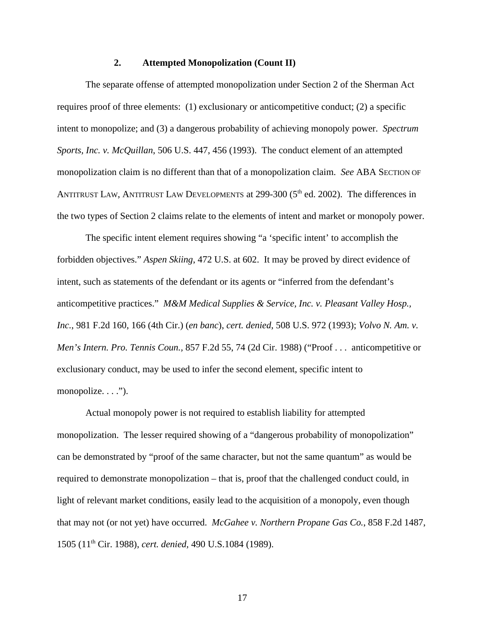#### **2. Attempted Monopolization (Count II)**

The separate offense of attempted monopolization under Section 2 of the Sherman Act requires proof of three elements: (1) exclusionary or anticompetitive conduct; (2) a specific intent to monopolize; and (3) a dangerous probability of achieving monopoly power. *Spectrum Sports, Inc. v. McQuillan*, 506 U.S. 447, 456 (1993). The conduct element of an attempted monopolization claim is no different than that of a monopolization claim. *See* ABA SECTION OF ANTITRUST LAW, ANTITRUST LAW DEVELOPMENTS at 299-300 (5<sup>th</sup> ed. 2002). The differences in the two types of Section 2 claims relate to the elements of intent and market or monopoly power.

The specific intent element requires showing "a 'specific intent' to accomplish the forbidden objectives." *Aspen Skiing*, 472 U.S. at 602. It may be proved by direct evidence of intent, such as statements of the defendant or its agents or "inferred from the defendant's anticompetitive practices." *M&M Medical Supplies & Service, Inc. v. Pleasant Valley Hosp., Inc.*, 981 F.2d 160, 166 (4th Cir.) (*en banc*), *cert. denied*, 508 U.S. 972 (1993); *Volvo N. Am. v. Men's Intern. Pro. Tennis Coun.,* 857 F.2d 55, 74 (2d Cir. 1988) ("Proof . . . anticompetitive or exclusionary conduct, may be used to infer the second element, specific intent to monopolize.  $\ldots$ ").

Actual monopoly power is not required to establish liability for attempted monopolization. The lesser required showing of a "dangerous probability of monopolization" can be demonstrated by "proof of the same character, but not the same quantum" as would be required to demonstrate monopolization – that is, proof that the challenged conduct could, in light of relevant market conditions, easily lead to the acquisition of a monopoly, even though that may not (or not yet) have occurred. *McGahee v. Northern Propane Gas Co.*, 858 F.2d 1487, 1505 (11th Cir. 1988), *cert. denied,* 490 U.S.1084 (1989).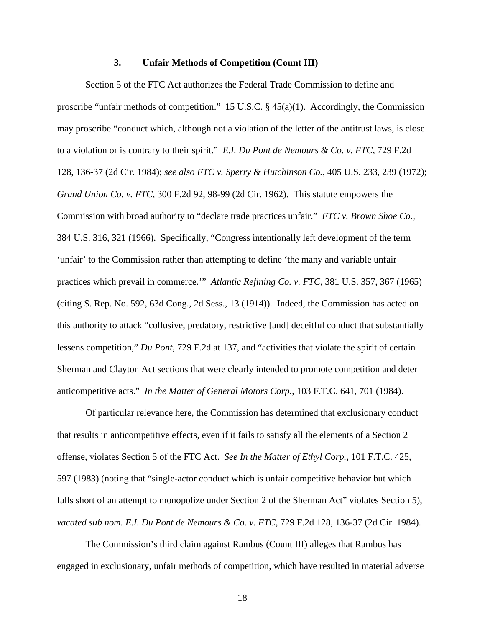#### **3. Unfair Methods of Competition (Count III)**

Section 5 of the FTC Act authorizes the Federal Trade Commission to define and proscribe "unfair methods of competition." 15 U.S.C. § 45(a)(1). Accordingly, the Commission may proscribe "conduct which, although not a violation of the letter of the antitrust laws, is close to a violation or is contrary to their spirit." *E.I. Du Pont de Nemours & Co. v. FTC*, 729 F.2d 128, 136-37 (2d Cir. 1984); *see also FTC v. Sperry & Hutchinson Co.*, 405 U.S. 233, 239 (1972); *Grand Union Co. v. FTC*, 300 F.2d 92, 98-99 (2d Cir. 1962). This statute empowers the Commission with broad authority to "declare trade practices unfair." *FTC v. Brown Shoe Co.*, 384 U.S. 316, 321 (1966). Specifically, "Congress intentionally left development of the term 'unfair' to the Commission rather than attempting to define 'the many and variable unfair practices which prevail in commerce.'" *Atlantic Refining Co. v. FTC*, 381 U.S. 357, 367 (1965) (citing S. Rep. No. 592, 63d Cong., 2d Sess., 13 (1914)). Indeed, the Commission has acted on this authority to attack "collusive, predatory, restrictive [and] deceitful conduct that substantially lessens competition," *Du Pont*, 729 F.2d at 137, and "activities that violate the spirit of certain Sherman and Clayton Act sections that were clearly intended to promote competition and deter anticompetitive acts." *In the Matter of General Motors Corp.*, 103 F.T.C. 641, 701 (1984).

Of particular relevance here, the Commission has determined that exclusionary conduct that results in anticompetitive effects, even if it fails to satisfy all the elements of a Section 2 offense, violates Section 5 of the FTC Act. *See In the Matter of Ethyl Corp.*, 101 F.T.C. 425, 597 (1983) (noting that "single-actor conduct which is unfair competitive behavior but which falls short of an attempt to monopolize under Section 2 of the Sherman Act" violates Section 5), *vacated sub nom. E.I. Du Pont de Nemours & Co. v. FTC*, 729 F.2d 128, 136-37 (2d Cir. 1984).

The Commission's third claim against Rambus (Count III) alleges that Rambus has engaged in exclusionary, unfair methods of competition, which have resulted in material adverse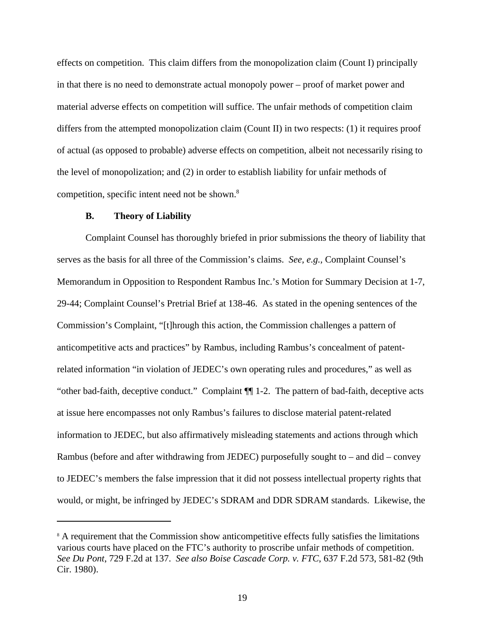effects on competition. This claim differs from the monopolization claim (Count I) principally in that there is no need to demonstrate actual monopoly power – proof of market power and material adverse effects on competition will suffice. The unfair methods of competition claim differs from the attempted monopolization claim (Count II) in two respects: (1) it requires proof of actual (as opposed to probable) adverse effects on competition, albeit not necessarily rising to the level of monopolization; and (2) in order to establish liability for unfair methods of competition, specific intent need not be shown.<sup>8</sup>

### **B. Theory of Liability**

Complaint Counsel has thoroughly briefed in prior submissions the theory of liability that serves as the basis for all three of the Commission's claims. *See, e.g.,* Complaint Counsel's Memorandum in Opposition to Respondent Rambus Inc.'s Motion for Summary Decision at 1-7, 29-44; Complaint Counsel's Pretrial Brief at 138-46. As stated in the opening sentences of the Commission's Complaint, "[t]hrough this action, the Commission challenges a pattern of anticompetitive acts and practices" by Rambus, including Rambus's concealment of patentrelated information "in violation of JEDEC's own operating rules and procedures," as well as "other bad-faith, deceptive conduct." Complaint ¶¶ 1-2. The pattern of bad-faith, deceptive acts at issue here encompasses not only Rambus's failures to disclose material patent-related information to JEDEC, but also affirmatively misleading statements and actions through which Rambus (before and after withdrawing from JEDEC) purposefully sought to – and did – convey to JEDEC's members the false impression that it did not possess intellectual property rights that would, or might, be infringed by JEDEC's SDRAM and DDR SDRAM standards. Likewise, the

<sup>&</sup>lt;sup>8</sup> A requirement that the Commission show anticompetitive effects fully satisfies the limitations various courts have placed on the FTC's authority to proscribe unfair methods of competition. *See Du Pont*, 729 F.2d at 137. *See also Boise Cascade Corp. v. FTC*, 637 F.2d 573, 581-82 (9th Cir. 1980).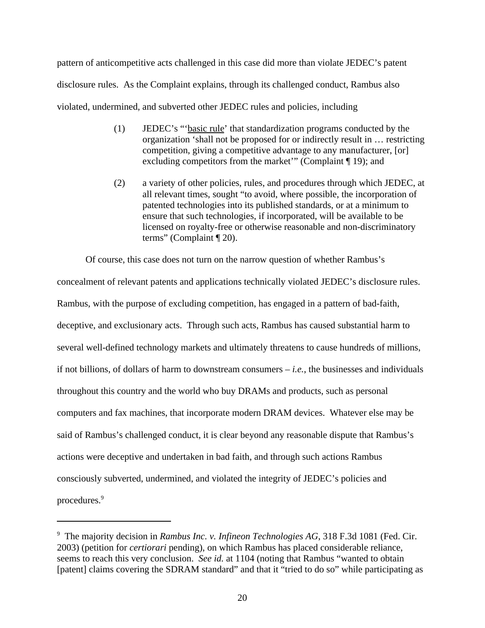pattern of anticompetitive acts challenged in this case did more than violate JEDEC's patent disclosure rules. As the Complaint explains, through its challenged conduct, Rambus also violated, undermined, and subverted other JEDEC rules and policies, including

- (1) JEDEC's "'basic rule' that standardization programs conducted by the organization 'shall not be proposed for or indirectly result in … restricting competition, giving a competitive advantage to any manufacturer, [or] excluding competitors from the market'" (Complaint ¶ 19); and
- (2) a variety of other policies, rules, and procedures through which JEDEC, at all relevant times, sought "to avoid, where possible, the incorporation of patented technologies into its published standards, or at a minimum to ensure that such technologies, if incorporated, will be available to be licensed on royalty-free or otherwise reasonable and non-discriminatory terms" (Complaint ¶ 20).

Of course, this case does not turn on the narrow question of whether Rambus's

concealment of relevant patents and applications technically violated JEDEC's disclosure rules. Rambus, with the purpose of excluding competition, has engaged in a pattern of bad-faith, deceptive, and exclusionary acts. Through such acts, Rambus has caused substantial harm to several well-defined technology markets and ultimately threatens to cause hundreds of millions, if not billions, of dollars of harm to downstream consumers – *i.e.*, the businesses and individuals throughout this country and the world who buy DRAMs and products, such as personal computers and fax machines, that incorporate modern DRAM devices. Whatever else may be said of Rambus's challenged conduct, it is clear beyond any reasonable dispute that Rambus's actions were deceptive and undertaken in bad faith, and through such actions Rambus consciously subverted, undermined, and violated the integrity of JEDEC's policies and procedures.<sup>9</sup>

<sup>&</sup>lt;sup>9</sup> The majority decision in *Rambus Inc. v. Infineon Technologies AG*, 318 F.3d 1081 (Fed. Cir. 2003) (petition for *certiorari* pending), on which Rambus has placed considerable reliance, seems to reach this very conclusion. *See id.* at 1104 (noting that Rambus "wanted to obtain [patent] claims covering the SDRAM standard" and that it "tried to do so" while participating as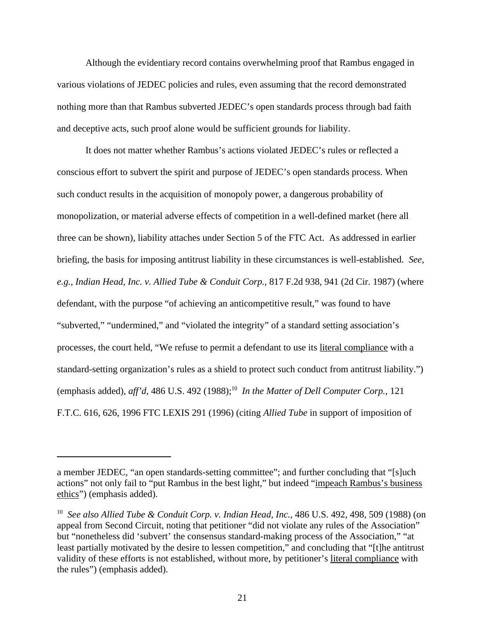Although the evidentiary record contains overwhelming proof that Rambus engaged in various violations of JEDEC policies and rules, even assuming that the record demonstrated nothing more than that Rambus subverted JEDEC's open standards process through bad faith and deceptive acts, such proof alone would be sufficient grounds for liability.

It does not matter whether Rambus's actions violated JEDEC's rules or reflected a conscious effort to subvert the spirit and purpose of JEDEC's open standards process. When such conduct results in the acquisition of monopoly power, a dangerous probability of monopolization, or material adverse effects of competition in a well-defined market (here all three can be shown), liability attaches under Section 5 of the FTC Act. As addressed in earlier briefing, the basis for imposing antitrust liability in these circumstances is well-established. *See, e.g., Indian Head, Inc. v. Allied Tube & Conduit Corp.*, 817 F.2d 938, 941 (2d Cir. 1987) (where defendant, with the purpose "of achieving an anticompetitive result," was found to have "subverted," "undermined," and "violated the integrity" of a standard setting association's processes, the court held, "We refuse to permit a defendant to use its literal compliance with a standard-setting organization's rules as a shield to protect such conduct from antitrust liability.") (emphasis added),  $aff'd$ , 486 U.S. 492 (1988);<sup>10</sup> In the Matter of Dell Computer Corp., 121 F.T.C. 616, 626, 1996 FTC LEXIS 291 (1996) (citing *Allied Tube* in support of imposition of

a member JEDEC, "an open standards-setting committee"; and further concluding that "[s]uch actions" not only fail to "put Rambus in the best light," but indeed "impeach Rambus's business ethics") (emphasis added).

<sup>&</sup>lt;sup>10</sup> See also Allied Tube & Conduit Corp. v. Indian Head, Inc., 486 U.S. 492, 498, 509 (1988) (on appeal from Second Circuit, noting that petitioner "did not violate any rules of the Association" but "nonetheless did 'subvert' the consensus standard-making process of the Association," "at least partially motivated by the desire to lessen competition," and concluding that "[t]he antitrust validity of these efforts is not established, without more, by petitioner's literal compliance with the rules") (emphasis added).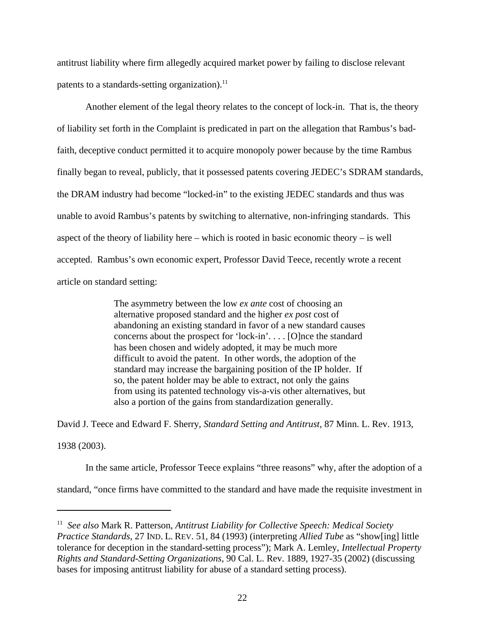antitrust liability where firm allegedly acquired market power by failing to disclose relevant patents to a standards-setting organization). $^{11}$ 

Another element of the legal theory relates to the concept of lock-in. That is, the theory of liability set forth in the Complaint is predicated in part on the allegation that Rambus's badfaith, deceptive conduct permitted it to acquire monopoly power because by the time Rambus finally began to reveal, publicly, that it possessed patents covering JEDEC's SDRAM standards, the DRAM industry had become "locked-in" to the existing JEDEC standards and thus was unable to avoid Rambus's patents by switching to alternative, non-infringing standards. This aspect of the theory of liability here – which is rooted in basic economic theory – is well accepted. Rambus's own economic expert, Professor David Teece, recently wrote a recent article on standard setting:

> The asymmetry between the low *ex ante* cost of choosing an alternative proposed standard and the higher *ex post* cost of abandoning an existing standard in favor of a new standard causes concerns about the prospect for 'lock-in'. . . . [O]nce the standard has been chosen and widely adopted, it may be much more difficult to avoid the patent. In other words, the adoption of the standard may increase the bargaining position of the IP holder. If so, the patent holder may be able to extract, not only the gains from using its patented technology vis-a-vis other alternatives, but also a portion of the gains from standardization generally.

David J. Teece and Edward F. Sherry, *Standard Setting and Antitrust*, 87 Minn. L. Rev. 1913,

1938 (2003).

In the same article, Professor Teece explains "three reasons" why, after the adoption of a

standard, "once firms have committed to the standard and have made the requisite investment in

<sup>&</sup>lt;sup>11</sup> See also Mark R. Patterson, *Antitrust Liability for Collective Speech: Medical Society Practice Standards*, 27 IND. L. REV. 51, 84 (1993) (interpreting *Allied Tube* as "show[ing] little tolerance for deception in the standard-setting process"); Mark A. Lemley, *Intellectual Property Rights and Standard-Setting Organizations*, 90 Cal. L. Rev. 1889, 1927-35 (2002) (discussing bases for imposing antitrust liability for abuse of a standard setting process).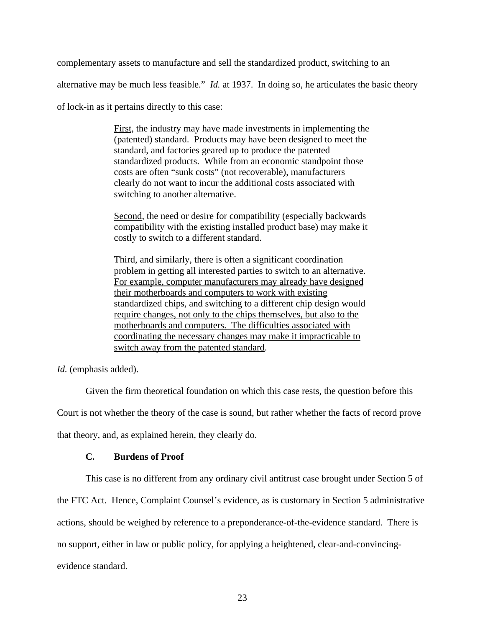complementary assets to manufacture and sell the standardized product, switching to an

alternative may be much less feasible." *Id.* at 1937. In doing so, he articulates the basic theory

of lock-in as it pertains directly to this case:

First, the industry may have made investments in implementing the (patented) standard. Products may have been designed to meet the standard, and factories geared up to produce the patented standardized products. While from an economic standpoint those costs are often "sunk costs" (not recoverable), manufacturers clearly do not want to incur the additional costs associated with switching to another alternative.

Second, the need or desire for compatibility (especially backwards compatibility with the existing installed product base) may make it costly to switch to a different standard.

Third, and similarly, there is often a significant coordination problem in getting all interested parties to switch to an alternative. For example, computer manufacturers may already have designed their motherboards and computers to work with existing standardized chips, and switching to a different chip design would require changes, not only to the chips themselves, but also to the motherboards and computers. The difficulties associated with coordinating the necessary changes may make it impracticable to switch away from the patented standard.

*Id.* (emphasis added).

Given the firm theoretical foundation on which this case rests, the question before this

Court is not whether the theory of the case is sound, but rather whether the facts of record prove

that theory, and, as explained herein, they clearly do.

### **C. Burdens of Proof**

This case is no different from any ordinary civil antitrust case brought under Section 5 of the FTC Act. Hence, Complaint Counsel's evidence, as is customary in Section 5 administrative actions, should be weighed by reference to a preponderance-of-the-evidence standard. There is no support, either in law or public policy, for applying a heightened, clear-and-convincingevidence standard.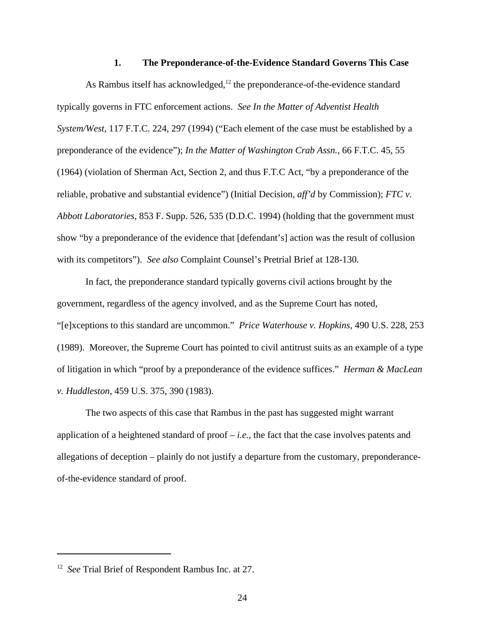#### **1. The Preponderance-of-the-Evidence Standard Governs This Case**

As Rambus itself has acknowledged, $12$  the preponderance-of-the-evidence standard typically governs in FTC enforcement actions. *See In the Matter of Adventist Health System/West,* 117 F.T.C. 224, 297 (1994) ("Each element of the case must be established by a preponderance of the evidence"); *In the Matter of Washington Crab Assn.*, 66 F.T.C. 45, 55 (1964) (violation of Sherman Act, Section 2, and thus F.T.C Act, "by a preponderance of the reliable, probative and substantial evidence") (Initial Decision, *aff'd* by Commission); *FTC v. Abbott Laboratories*, 853 F. Supp. 526, 535 (D.D.C. 1994) (holding that the government must show "by a preponderance of the evidence that [defendant's] action was the result of collusion with its competitors"). *See also* Complaint Counsel's Pretrial Brief at 128-130.

In fact, the preponderance standard typically governs civil actions brought by the government, regardless of the agency involved, and as the Supreme Court has noted, "[e]xceptions to this standard are uncommon." *Price Waterhouse v. Hopkins,* 490 U.S. 228, 253 (1989). Moreover, the Supreme Court has pointed to civil antitrust suits as an example of a type of litigation in which "proof by a preponderance of the evidence suffices." *Herman & MacLean v. Huddleston*, 459 U.S. 375, 390 (1983).

The two aspects of this case that Rambus in the past has suggested might warrant application of a heightened standard of proof – *i.e.,* the fact that the case involves patents and allegations of deception – plainly do not justify a departure from the customary, preponderanceof-the-evidence standard of proof.

<sup>&</sup>lt;sup>12</sup> See Trial Brief of Respondent Rambus Inc. at 27.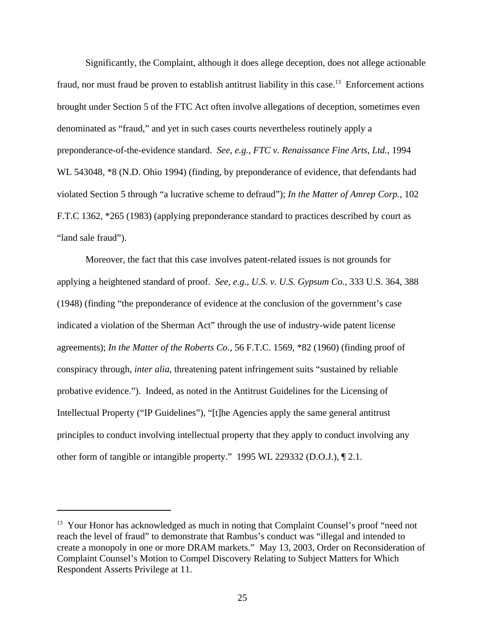Significantly, the Complaint, although it does allege deception, does not allege actionable fraud, nor must fraud be proven to establish antitrust liability in this case.<sup>13</sup> Enforcement actions brought under Section 5 of the FTC Act often involve allegations of deception, sometimes even denominated as "fraud," and yet in such cases courts nevertheless routinely apply a preponderance-of-the-evidence standard. *See, e.g., FTC v. Renaissance Fine Arts, Ltd.*, 1994 WL 543048, \*8 (N.D. Ohio 1994) (finding, by preponderance of evidence, that defendants had violated Section 5 through "a lucrative scheme to defraud"); *In the Matter of Amrep Corp.*, 102 F.T.C 1362, \*265 (1983) (applying preponderance standard to practices described by court as "land sale fraud").

Moreover, the fact that this case involves patent-related issues is not grounds for applying a heightened standard of proof. *See, e.g., U.S. v. U.S. Gypsum Co.*, 333 U.S. 364, 388 (1948) (finding "the preponderance of evidence at the conclusion of the government's case indicated a violation of the Sherman Act" through the use of industry-wide patent license agreements); *In the Matter of the Roberts Co.*, 56 F.T.C. 1569, \*82 (1960) (finding proof of conspiracy through, *inter alia*, threatening patent infringement suits "sustained by reliable probative evidence.").Indeed, as noted in the Antitrust Guidelines for the Licensing of Intellectual Property ("IP Guidelines"), "[t]he Agencies apply the same general antitrust principles to conduct involving intellectual property that they apply to conduct involving any other form of tangible or intangible property." 1995 WL 229332 (D.O.J.), ¶ 2.1.

<sup>&</sup>lt;sup>13</sup> Your Honor has acknowledged as much in noting that Complaint Counsel's proof "need not reach the level of fraud" to demonstrate that Rambus's conduct was "illegal and intended to create a monopoly in one or more DRAM markets." May 13, 2003, Order on Reconsideration of Complaint Counsel's Motion to Compel Discovery Relating to Subject Matters for Which Respondent Asserts Privilege at 11.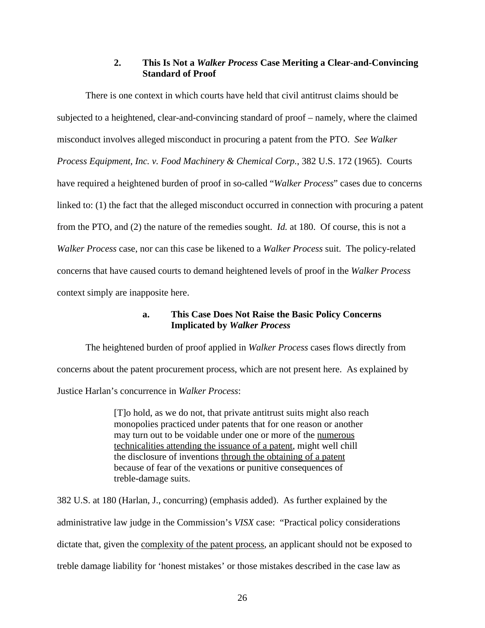# **2. This Is Not a** *Walker Process* **Case Meriting a Clear-and-Convincing Standard of Proof**

There is one context in which courts have held that civil antitrust claims should be subjected to a heightened, clear-and-convincing standard of proof – namely, where the claimed misconduct involves alleged misconduct in procuring a patent from the PTO. *See Walker Process Equipment, Inc. v. Food Machinery & Chemical Corp.*, 382 U.S. 172 (1965). Courts have required a heightened burden of proof in so-called "*Walker Process*" cases due to concerns linked to: (1) the fact that the alleged misconduct occurred in connection with procuring a patent from the PTO, and (2) the nature of the remedies sought. *Id.* at 180. Of course, this is not a *Walker Process* case, nor can this case be likened to a *Walker Process* suit. The policy-related concerns that have caused courts to demand heightened levels of proof in the *Walker Process* context simply are inapposite here.

# **a. This Case Does Not Raise the Basic Policy Concerns Implicated by** *Walker Process*

The heightened burden of proof applied in *Walker Process* cases flows directly from concerns about the patent procurement process, which are not present here. As explained by Justice Harlan's concurrence in *Walker Process*:

> [T]o hold, as we do not, that private antitrust suits might also reach monopolies practiced under patents that for one reason or another may turn out to be voidable under one or more of the numerous technicalities attending the issuance of a patent, might well chill the disclosure of inventions through the obtaining of a patent because of fear of the vexations or punitive consequences of treble-damage suits.

382 U.S. at 180 (Harlan, J., concurring) (emphasis added). As further explained by the administrative law judge in the Commission's *VISX* case: "Practical policy considerations dictate that, given the complexity of the patent process, an applicant should not be exposed to treble damage liability for 'honest mistakes' or those mistakes described in the case law as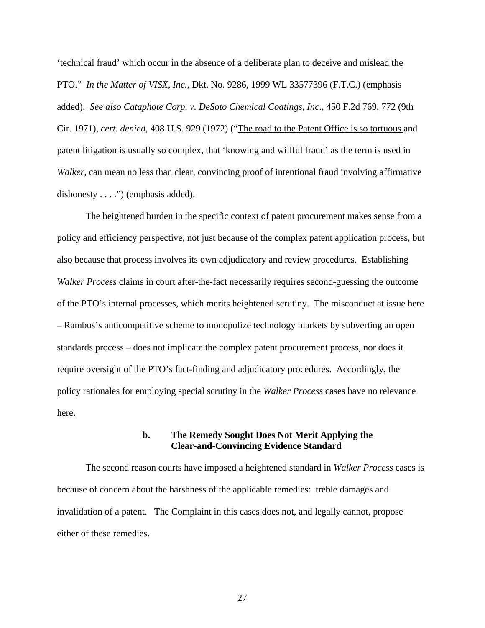'technical fraud' which occur in the absence of a deliberate plan to deceive and mislead the PTO." *In the Matter of VISX, Inc.,* Dkt. No. 9286, 1999 WL 33577396 (F.T.C.) (emphasis added). *See also Cataphote Corp. v. DeSoto Chemical Coatings, Inc*., 450 F.2d 769, 772 (9th Cir. 1971), *cert. denied*, 408 U.S. 929 (1972) ("The road to the Patent Office is so tortuous and patent litigation is usually so complex, that 'knowing and willful fraud' as the term is used in *Walker,* can mean no less than clear, convincing proof of intentional fraud involving affirmative dishonesty  $\dots$ .") (emphasis added).

The heightened burden in the specific context of patent procurement makes sense from a policy and efficiency perspective, not just because of the complex patent application process, but also because that process involves its own adjudicatory and review procedures. Establishing *Walker Process* claims in court after-the-fact necessarily requires second-guessing the outcome of the PTO's internal processes, which merits heightened scrutiny. The misconduct at issue here – Rambus's anticompetitive scheme to monopolize technology markets by subverting an open standards process – does not implicate the complex patent procurement process, nor does it require oversight of the PTO's fact-finding and adjudicatory procedures. Accordingly, the policy rationales for employing special scrutiny in the *Walker Process* cases have no relevance here.

## **b. The Remedy Sought Does Not Merit Applying the Clear-and-Convincing Evidence Standard**

The second reason courts have imposed a heightened standard in *Walker Process* cases is because of concern about the harshness of the applicable remedies: treble damages and invalidation of a patent. The Complaint in this cases does not, and legally cannot, propose either of these remedies.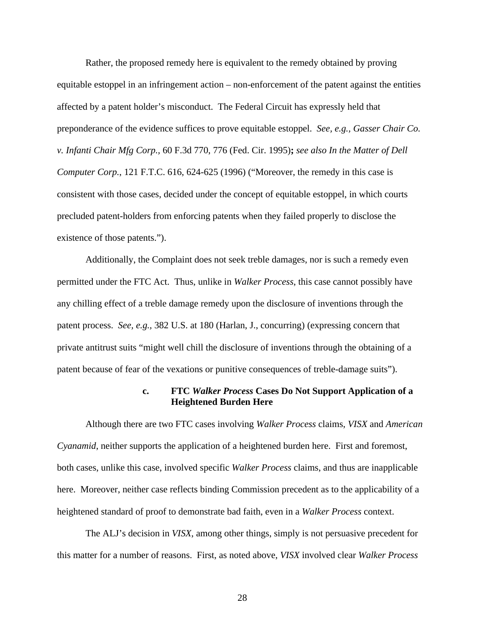Rather, the proposed remedy here is equivalent to the remedy obtained by proving equitable estoppel in an infringement action – non-enforcement of the patent against the entities affected by a patent holder's misconduct. The Federal Circuit has expressly held that preponderance of the evidence suffices to prove equitable estoppel. *See, e.g., Gasser Chair Co. v. Infanti Chair Mfg Corp.,* 60 F.3d 770, 776 (Fed. Cir. 1995)**;** *see also In the Matter of Dell Computer Corp.*, 121 F.T.C. 616, 624-625 (1996) ("Moreover, the remedy in this case is consistent with those cases, decided under the concept of equitable estoppel, in which courts precluded patent-holders from enforcing patents when they failed properly to disclose the existence of those patents.").

Additionally, the Complaint does not seek treble damages, nor is such a remedy even permitted under the FTC Act. Thus, unlike in *Walker Process*, this case cannot possibly have any chilling effect of a treble damage remedy upon the disclosure of inventions through the patent process. *See, e.g.,* 382 U.S. at 180 (Harlan, J., concurring) (expressing concern that private antitrust suits "might well chill the disclosure of inventions through the obtaining of a patent because of fear of the vexations or punitive consequences of treble-damage suits").

### **c. FTC** *Walker Process* **Cases Do Not Support Application of a Heightened Burden Here**

Although there are two FTC cases involving *Walker Process* claims, *VISX* and *American Cyanamid*, neither supports the application of a heightened burden here. First and foremost, both cases, unlike this case, involved specific *Walker Process* claims, and thus are inapplicable here. Moreover, neither case reflects binding Commission precedent as to the applicability of a heightened standard of proof to demonstrate bad faith, even in a *Walker Process* context.

The ALJ's decision in *VISX*, among other things, simply is not persuasive precedent for this matter for a number of reasons. First, as noted above, *VISX* involved clear *Walker Process*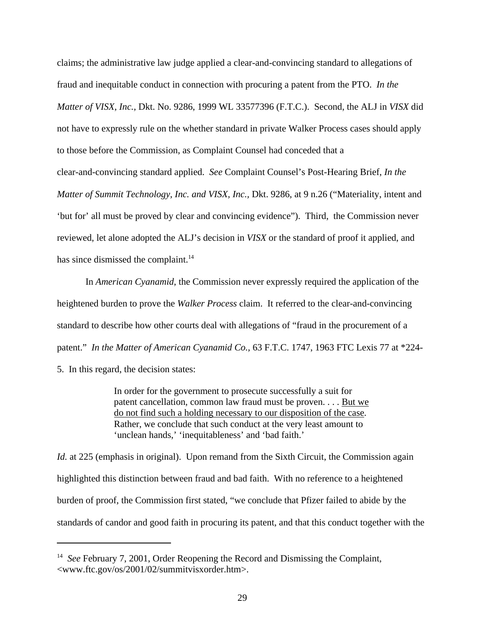claims; the administrative law judge applied a clear-and-convincing standard to allegations of fraud and inequitable conduct in connection with procuring a patent from the PTO. *In the Matter of VISX, Inc.,* Dkt. No. 9286, 1999 WL 33577396 (F.T.C.). Second, the ALJ in *VISX* did not have to expressly rule on the whether standard in private Walker Process cases should apply to those before the Commission, as Complaint Counsel had conceded that a clear-and-convincing standard applied. *See* Complaint Counsel's Post-Hearing Brief, *In the Matter of Summit Technology, Inc. and VISX, Inc.,* Dkt. 9286, at 9 n.26 ("Materiality, intent and 'but for' all must be proved by clear and convincing evidence"). Third, the Commission never reviewed, let alone adopted the ALJ's decision in *VISX* or the standard of proof it applied, and has since dismissed the complaint.<sup>14</sup>

In *American Cyanamid*, the Commission never expressly required the application of the heightened burden to prove the *Walker Process* claim. It referred to the clear-and-convincing standard to describe how other courts deal with allegations of "fraud in the procurement of a patent." *In the Matter of American Cyanamid Co.,* 63 F.T.C. 1747, 1963 FTC Lexis 77 at \*224-

5. In this regard, the decision states:

In order for the government to prosecute successfully a suit for patent cancellation, common law fraud must be proven. . . . But we do not find such a holding necessary to our disposition of the case. Rather, we conclude that such conduct at the very least amount to 'unclean hands,' 'inequitableness' and 'bad faith.'

*Id.* at 225 (emphasis in original). Upon remand from the Sixth Circuit, the Commission again highlighted this distinction between fraud and bad faith. With no reference to a heightened burden of proof, the Commission first stated, "we conclude that Pfizer failed to abide by the standards of candor and good faith in procuring its patent, and that this conduct together with the

<sup>&</sup>lt;sup>14</sup> See February 7, 2001, Order Reopening the Record and Dismissing the Complaint, <www.ftc.gov/os/2001/02/summitvisxorder.htm>.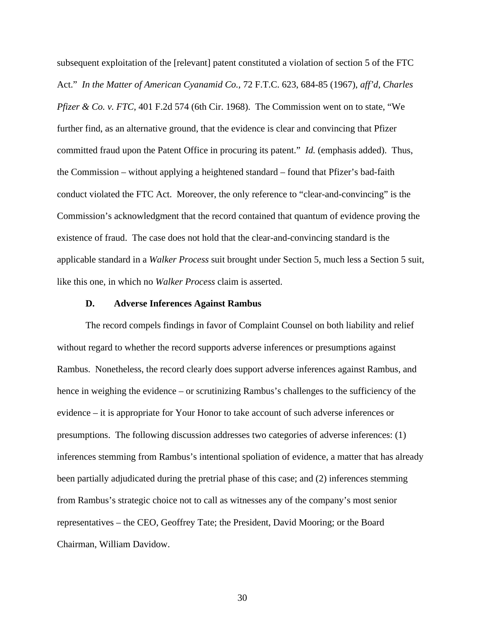subsequent exploitation of the [relevant] patent constituted a violation of section 5 of the FTC Act." *In the Matter of American Cyanamid Co.,* 72 F.T.C. 623, 684-85 (1967), *aff'd*, *Charles Pfizer & Co. v. FTC*, 401 F.2d 574 (6th Cir. 1968). The Commission went on to state, "We further find, as an alternative ground, that the evidence is clear and convincing that Pfizer committed fraud upon the Patent Office in procuring its patent." *Id.* (emphasis added). Thus, the Commission – without applying a heightened standard – found that Pfizer's bad-faith conduct violated the FTC Act. Moreover, the only reference to "clear-and-convincing" is the Commission's acknowledgment that the record contained that quantum of evidence proving the existence of fraud. The case does not hold that the clear-and-convincing standard is the applicable standard in a *Walker Process* suit brought under Section 5, much less a Section 5 suit, like this one, in which no *Walker Process* claim is asserted.

#### **D. Adverse Inferences Against Rambus**

The record compels findings in favor of Complaint Counsel on both liability and relief without regard to whether the record supports adverse inferences or presumptions against Rambus. Nonetheless, the record clearly does support adverse inferences against Rambus, and hence in weighing the evidence – or scrutinizing Rambus's challenges to the sufficiency of the evidence – it is appropriate for Your Honor to take account of such adverse inferences or presumptions. The following discussion addresses two categories of adverse inferences: (1) inferences stemming from Rambus's intentional spoliation of evidence, a matter that has already been partially adjudicated during the pretrial phase of this case; and (2) inferences stemming from Rambus's strategic choice not to call as witnesses any of the company's most senior representatives – the CEO, Geoffrey Tate; the President, David Mooring; or the Board Chairman, William Davidow.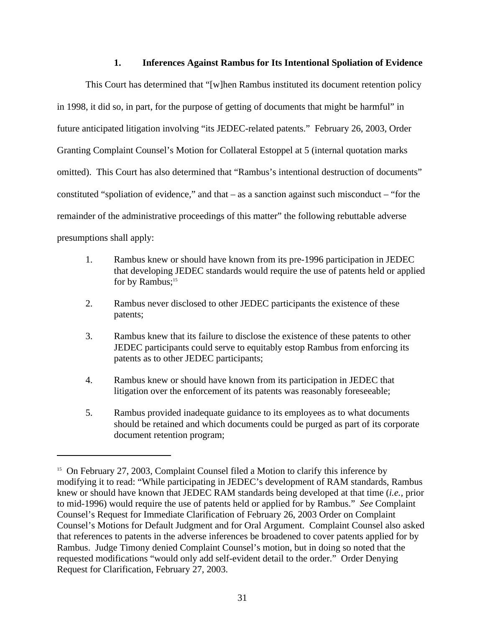## **1. Inferences Against Rambus for Its Intentional Spoliation of Evidence**

This Court has determined that "[w]hen Rambus instituted its document retention policy in 1998, it did so, in part, for the purpose of getting of documents that might be harmful" in future anticipated litigation involving "its JEDEC-related patents." February 26, 2003, Order Granting Complaint Counsel's Motion for Collateral Estoppel at 5 (internal quotation marks omitted). This Court has also determined that "Rambus's intentional destruction of documents" constituted "spoliation of evidence," and that – as a sanction against such misconduct – "for the remainder of the administrative proceedings of this matter" the following rebuttable adverse presumptions shall apply:

- 1. Rambus knew or should have known from its pre-1996 participation in JEDEC that developing JEDEC standards would require the use of patents held or applied for by Rambus;<sup>15</sup>
- 2. Rambus never disclosed to other JEDEC participants the existence of these patents;
- 3. Rambus knew that its failure to disclose the existence of these patents to other JEDEC participants could serve to equitably estop Rambus from enforcing its patents as to other JEDEC participants;
- 4. Rambus knew or should have known from its participation in JEDEC that litigation over the enforcement of its patents was reasonably foreseeable;
- 5. Rambus provided inadequate guidance to its employees as to what documents should be retained and which documents could be purged as part of its corporate document retention program;

<sup>&</sup>lt;sup>15</sup> On February 27, 2003, Complaint Counsel filed a Motion to clarify this inference by modifying it to read: "While participating in JEDEC's development of RAM standards, Rambus knew or should have known that JEDEC RAM standards being developed at that time (*i.e.,* prior to mid-1996) would require the use of patents held or applied for by Rambus." *See* Complaint Counsel's Request for Immediate Clarification of February 26, 2003 Order on Complaint Counsel's Motions for Default Judgment and for Oral Argument. Complaint Counsel also asked that references to patents in the adverse inferences be broadened to cover patents applied for by Rambus. Judge Timony denied Complaint Counsel's motion, but in doing so noted that the requested modifications "would only add self-evident detail to the order." Order Denying Request for Clarification, February 27, 2003.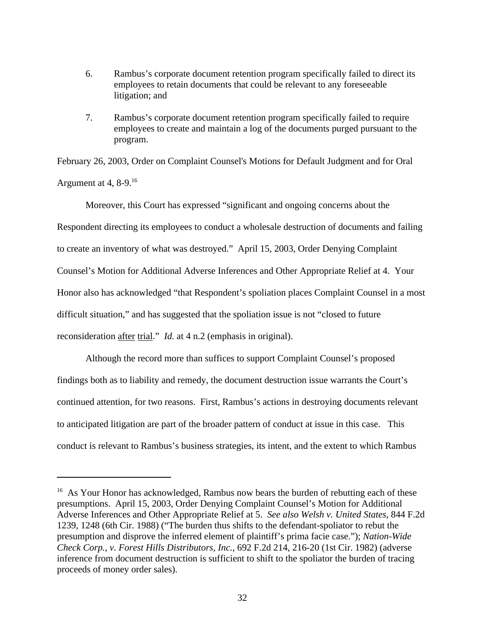- 6. Rambus's corporate document retention program specifically failed to direct its employees to retain documents that could be relevant to any foreseeable litigation; and
- 7. Rambus's corporate document retention program specifically failed to require employees to create and maintain a log of the documents purged pursuant to the program.

February 26, 2003, Order on Complaint Counsel's Motions for Default Judgment and for Oral Argument at 4,  $8-9$ <sup>16</sup>

Moreover, this Court has expressed "significant and ongoing concerns about the Respondent directing its employees to conduct a wholesale destruction of documents and failing to create an inventory of what was destroyed." April 15, 2003, Order Denying Complaint Counsel's Motion for Additional Adverse Inferences and Other Appropriate Relief at 4. Your Honor also has acknowledged "that Respondent's spoliation places Complaint Counsel in a most difficult situation," and has suggested that the spoliation issue is not "closed to future reconsideration after trial." *Id.* at 4 n.2 (emphasis in original).

Although the record more than suffices to support Complaint Counsel's proposed findings both as to liability and remedy, the document destruction issue warrants the Court's continued attention, for two reasons. First, Rambus's actions in destroying documents relevant to anticipated litigation are part of the broader pattern of conduct at issue in this case. This conduct is relevant to Rambus's business strategies, its intent, and the extent to which Rambus

<sup>&</sup>lt;sup>16</sup> As Your Honor has acknowledged, Rambus now bears the burden of rebutting each of these presumptions. April 15, 2003, Order Denying Complaint Counsel's Motion for Additional Adverse Inferences and Other Appropriate Relief at 5. *See also Welsh v. United States*, 844 F.2d 1239, 1248 (6th Cir. 1988) ("The burden thus shifts to the defendant-spoliator to rebut the presumption and disprove the inferred element of plaintiff's prima facie case."); *Nation-Wide Check Corp.*, *v. Forest Hills Distributors, Inc.*, 692 F.2d 214, 216-20 (1st Cir. 1982) (adverse inference from document destruction is sufficient to shift to the spoliator the burden of tracing proceeds of money order sales).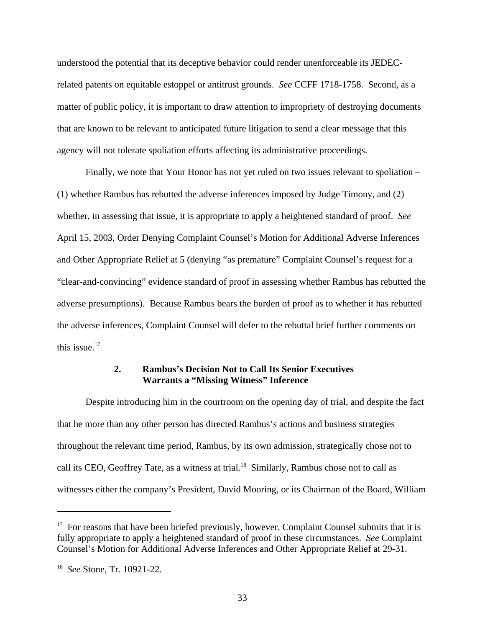understood the potential that its deceptive behavior could render unenforceable its JEDECrelated patents on equitable estoppel or antitrust grounds. *See* CCFF 1718-1758. Second, as a matter of public policy, it is important to draw attention to impropriety of destroying documents that are known to be relevant to anticipated future litigation to send a clear message that this agency will not tolerate spoliation efforts affecting its administrative proceedings.

Finally, we note that Your Honor has not yet ruled on two issues relevant to spoliation – (1) whether Rambus has rebutted the adverse inferences imposed by Judge Timony, and (2) whether, in assessing that issue, it is appropriate to apply a heightened standard of proof. *See* April 15, 2003, Order Denying Complaint Counsel's Motion for Additional Adverse Inferences and Other Appropriate Relief at 5 (denying "as premature" Complaint Counsel's request for a "clear-and-convincing" evidence standard of proof in assessing whether Rambus has rebutted the adverse presumptions). Because Rambus bears the burden of proof as to whether it has rebutted the adverse inferences, Complaint Counsel will defer to the rebuttal brief further comments on this issue.<sup>17</sup>

## **2. Rambus's Decision Not to Call Its Senior Executives Warrants a "Missing Witness" Inference**

Despite introducing him in the courtroom on the opening day of trial, and despite the fact that he more than any other person has directed Rambus's actions and business strategies throughout the relevant time period, Rambus, by its own admission, strategically chose not to call its CEO, Geoffrey Tate, as a witness at trial.<sup>18</sup> Similarly, Rambus chose not to call as witnesses either the company's President, David Mooring, or its Chairman of the Board, William

 $17$  For reasons that have been briefed previously, however, Complaint Counsel submits that it is fully appropriate to apply a heightened standard of proof in these circumstances. *See* Complaint Counsel's Motion for Additional Adverse Inferences and Other Appropriate Relief at 29-31.

<sup>18</sup> *See* Stone, Tr. 10921-22.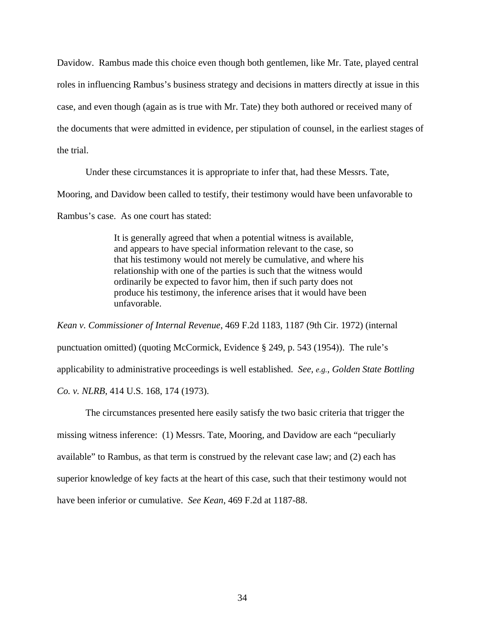Davidow. Rambus made this choice even though both gentlemen, like Mr. Tate, played central roles in influencing Rambus's business strategy and decisions in matters directly at issue in this case, and even though (again as is true with Mr. Tate) they both authored or received many of the documents that were admitted in evidence, per stipulation of counsel, in the earliest stages of the trial.

Under these circumstances it is appropriate to infer that, had these Messrs. Tate,

Mooring, and Davidow been called to testify, their testimony would have been unfavorable to

Rambus's case. As one court has stated:

It is generally agreed that when a potential witness is available, and appears to have special information relevant to the case, so that his testimony would not merely be cumulative, and where his relationship with one of the parties is such that the witness would ordinarily be expected to favor him, then if such party does not produce his testimony, the inference arises that it would have been unfavorable.

*Kean v. Commissioner of Internal Revenue*, 469 F.2d 1183, 1187 (9th Cir. 1972) (internal punctuation omitted) (quoting McCormick, Evidence § 249, p. 543 (1954)). The rule's applicability to administrative proceedings is well established. *See, e.g.*, *Golden State Bottling Co. v. NLRB*, 414 U.S. 168, 174 (1973).

The circumstances presented here easily satisfy the two basic criteria that trigger the missing witness inference: (1) Messrs. Tate, Mooring, and Davidow are each "peculiarly available" to Rambus, as that term is construed by the relevant case law; and (2) each has superior knowledge of key facts at the heart of this case, such that their testimony would not have been inferior or cumulative. *See Kean*, 469 F.2d at 1187-88.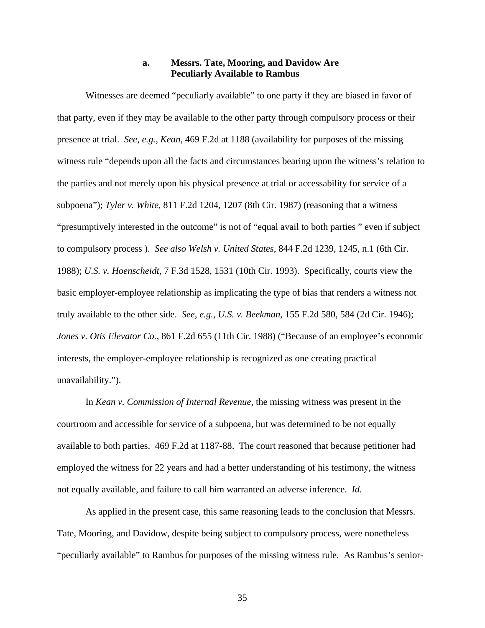## **a. Messrs. Tate, Mooring, and Davidow Are Peculiarly Available to Rambus**

Witnesses are deemed "peculiarly available" to one party if they are biased in favor of that party, even if they may be available to the other party through compulsory process or their presence at trial. *See, e.g., Kean*, 469 F.2d at 1188 (availability for purposes of the missing witness rule "depends upon all the facts and circumstances bearing upon the witness's relation to the parties and not merely upon his physical presence at trial or accessability for service of a subpoena"); *Tyler v. White*, 811 F.2d 1204, 1207 (8th Cir. 1987) (reasoning that a witness "presumptively interested in the outcome" is not of "equal avail to both parties " even if subject to compulsory process ). *See also Welsh v. United States*, 844 F.2d 1239, 1245, n.1 (6th Cir. 1988); *U.S. v. Hoenscheidt*, 7 F.3d 1528, 1531 (10th Cir. 1993). Specifically, courts view the basic employer-employee relationship as implicating the type of bias that renders a witness not truly available to the other side. *See, e.g., U.S. v. Beekman*, 155 F.2d 580, 584 (2d Cir. 1946); *Jones v. Otis Elevator Co.*, 861 F.2d 655 (11th Cir. 1988) ("Because of an employee's economic interests, the employer-employee relationship is recognized as one creating practical unavailability.").

In *Kean v. Commission of Internal Revenue*, the missing witness was present in the courtroom and accessible for service of a subpoena, but was determined to be not equally available to both parties. 469 F.2d at 1187-88. The court reasoned that because petitioner had employed the witness for 22 years and had a better understanding of his testimony, the witness not equally available, and failure to call him warranted an adverse inference. *Id.*

As applied in the present case, this same reasoning leads to the conclusion that Messrs. Tate, Mooring, and Davidow, despite being subject to compulsory process, were nonetheless "peculiarly available" to Rambus for purposes of the missing witness rule. As Rambus's senior-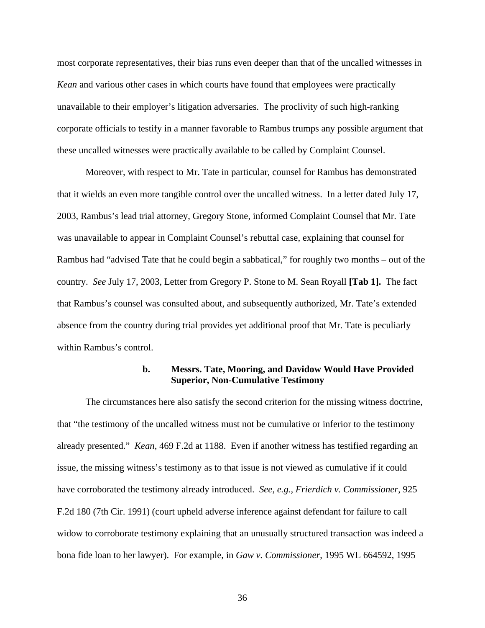most corporate representatives, their bias runs even deeper than that of the uncalled witnesses in *Kean* and various other cases in which courts have found that employees were practically unavailable to their employer's litigation adversaries. The proclivity of such high-ranking corporate officials to testify in a manner favorable to Rambus trumps any possible argument that these uncalled witnesses were practically available to be called by Complaint Counsel.

Moreover, with respect to Mr. Tate in particular, counsel for Rambus has demonstrated that it wields an even more tangible control over the uncalled witness. In a letter dated July 17, 2003, Rambus's lead trial attorney, Gregory Stone, informed Complaint Counsel that Mr. Tate was unavailable to appear in Complaint Counsel's rebuttal case, explaining that counsel for Rambus had "advised Tate that he could begin a sabbatical," for roughly two months – out of the country. *See* July 17, 2003, Letter from Gregory P. Stone to M. Sean Royall **[Tab 1].** The fact that Rambus's counsel was consulted about, and subsequently authorized, Mr. Tate's extended absence from the country during trial provides yet additional proof that Mr. Tate is peculiarly within Rambus's control.

### **b. Messrs. Tate, Mooring, and Davidow Would Have Provided Superior, Non-Cumulative Testimony**

The circumstances here also satisfy the second criterion for the missing witness doctrine, that "the testimony of the uncalled witness must not be cumulative or inferior to the testimony already presented." *Kean*, 469 F.2d at 1188. Even if another witness has testified regarding an issue, the missing witness's testimony as to that issue is not viewed as cumulative if it could have corroborated the testimony already introduced. *See, e.g., Frierdich v. Commissioner*, 925 F.2d 180 (7th Cir. 1991) (court upheld adverse inference against defendant for failure to call widow to corroborate testimony explaining that an unusually structured transaction was indeed a bona fide loan to her lawyer). For example, in *Gaw v. Commissioner*, 1995 WL 664592, 1995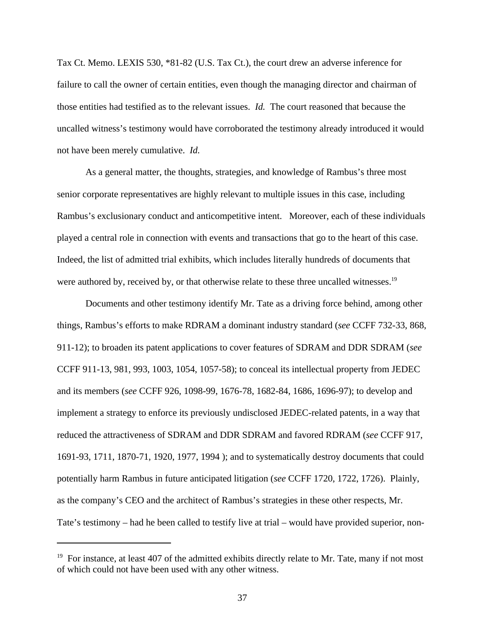Tax Ct. Memo. LEXIS 530, \*81-82 (U.S. Tax Ct.), the court drew an adverse inference for failure to call the owner of certain entities, even though the managing director and chairman of those entities had testified as to the relevant issues. *Id.* The court reasoned that because the uncalled witness's testimony would have corroborated the testimony already introduced it would not have been merely cumulative. *Id.*

As a general matter, the thoughts, strategies, and knowledge of Rambus's three most senior corporate representatives are highly relevant to multiple issues in this case, including Rambus's exclusionary conduct and anticompetitive intent. Moreover, each of these individuals played a central role in connection with events and transactions that go to the heart of this case. Indeed, the list of admitted trial exhibits, which includes literally hundreds of documents that were authored by, received by, or that otherwise relate to these three uncalled witnesses.<sup>19</sup>

Documents and other testimony identify Mr. Tate as a driving force behind, among other things, Rambus's efforts to make RDRAM a dominant industry standard (*see* CCFF 732-33, 868, 911-12); to broaden its patent applications to cover features of SDRAM and DDR SDRAM (*see* CCFF 911-13, 981, 993, 1003, 1054, 1057-58); to conceal its intellectual property from JEDEC and its members (*see* CCFF 926, 1098-99, 1676-78, 1682-84, 1686, 1696-97); to develop and implement a strategy to enforce its previously undisclosed JEDEC-related patents, in a way that reduced the attractiveness of SDRAM and DDR SDRAM and favored RDRAM (*see* CCFF 917, 1691-93, 1711, 1870-71, 1920, 1977, 1994 ); and to systematically destroy documents that could potentially harm Rambus in future anticipated litigation (*see* CCFF 1720, 1722, 1726). Plainly, as the company's CEO and the architect of Rambus's strategies in these other respects, Mr. Tate's testimony – had he been called to testify live at trial – would have provided superior, non-

<sup>&</sup>lt;sup>19</sup> For instance, at least 407 of the admitted exhibits directly relate to Mr. Tate, many if not most of which could not have been used with any other witness.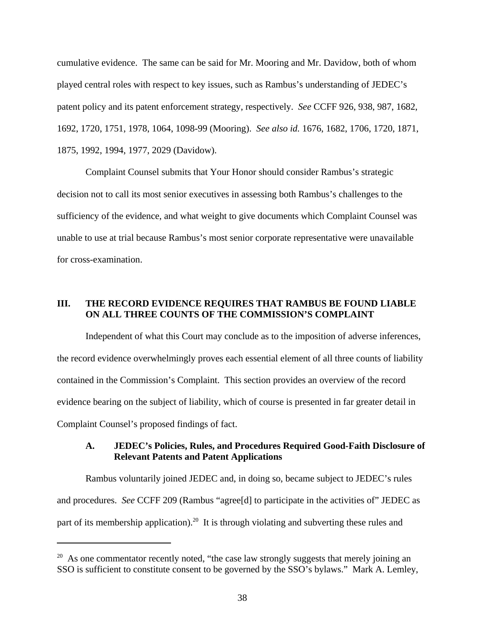cumulative evidence. The same can be said for Mr. Mooring and Mr. Davidow, both of whom played central roles with respect to key issues, such as Rambus's understanding of JEDEC's patent policy and its patent enforcement strategy, respectively. *See* CCFF 926, 938, 987, 1682, 1692, 1720, 1751, 1978, 1064, 1098-99 (Mooring). *See also id.* 1676, 1682, 1706, 1720, 1871, 1875, 1992, 1994, 1977, 2029 (Davidow).

Complaint Counsel submits that Your Honor should consider Rambus's strategic decision not to call its most senior executives in assessing both Rambus's challenges to the sufficiency of the evidence, and what weight to give documents which Complaint Counsel was unable to use at trial because Rambus's most senior corporate representative were unavailable for cross-examination.

## **III. THE RECORD EVIDENCE REQUIRES THAT RAMBUS BE FOUND LIABLE ON ALL THREE COUNTS OF THE COMMISSION'S COMPLAINT**

Independent of what this Court may conclude as to the imposition of adverse inferences, the record evidence overwhelmingly proves each essential element of all three counts of liability contained in the Commission's Complaint. This section provides an overview of the record evidence bearing on the subject of liability, which of course is presented in far greater detail in Complaint Counsel's proposed findings of fact.

# **A. JEDEC's Policies, Rules, and Procedures Required Good-Faith Disclosure of Relevant Patents and Patent Applications**

Rambus voluntarily joined JEDEC and, in doing so, became subject to JEDEC's rules and procedures. *See* CCFF 209 (Rambus "agree[d] to participate in the activities of" JEDEC as part of its membership application).<sup>20</sup> It is through violating and subverting these rules and

 $20$  As one commentator recently noted, "the case law strongly suggests that merely joining an SSO is sufficient to constitute consent to be governed by the SSO's bylaws." Mark A. Lemley,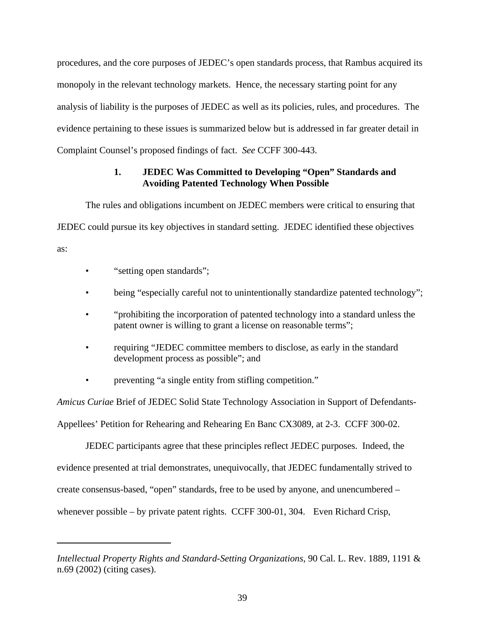procedures, and the core purposes of JEDEC's open standards process, that Rambus acquired its monopoly in the relevant technology markets. Hence, the necessary starting point for any analysis of liability is the purposes of JEDEC as well as its policies, rules, and procedures. The evidence pertaining to these issues is summarized below but is addressed in far greater detail in Complaint Counsel's proposed findings of fact. *See* CCFF 300-443.

# **1. JEDEC Was Committed to Developing "Open" Standards and Avoiding Patented Technology When Possible**

The rules and obligations incumbent on JEDEC members were critical to ensuring that JEDEC could pursue its key objectives in standard setting. JEDEC identified these objectives as:

- "setting open standards";
- being "especially careful not to unintentionally standardize patented technology";
- "prohibiting the incorporation of patented technology into a standard unless the patent owner is willing to grant a license on reasonable terms";
- requiring "JEDEC committee members to disclose, as early in the standard development process as possible"; and
- preventing "a single entity from stifling competition."

*Amicus Curiae* Brief of JEDEC Solid State Technology Association in Support of Defendants-Appellees' Petition for Rehearing and Rehearing En Banc CX3089, at 2-3. CCFF 300-02.

JEDEC participants agree that these principles reflect JEDEC purposes. Indeed, the evidence presented at trial demonstrates, unequivocally, that JEDEC fundamentally strived to create consensus-based, "open" standards, free to be used by anyone, and unencumbered – whenever possible – by private patent rights. CCFF 300-01, 304. Even Richard Crisp,

*Intellectual Property Rights and Standard-Setting Organizations*, 90 Cal. L. Rev. 1889, 1191 & n.69 (2002) (citing cases).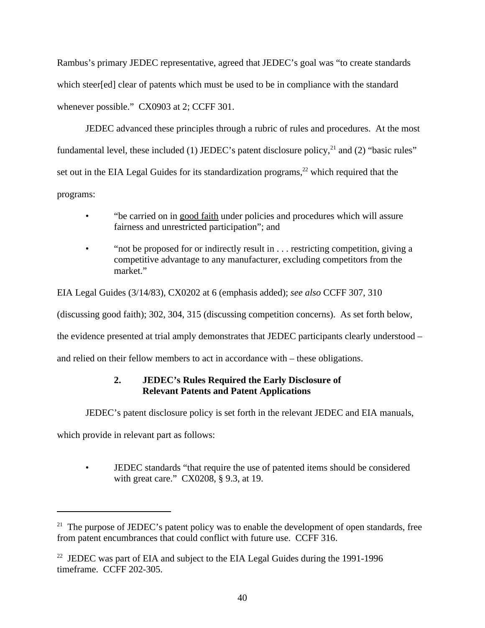Rambus's primary JEDEC representative, agreed that JEDEC's goal was "to create standards which steer[ed] clear of patents which must be used to be in compliance with the standard whenever possible." CX0903 at 2; CCFF 301.

JEDEC advanced these principles through a rubric of rules and procedures. At the most fundamental level, these included (1) JEDEC's patent disclosure policy,<sup>21</sup> and (2) "basic rules" set out in the EIA Legal Guides for its standardization programs,<sup>22</sup> which required that the programs:

- "be carried on in good faith under policies and procedures which will assure fairness and unrestricted participation"; and
- "not be proposed for or indirectly result in . . . restricting competition, giving a competitive advantage to any manufacturer, excluding competitors from the market."

EIA Legal Guides (3/14/83), CX0202 at 6 (emphasis added); *see also* CCFF 307, 310 (discussing good faith); 302, 304, 315 (discussing competition concerns). As set forth below, the evidence presented at trial amply demonstrates that JEDEC participants clearly understood – and relied on their fellow members to act in accordance with – these obligations.

# **2. JEDEC's Rules Required the Early Disclosure of Relevant Patents and Patent Applications**

JEDEC's patent disclosure policy is set forth in the relevant JEDEC and EIA manuals,

which provide in relevant part as follows:

• JEDEC standards "that require the use of patented items should be considered with great care." CX0208, § 9.3, at 19.

<sup>&</sup>lt;sup>21</sup> The purpose of JEDEC's patent policy was to enable the development of open standards, free from patent encumbrances that could conflict with future use. CCFF 316.

<sup>&</sup>lt;sup>22</sup> JEDEC was part of EIA and subject to the EIA Legal Guides during the 1991-1996 timeframe. CCFF 202-305.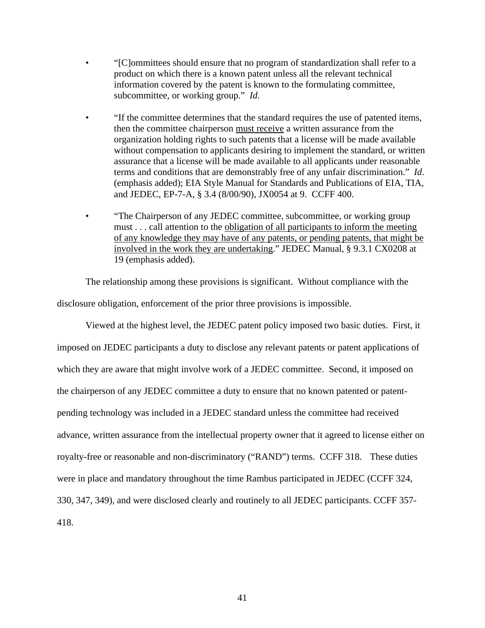- "[C]ommittees should ensure that no program of standardization shall refer to a product on which there is a known patent unless all the relevant technical information covered by the patent is known to the formulating committee, subcommittee, or working group." *Id*.
- "If the committee determines that the standard requires the use of patented items, then the committee chairperson must receive a written assurance from the organization holding rights to such patents that a license will be made available without compensation to applicants desiring to implement the standard, or written assurance that a license will be made available to all applicants under reasonable terms and conditions that are demonstrably free of any unfair discrimination." *Id*. (emphasis added); EIA Style Manual for Standards and Publications of EIA, TIA, and JEDEC, EP-7-A, § 3.4 (8/00/90), JX0054 at 9. CCFF 400.
- "The Chairperson of any JEDEC committee, subcommittee, or working group must . . . call attention to the obligation of all participants to inform the meeting of any knowledge they may have of any patents, or pending patents, that might be involved in the work they are undertaking." JEDEC Manual, § 9.3.1 CX0208 at 19 (emphasis added).

The relationship among these provisions is significant. Without compliance with the disclosure obligation, enforcement of the prior three provisions is impossible.

Viewed at the highest level, the JEDEC patent policy imposed two basic duties. First, it imposed on JEDEC participants a duty to disclose any relevant patents or patent applications of which they are aware that might involve work of a JEDEC committee. Second, it imposed on the chairperson of any JEDEC committee a duty to ensure that no known patented or patentpending technology was included in a JEDEC standard unless the committee had received advance, written assurance from the intellectual property owner that it agreed to license either on royalty-free or reasonable and non-discriminatory ("RAND") terms. CCFF 318. These duties were in place and mandatory throughout the time Rambus participated in JEDEC (CCFF 324, 330, 347, 349), and were disclosed clearly and routinely to all JEDEC participants. CCFF 357- 418.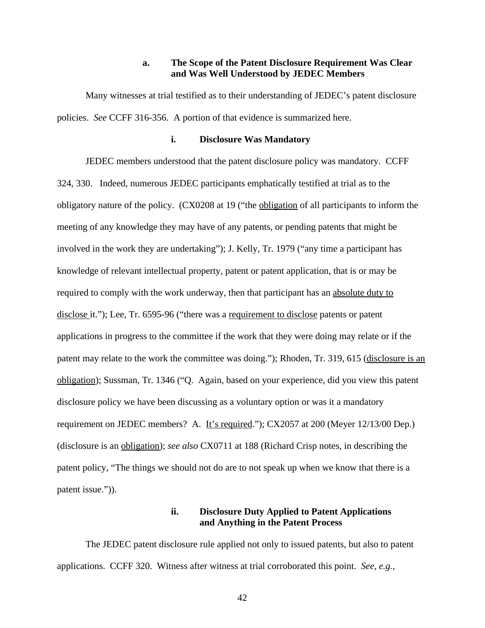### **a. The Scope of the Patent Disclosure Requirement Was Clear and Was Well Understood by JEDEC Members**

Many witnesses at trial testified as to their understanding of JEDEC's patent disclosure policies. *See* CCFF 316-356. A portion of that evidence is summarized here.

### **i. Disclosure Was Mandatory**

JEDEC members understood that the patent disclosure policy was mandatory. CCFF 324, 330. Indeed, numerous JEDEC participants emphatically testified at trial as to the obligatory nature of the policy. (CX0208 at 19 ("the obligation of all participants to inform the meeting of any knowledge they may have of any patents, or pending patents that might be involved in the work they are undertaking"); J. Kelly, Tr. 1979 ("any time a participant has knowledge of relevant intellectual property, patent or patent application, that is or may be required to comply with the work underway, then that participant has an absolute duty to disclose it."); Lee, Tr. 6595-96 ("there was a requirement to disclose patents or patent applications in progress to the committee if the work that they were doing may relate or if the patent may relate to the work the committee was doing."); Rhoden, Tr. 319, 615 (disclosure is an obligation); Sussman, Tr. 1346 ("Q. Again, based on your experience, did you view this patent disclosure policy we have been discussing as a voluntary option or was it a mandatory requirement on JEDEC members? A. It's required."); CX2057 at 200 (Meyer 12/13/00 Dep.) (disclosure is an obligation); *see also* CX0711 at 188 (Richard Crisp notes, in describing the patent policy, "The things we should not do are to not speak up when we know that there is a patent issue.")).

# **ii. Disclosure Duty Applied to Patent Applications and Anything in the Patent Process**

The JEDEC patent disclosure rule applied not only to issued patents, but also to patent applications. CCFF 320. Witness after witness at trial corroborated this point. *See, e.g.*,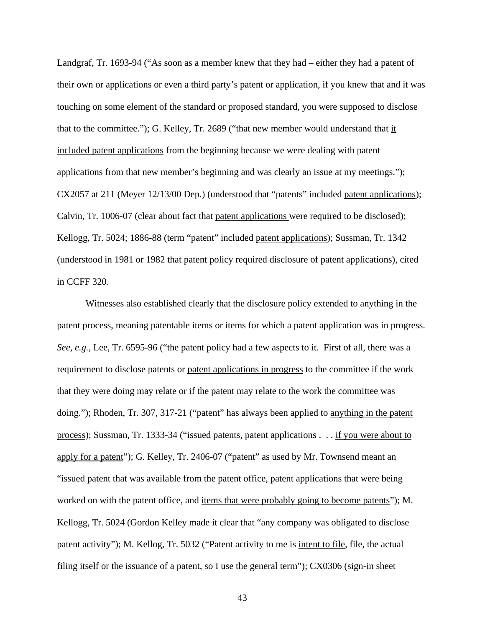Landgraf, Tr. 1693-94 ("As soon as a member knew that they had – either they had a patent of their own or applications or even a third party's patent or application, if you knew that and it was touching on some element of the standard or proposed standard, you were supposed to disclose that to the committee."); G. Kelley, Tr. 2689 ("that new member would understand that it included patent applications from the beginning because we were dealing with patent applications from that new member's beginning and was clearly an issue at my meetings."); CX2057 at 211 (Meyer 12/13/00 Dep.) (understood that "patents" included patent applications); Calvin, Tr. 1006-07 (clear about fact that patent applications were required to be disclosed); Kellogg, Tr. 5024; 1886-88 (term "patent" included patent applications); Sussman, Tr. 1342 (understood in 1981 or 1982 that patent policy required disclosure of patent applications), cited in CCFF 320.

Witnesses also established clearly that the disclosure policy extended to anything in the patent process, meaning patentable items or items for which a patent application was in progress. *See, e.g.,* Lee, Tr. 6595-96 ("the patent policy had a few aspects to it. First of all, there was a requirement to disclose patents or patent applications in progress to the committee if the work that they were doing may relate or if the patent may relate to the work the committee was doing."); Rhoden, Tr. 307, 317-21 ("patent" has always been applied to anything in the patent process); Sussman, Tr. 1333-34 ("issued patents, patent applications . . . if you were about to apply for a patent"); G. Kelley, Tr. 2406-07 ("patent" as used by Mr. Townsend meant an "issued patent that was available from the patent office, patent applications that were being worked on with the patent office, and <u>items that were probably going to become patents</u>"); M. Kellogg, Tr. 5024 (Gordon Kelley made it clear that "any company was obligated to disclose patent activity"); M. Kellog, Tr. 5032 ("Patent activity to me is intent to file, file, the actual filing itself or the issuance of a patent, so I use the general term"); CX0306 (sign-in sheet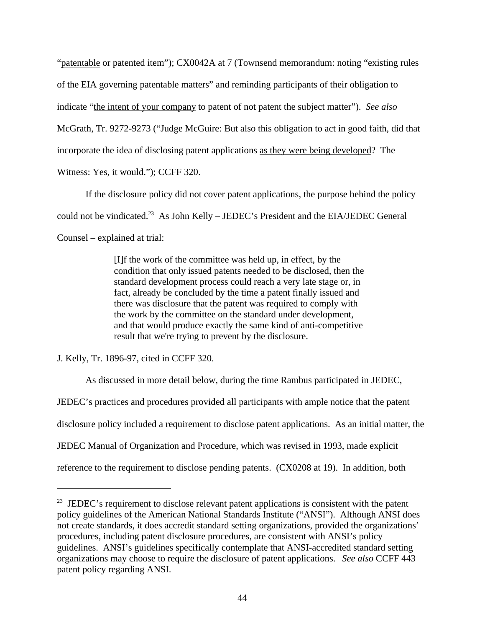"patentable or patented item"); CX0042A at 7 (Townsend memorandum: noting "existing rules of the EIA governing patentable matters" and reminding participants of their obligation to indicate "the intent of your company to patent of not patent the subject matter"). *See also* McGrath, Tr. 9272-9273 ("Judge McGuire: But also this obligation to act in good faith, did that incorporate the idea of disclosing patent applications as they were being developed? The Witness: Yes, it would."); CCFF 320.

If the disclosure policy did not cover patent applications, the purpose behind the policy could not be vindicated.<sup>23</sup> As John Kelly – JEDEC's President and the EIA/JEDEC General Counsel – explained at trial:

> [I]f the work of the committee was held up, in effect, by the condition that only issued patents needed to be disclosed, then the standard development process could reach a very late stage or, in fact, already be concluded by the time a patent finally issued and there was disclosure that the patent was required to comply with the work by the committee on the standard under development, and that would produce exactly the same kind of anti-competitive result that we're trying to prevent by the disclosure.

J. Kelly, Tr. 1896-97, cited in CCFF 320.

As discussed in more detail below, during the time Rambus participated in JEDEC,

JEDEC's practices and procedures provided all participants with ample notice that the patent

disclosure policy included a requirement to disclose patent applications. As an initial matter, the

JEDEC Manual of Organization and Procedure, which was revised in 1993, made explicit

reference to the requirement to disclose pending patents. (CX0208 at 19). In addition, both

 $23$  JEDEC's requirement to disclose relevant patent applications is consistent with the patent policy guidelines of the American National Standards Institute ("ANSI"). Although ANSI does not create standards, it does accredit standard setting organizations, provided the organizations' procedures, including patent disclosure procedures, are consistent with ANSI's policy guidelines. ANSI's guidelines specifically contemplate that ANSI-accredited standard setting organizations may choose to require the disclosure of patent applications. *See also* CCFF 443 patent policy regarding ANSI.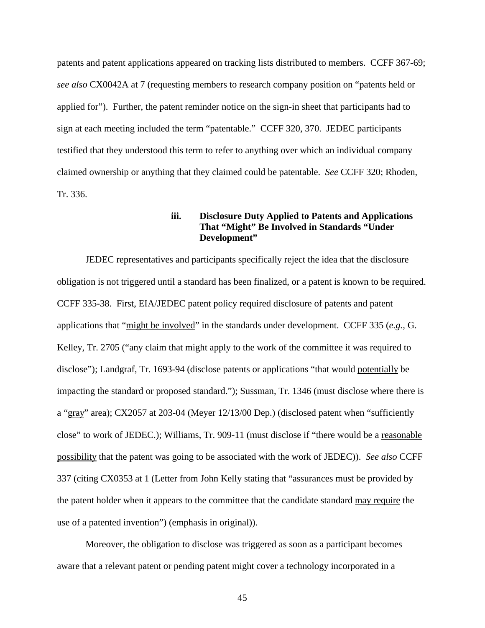patents and patent applications appeared on tracking lists distributed to members. CCFF 367-69; *see also* CX0042A at 7 (requesting members to research company position on "patents held or applied for"). Further, the patent reminder notice on the sign-in sheet that participants had to sign at each meeting included the term "patentable." CCFF 320, 370. JEDEC participants testified that they understood this term to refer to anything over which an individual company claimed ownership or anything that they claimed could be patentable. *See* CCFF 320; Rhoden, Tr. 336.

## **iii. Disclosure Duty Applied to Patents and Applications That "Might" Be Involved in Standards "Under Development"**

JEDEC representatives and participants specifically reject the idea that the disclosure obligation is not triggered until a standard has been finalized, or a patent is known to be required. CCFF 335-38. First, EIA/JEDEC patent policy required disclosure of patents and patent applications that "might be involved" in the standards under development. CCFF 335 (*e.g.,* G. Kelley, Tr. 2705 ("any claim that might apply to the work of the committee it was required to disclose"); Landgraf, Tr. 1693-94 (disclose patents or applications "that would potentially be impacting the standard or proposed standard."); Sussman, Tr. 1346 (must disclose where there is a "gray" area); CX2057 at 203-04 (Meyer 12/13/00 Dep.) (disclosed patent when "sufficiently close" to work of JEDEC.); Williams, Tr. 909-11 (must disclose if "there would be a reasonable possibility that the patent was going to be associated with the work of JEDEC)). *See also* CCFF 337 (citing CX0353 at 1 (Letter from John Kelly stating that "assurances must be provided by the patent holder when it appears to the committee that the candidate standard may require the use of a patented invention") (emphasis in original)).

Moreover, the obligation to disclose was triggered as soon as a participant becomes aware that a relevant patent or pending patent might cover a technology incorporated in a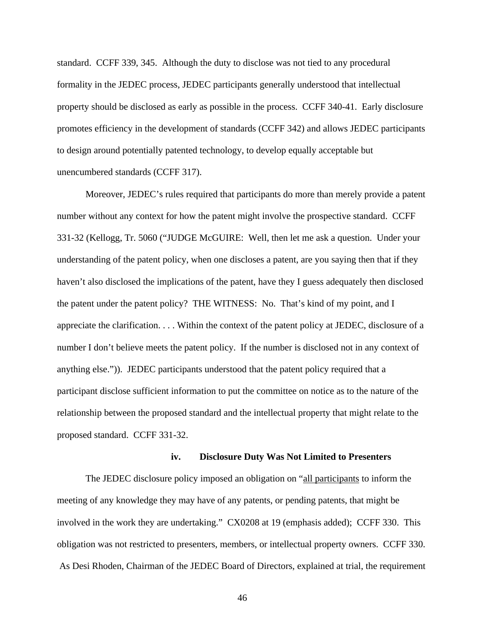standard. CCFF 339, 345. Although the duty to disclose was not tied to any procedural formality in the JEDEC process, JEDEC participants generally understood that intellectual property should be disclosed as early as possible in the process. CCFF 340-41. Early disclosure promotes efficiency in the development of standards (CCFF 342) and allows JEDEC participants to design around potentially patented technology, to develop equally acceptable but unencumbered standards (CCFF 317).

Moreover, JEDEC's rules required that participants do more than merely provide a patent number without any context for how the patent might involve the prospective standard. CCFF 331-32 (Kellogg, Tr. 5060 ("JUDGE McGUIRE: Well, then let me ask a question. Under your understanding of the patent policy, when one discloses a patent, are you saying then that if they haven't also disclosed the implications of the patent, have they I guess adequately then disclosed the patent under the patent policy? THE WITNESS: No. That's kind of my point, and I appreciate the clarification. . . . Within the context of the patent policy at JEDEC, disclosure of a number I don't believe meets the patent policy. If the number is disclosed not in any context of anything else.")). JEDEC participants understood that the patent policy required that a participant disclose sufficient information to put the committee on notice as to the nature of the relationship between the proposed standard and the intellectual property that might relate to the proposed standard. CCFF 331-32.

#### **iv. Disclosure Duty Was Not Limited to Presenters**

The JEDEC disclosure policy imposed an obligation on "all participants to inform the meeting of any knowledge they may have of any patents, or pending patents, that might be involved in the work they are undertaking." CX0208 at 19 (emphasis added); CCFF 330. This obligation was not restricted to presenters, members, or intellectual property owners. CCFF 330. As Desi Rhoden, Chairman of the JEDEC Board of Directors, explained at trial, the requirement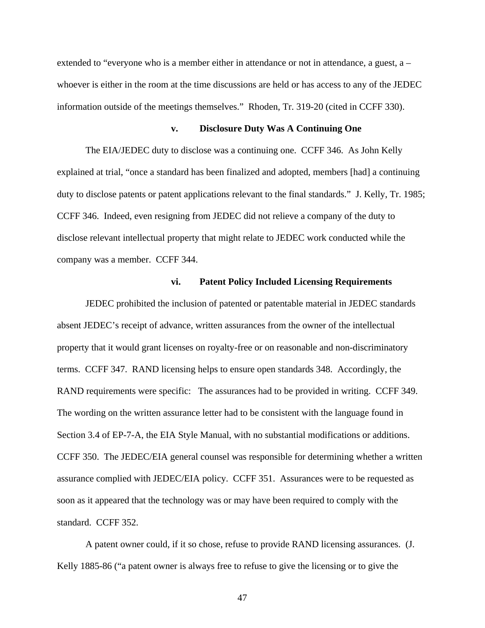extended to "everyone who is a member either in attendance or not in attendance, a guest, a – whoever is either in the room at the time discussions are held or has access to any of the JEDEC information outside of the meetings themselves." Rhoden, Tr. 319-20 (cited in CCFF 330).

### **v. Disclosure Duty Was A Continuing One**

The EIA/JEDEC duty to disclose was a continuing one. CCFF 346. As John Kelly explained at trial, "once a standard has been finalized and adopted, members [had] a continuing duty to disclose patents or patent applications relevant to the final standards." J. Kelly, Tr. 1985; CCFF 346. Indeed, even resigning from JEDEC did not relieve a company of the duty to disclose relevant intellectual property that might relate to JEDEC work conducted while the company was a member. CCFF 344.

#### **vi. Patent Policy Included Licensing Requirements**

JEDEC prohibited the inclusion of patented or patentable material in JEDEC standards absent JEDEC's receipt of advance, written assurances from the owner of the intellectual property that it would grant licenses on royalty-free or on reasonable and non-discriminatory terms. CCFF 347. RAND licensing helps to ensure open standards 348. Accordingly, the RAND requirements were specific: The assurances had to be provided in writing. CCFF 349. The wording on the written assurance letter had to be consistent with the language found in Section 3.4 of EP-7-A, the EIA Style Manual, with no substantial modifications or additions. CCFF 350. The JEDEC/EIA general counsel was responsible for determining whether a written assurance complied with JEDEC/EIA policy. CCFF 351. Assurances were to be requested as soon as it appeared that the technology was or may have been required to comply with the standard. CCFF 352.

A patent owner could, if it so chose, refuse to provide RAND licensing assurances. (J. Kelly 1885-86 ("a patent owner is always free to refuse to give the licensing or to give the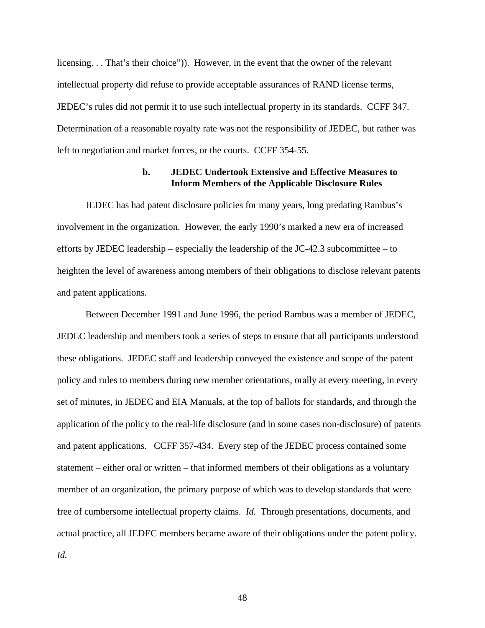licensing. . . That's their choice")). However, in the event that the owner of the relevant intellectual property did refuse to provide acceptable assurances of RAND license terms, JEDEC's rules did not permit it to use such intellectual property in its standards. CCFF 347. Determination of a reasonable royalty rate was not the responsibility of JEDEC, but rather was left to negotiation and market forces, or the courts. CCFF 354-55.

### **b. JEDEC Undertook Extensive and Effective Measures to Inform Members of the Applicable Disclosure Rules**

JEDEC has had patent disclosure policies for many years, long predating Rambus's involvement in the organization. However, the early 1990's marked a new era of increased efforts by JEDEC leadership – especially the leadership of the JC-42.3 subcommittee – to heighten the level of awareness among members of their obligations to disclose relevant patents and patent applications.

Between December 1991 and June 1996, the period Rambus was a member of JEDEC, JEDEC leadership and members took a series of steps to ensure that all participants understood these obligations. JEDEC staff and leadership conveyed the existence and scope of the patent policy and rules to members during new member orientations, orally at every meeting, in every set of minutes, in JEDEC and EIA Manuals, at the top of ballots for standards, and through the application of the policy to the real-life disclosure (and in some cases non-disclosure) of patents and patent applications. CCFF 357-434. Every step of the JEDEC process contained some statement – either oral or written – that informed members of their obligations as a voluntary member of an organization, the primary purpose of which was to develop standards that were free of cumbersome intellectual property claims. *Id.* Through presentations, documents, and actual practice, all JEDEC members became aware of their obligations under the patent policy. *Id.*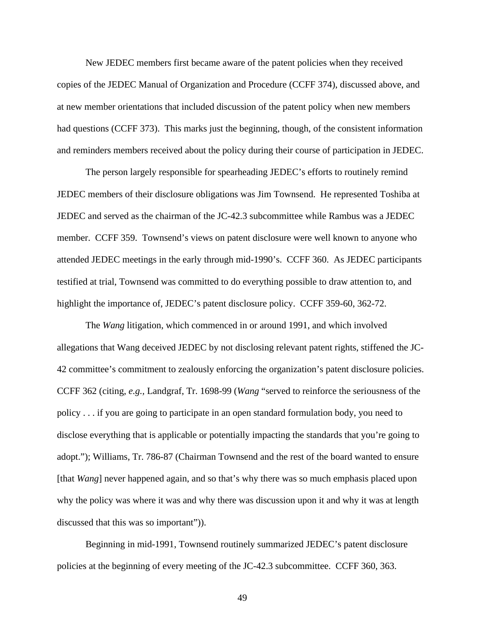New JEDEC members first became aware of the patent policies when they received copies of the JEDEC Manual of Organization and Procedure (CCFF 374), discussed above, and at new member orientations that included discussion of the patent policy when new members had questions (CCFF 373). This marks just the beginning, though, of the consistent information and reminders members received about the policy during their course of participation in JEDEC.

The person largely responsible for spearheading JEDEC's efforts to routinely remind JEDEC members of their disclosure obligations was Jim Townsend. He represented Toshiba at JEDEC and served as the chairman of the JC-42.3 subcommittee while Rambus was a JEDEC member. CCFF 359. Townsend's views on patent disclosure were well known to anyone who attended JEDEC meetings in the early through mid-1990's. CCFF 360. As JEDEC participants testified at trial, Townsend was committed to do everything possible to draw attention to, and highlight the importance of, JEDEC's patent disclosure policy. CCFF 359-60, 362-72.

The *Wang* litigation, which commenced in or around 1991, and which involved allegations that Wang deceived JEDEC by not disclosing relevant patent rights, stiffened the JC-42 committee's commitment to zealously enforcing the organization's patent disclosure policies. CCFF 362 (citing, *e.g.,* Landgraf, Tr. 1698-99 (*Wang* "served to reinforce the seriousness of the policy . . . if you are going to participate in an open standard formulation body, you need to disclose everything that is applicable or potentially impacting the standards that you're going to adopt."); Williams, Tr. 786-87 (Chairman Townsend and the rest of the board wanted to ensure [that *Wang*] never happened again, and so that's why there was so much emphasis placed upon why the policy was where it was and why there was discussion upon it and why it was at length discussed that this was so important")).

Beginning in mid-1991, Townsend routinely summarized JEDEC's patent disclosure policies at the beginning of every meeting of the JC-42.3 subcommittee. CCFF 360, 363.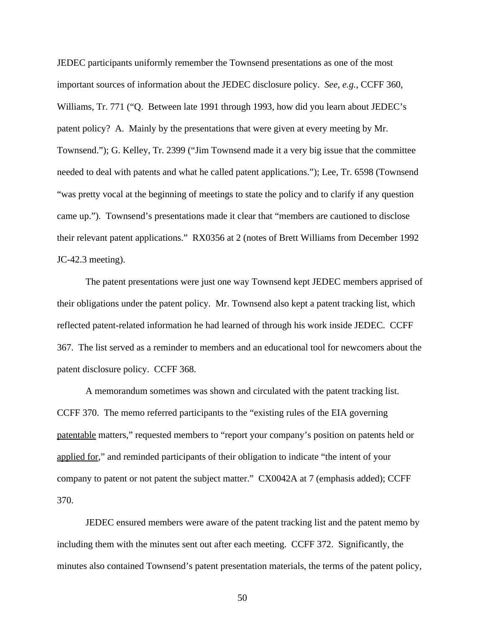JEDEC participants uniformly remember the Townsend presentations as one of the most important sources of information about the JEDEC disclosure policy. *See, e.g.,* CCFF 360, Williams, Tr. 771 ("Q. Between late 1991 through 1993, how did you learn about JEDEC's patent policy? A. Mainly by the presentations that were given at every meeting by Mr. Townsend."); G. Kelley, Tr. 2399 ("Jim Townsend made it a very big issue that the committee needed to deal with patents and what he called patent applications."); Lee, Tr. 6598 (Townsend "was pretty vocal at the beginning of meetings to state the policy and to clarify if any question came up."). Townsend's presentations made it clear that "members are cautioned to disclose their relevant patent applications." RX0356 at 2 (notes of Brett Williams from December 1992 JC-42.3 meeting).

The patent presentations were just one way Townsend kept JEDEC members apprised of their obligations under the patent policy. Mr. Townsend also kept a patent tracking list, which reflected patent-related information he had learned of through his work inside JEDEC. CCFF 367. The list served as a reminder to members and an educational tool for newcomers about the patent disclosure policy. CCFF 368.

A memorandum sometimes was shown and circulated with the patent tracking list. CCFF 370. The memo referred participants to the "existing rules of the EIA governing patentable matters," requested members to "report your company's position on patents held or applied for," and reminded participants of their obligation to indicate "the intent of your company to patent or not patent the subject matter." CX0042A at 7 (emphasis added); CCFF 370.

JEDEC ensured members were aware of the patent tracking list and the patent memo by including them with the minutes sent out after each meeting. CCFF 372. Significantly, the minutes also contained Townsend's patent presentation materials, the terms of the patent policy,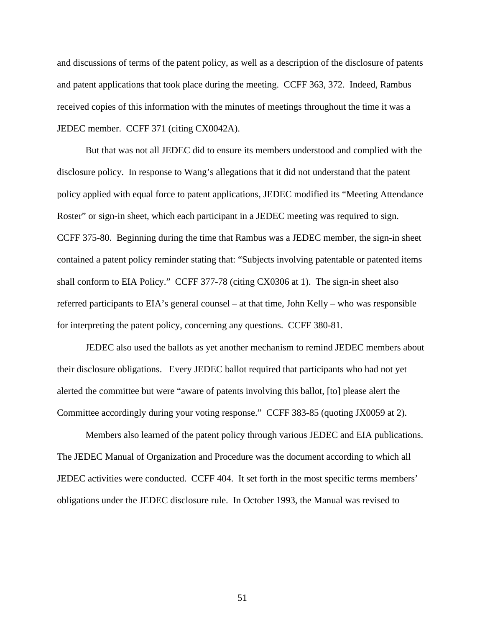and discussions of terms of the patent policy, as well as a description of the disclosure of patents and patent applications that took place during the meeting. CCFF 363, 372. Indeed, Rambus received copies of this information with the minutes of meetings throughout the time it was a JEDEC member. CCFF 371 (citing CX0042A).

But that was not all JEDEC did to ensure its members understood and complied with the disclosure policy. In response to Wang's allegations that it did not understand that the patent policy applied with equal force to patent applications, JEDEC modified its "Meeting Attendance Roster" or sign-in sheet, which each participant in a JEDEC meeting was required to sign. CCFF 375-80. Beginning during the time that Rambus was a JEDEC member, the sign-in sheet contained a patent policy reminder stating that: "Subjects involving patentable or patented items shall conform to EIA Policy." CCFF 377-78 (citing CX0306 at 1). The sign-in sheet also referred participants to EIA's general counsel – at that time, John Kelly – who was responsible for interpreting the patent policy, concerning any questions. CCFF 380-81.

JEDEC also used the ballots as yet another mechanism to remind JEDEC members about their disclosure obligations. Every JEDEC ballot required that participants who had not yet alerted the committee but were "aware of patents involving this ballot, [to] please alert the Committee accordingly during your voting response." CCFF 383-85 (quoting JX0059 at 2).

Members also learned of the patent policy through various JEDEC and EIA publications. The JEDEC Manual of Organization and Procedure was the document according to which all JEDEC activities were conducted. CCFF 404. It set forth in the most specific terms members' obligations under the JEDEC disclosure rule. In October 1993, the Manual was revised to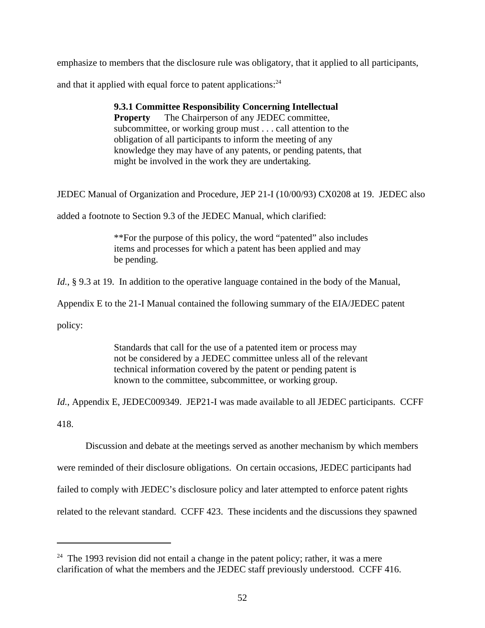emphasize to members that the disclosure rule was obligatory, that it applied to all participants,

and that it applied with equal force to patent applications: $24$ 

**9.3.1 Committee Responsibility Concerning Intellectual Property** The Chairperson of any JEDEC committee, subcommittee, or working group must . . . call attention to the obligation of all participants to inform the meeting of any knowledge they may have of any patents, or pending patents, that might be involved in the work they are undertaking.

JEDEC Manual of Organization and Procedure, JEP 21-I (10/00/93) CX0208 at 19. JEDEC also

added a footnote to Section 9.3 of the JEDEC Manual, which clarified:

\*\*For the purpose of this policy, the word "patented" also includes items and processes for which a patent has been applied and may be pending.

*Id.*, § 9.3 at 19. In addition to the operative language contained in the body of the Manual,

Appendix E to the 21-I Manual contained the following summary of the EIA/JEDEC patent

policy:

Standards that call for the use of a patented item or process may not be considered by a JEDEC committee unless all of the relevant technical information covered by the patent or pending patent is known to the committee, subcommittee, or working group.

*Id.*, Appendix E, JEDEC009349. JEP21-I was made available to all JEDEC participants. CCFF 418.

Discussion and debate at the meetings served as another mechanism by which members were reminded of their disclosure obligations. On certain occasions, JEDEC participants had failed to comply with JEDEC's disclosure policy and later attempted to enforce patent rights related to the relevant standard. CCFF 423. These incidents and the discussions they spawned

<sup>&</sup>lt;sup>24</sup> The 1993 revision did not entail a change in the patent policy; rather, it was a mere clarification of what the members and the JEDEC staff previously understood. CCFF 416.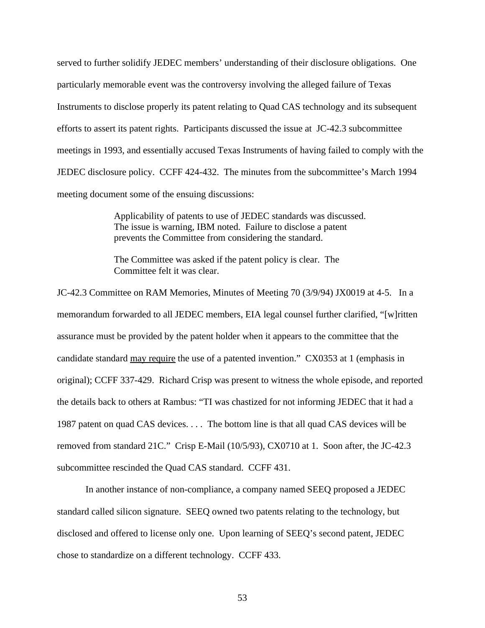served to further solidify JEDEC members' understanding of their disclosure obligations. One particularly memorable event was the controversy involving the alleged failure of Texas Instruments to disclose properly its patent relating to Quad CAS technology and its subsequent efforts to assert its patent rights. Participants discussed the issue at JC-42.3 subcommittee meetings in 1993, and essentially accused Texas Instruments of having failed to comply with the JEDEC disclosure policy. CCFF 424-432. The minutes from the subcommittee's March 1994 meeting document some of the ensuing discussions:

> Applicability of patents to use of JEDEC standards was discussed. The issue is warning, IBM noted. Failure to disclose a patent prevents the Committee from considering the standard.

The Committee was asked if the patent policy is clear. The Committee felt it was clear.

JC-42.3 Committee on RAM Memories, Minutes of Meeting 70 (3/9/94) JX0019 at 4-5. In a memorandum forwarded to all JEDEC members, EIA legal counsel further clarified, "[w]ritten assurance must be provided by the patent holder when it appears to the committee that the candidate standard may require the use of a patented invention." CX0353 at 1 (emphasis in original); CCFF 337-429. Richard Crisp was present to witness the whole episode, and reported the details back to others at Rambus: "TI was chastized for not informing JEDEC that it had a 1987 patent on quad CAS devices. . . . The bottom line is that all quad CAS devices will be removed from standard 21C." Crisp E-Mail (10/5/93), CX0710 at 1. Soon after, the JC-42.3 subcommittee rescinded the Quad CAS standard. CCFF 431.

In another instance of non-compliance, a company named SEEQ proposed a JEDEC standard called silicon signature. SEEQ owned two patents relating to the technology, but disclosed and offered to license only one. Upon learning of SEEQ's second patent, JEDEC chose to standardize on a different technology. CCFF 433.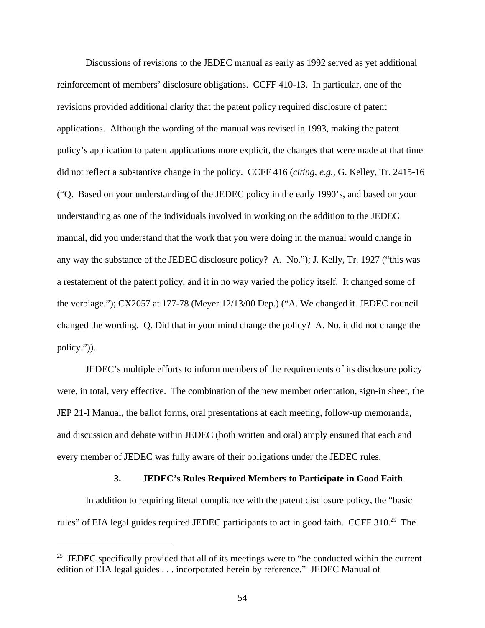Discussions of revisions to the JEDEC manual as early as 1992 served as yet additional reinforcement of members' disclosure obligations. CCFF 410-13. In particular, one of the revisions provided additional clarity that the patent policy required disclosure of patent applications. Although the wording of the manual was revised in 1993, making the patent policy's application to patent applications more explicit, the changes that were made at that time did not reflect a substantive change in the policy. CCFF 416 (*citing, e.g.*, G. Kelley, Tr. 2415-16 ("Q. Based on your understanding of the JEDEC policy in the early 1990's, and based on your understanding as one of the individuals involved in working on the addition to the JEDEC manual, did you understand that the work that you were doing in the manual would change in any way the substance of the JEDEC disclosure policy? A. No."); J. Kelly, Tr. 1927 ("this was a restatement of the patent policy, and it in no way varied the policy itself. It changed some of the verbiage."); CX2057 at 177-78 (Meyer 12/13/00 Dep.) ("A. We changed it. JEDEC council changed the wording. Q. Did that in your mind change the policy? A. No, it did not change the policy.")).

JEDEC's multiple efforts to inform members of the requirements of its disclosure policy were, in total, very effective. The combination of the new member orientation, sign-in sheet, the JEP 21-I Manual, the ballot forms, oral presentations at each meeting, follow-up memoranda, and discussion and debate within JEDEC (both written and oral) amply ensured that each and every member of JEDEC was fully aware of their obligations under the JEDEC rules.

### **3. JEDEC's Rules Required Members to Participate in Good Faith**

In addition to requiring literal compliance with the patent disclosure policy, the "basic rules" of EIA legal guides required JEDEC participants to act in good faith. CCFF 310.<sup>25</sup> The

 $25$  JEDEC specifically provided that all of its meetings were to "be conducted within the current edition of EIA legal guides . . . incorporated herein by reference." JEDEC Manual of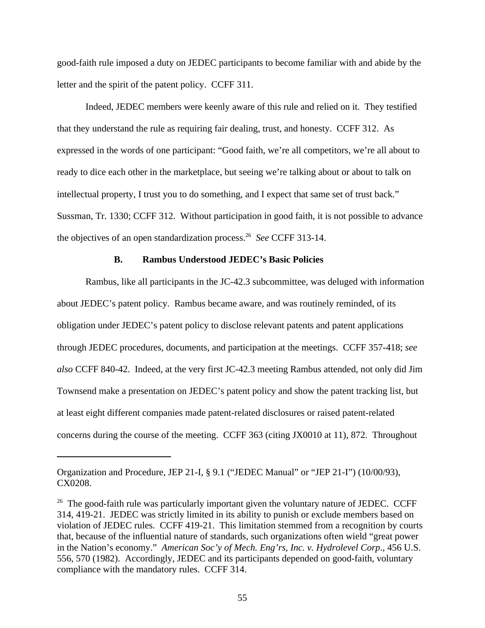good-faith rule imposed a duty on JEDEC participants to become familiar with and abide by the letter and the spirit of the patent policy. CCFF 311.

Indeed, JEDEC members were keenly aware of this rule and relied on it. They testified that they understand the rule as requiring fair dealing, trust, and honesty. CCFF 312. As expressed in the words of one participant: "Good faith, we're all competitors, we're all about to ready to dice each other in the marketplace, but seeing we're talking about or about to talk on intellectual property, I trust you to do something, and I expect that same set of trust back." Sussman, Tr. 1330; CCFF 312. Without participation in good faith, it is not possible to advance the objectives of an open standardization process.<sup>26</sup> *See* CCFF 313-14.

### **B. Rambus Understood JEDEC's Basic Policies**

Rambus, like all participants in the JC-42.3 subcommittee, was deluged with information about JEDEC's patent policy. Rambus became aware, and was routinely reminded, of its obligation under JEDEC's patent policy to disclose relevant patents and patent applications through JEDEC procedures, documents, and participation at the meetings. CCFF 357-418; *see also* CCFF 840-42. Indeed, at the very first JC-42.3 meeting Rambus attended, not only did Jim Townsend make a presentation on JEDEC's patent policy and show the patent tracking list, but at least eight different companies made patent-related disclosures or raised patent-related concerns during the course of the meeting. CCFF 363 (citing JX0010 at 11), 872. Throughout

Organization and Procedure, JEP 21-I, § 9.1 ("JEDEC Manual" or "JEP 21-I") (10/00/93), CX0208.

 $26$  The good-faith rule was particularly important given the voluntary nature of JEDEC. CCFF 314, 419-21. JEDEC was strictly limited in its ability to punish or exclude members based on violation of JEDEC rules. CCFF 419-21. This limitation stemmed from a recognition by courts that, because of the influential nature of standards, such organizations often wield "great power in the Nation's economy." *American Soc'y of Mech. Eng'rs, Inc. v. Hydrolevel Corp*., 456 U.S. 556, 570 (1982). Accordingly, JEDEC and its participants depended on good-faith, voluntary compliance with the mandatory rules. CCFF 314.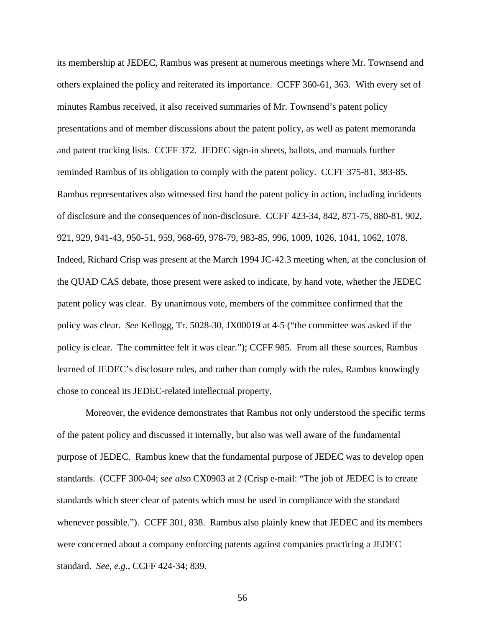its membership at JEDEC, Rambus was present at numerous meetings where Mr. Townsend and others explained the policy and reiterated its importance. CCFF 360-61, 363. With every set of minutes Rambus received, it also received summaries of Mr. Townsend's patent policy presentations and of member discussions about the patent policy, as well as patent memoranda and patent tracking lists. CCFF 372. JEDEC sign-in sheets, ballots, and manuals further reminded Rambus of its obligation to comply with the patent policy. CCFF 375-81, 383-85. Rambus representatives also witnessed first hand the patent policy in action, including incidents of disclosure and the consequences of non-disclosure. CCFF 423-34, 842, 871-75, 880-81, 902, 921, 929, 941-43, 950-51, 959, 968-69, 978-79, 983-85, 996, 1009, 1026, 1041, 1062, 1078. Indeed, Richard Crisp was present at the March 1994 JC-42.3 meeting when, at the conclusion of the QUAD CAS debate, those present were asked to indicate, by hand vote, whether the JEDEC patent policy was clear. By unanimous vote, members of the committee confirmed that the policy was clear. *See* Kellogg, Tr. 5028-30, JX00019 at 4-5 ("the committee was asked if the policy is clear. The committee felt it was clear."); CCFF 985. From all these sources, Rambus learned of JEDEC's disclosure rules, and rather than comply with the rules, Rambus knowingly chose to conceal its JEDEC-related intellectual property.

Moreover, the evidence demonstrates that Rambus not only understood the specific terms of the patent policy and discussed it internally, but also was well aware of the fundamental purpose of JEDEC. Rambus knew that the fundamental purpose of JEDEC was to develop open standards. (CCFF 300-04; *see also* CX0903 at 2 (Crisp e-mail: "The job of JEDEC is to create standards which steer clear of patents which must be used in compliance with the standard whenever possible."). CCFF 301, 838. Rambus also plainly knew that JEDEC and its members were concerned about a company enforcing patents against companies practicing a JEDEC standard. *See, e.g.*, CCFF 424-34; 839.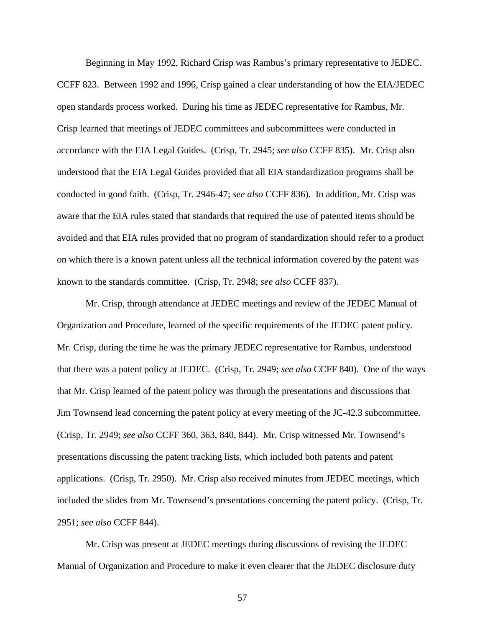Beginning in May 1992, Richard Crisp was Rambus's primary representative to JEDEC. CCFF 823. Between 1992 and 1996, Crisp gained a clear understanding of how the EIA/JEDEC open standards process worked. During his time as JEDEC representative for Rambus, Mr. Crisp learned that meetings of JEDEC committees and subcommittees were conducted in accordance with the EIA Legal Guides. (Crisp, Tr. 2945; *see also* CCFF 835). Mr. Crisp also understood that the EIA Legal Guides provided that all EIA standardization programs shall be conducted in good faith. (Crisp, Tr. 2946-47; *see also* CCFF 836). In addition, Mr. Crisp was aware that the EIA rules stated that standards that required the use of patented items should be avoided and that EIA rules provided that no program of standardization should refer to a product on which there is a known patent unless all the technical information covered by the patent was known to the standards committee. (Crisp, Tr. 2948; *see also* CCFF 837).

Mr. Crisp, through attendance at JEDEC meetings and review of the JEDEC Manual of Organization and Procedure, learned of the specific requirements of the JEDEC patent policy. Mr. Crisp, during the time he was the primary JEDEC representative for Rambus, understood that there was a patent policy at JEDEC. (Crisp, Tr. 2949; *see also* CCFF 840). One of the ways that Mr. Crisp learned of the patent policy was through the presentations and discussions that Jim Townsend lead concerning the patent policy at every meeting of the JC-42.3 subcommittee. (Crisp, Tr. 2949; *see also* CCFF 360, 363, 840, 844). Mr. Crisp witnessed Mr. Townsend's presentations discussing the patent tracking lists, which included both patents and patent applications. (Crisp, Tr. 2950). Mr. Crisp also received minutes from JEDEC meetings, which included the slides from Mr. Townsend's presentations concerning the patent policy. (Crisp, Tr. 2951; *see also* CCFF 844).

Mr. Crisp was present at JEDEC meetings during discussions of revising the JEDEC Manual of Organization and Procedure to make it even clearer that the JEDEC disclosure duty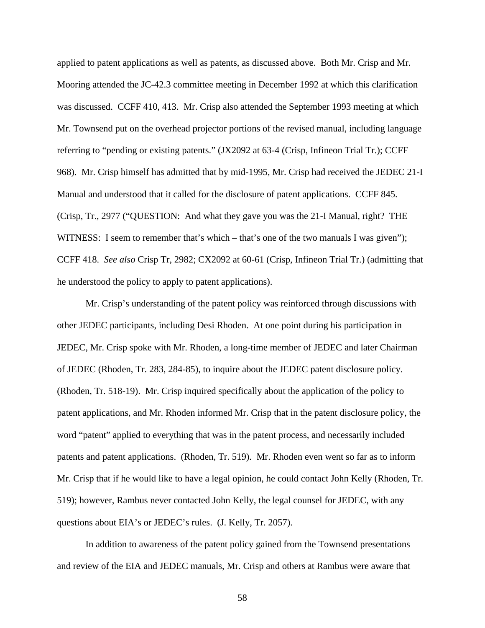applied to patent applications as well as patents, as discussed above. Both Mr. Crisp and Mr. Mooring attended the JC-42.3 committee meeting in December 1992 at which this clarification was discussed. CCFF 410, 413. Mr. Crisp also attended the September 1993 meeting at which Mr. Townsend put on the overhead projector portions of the revised manual, including language referring to "pending or existing patents." (JX2092 at 63-4 (Crisp, Infineon Trial Tr.); CCFF 968). Mr. Crisp himself has admitted that by mid-1995, Mr. Crisp had received the JEDEC 21-I Manual and understood that it called for the disclosure of patent applications. CCFF 845. (Crisp, Tr., 2977 ("QUESTION: And what they gave you was the 21-I Manual, right? THE WITNESS: I seem to remember that's which – that's one of the two manuals I was given"); CCFF 418. *See also* Crisp Tr, 2982; CX2092 at 60-61 (Crisp, Infineon Trial Tr.) (admitting that he understood the policy to apply to patent applications).

Mr. Crisp's understanding of the patent policy was reinforced through discussions with other JEDEC participants, including Desi Rhoden. At one point during his participation in JEDEC, Mr. Crisp spoke with Mr. Rhoden, a long-time member of JEDEC and later Chairman of JEDEC (Rhoden, Tr. 283, 284-85), to inquire about the JEDEC patent disclosure policy. (Rhoden, Tr. 518-19). Mr. Crisp inquired specifically about the application of the policy to patent applications, and Mr. Rhoden informed Mr. Crisp that in the patent disclosure policy, the word "patent" applied to everything that was in the patent process, and necessarily included patents and patent applications. (Rhoden, Tr. 519). Mr. Rhoden even went so far as to inform Mr. Crisp that if he would like to have a legal opinion, he could contact John Kelly (Rhoden, Tr. 519); however, Rambus never contacted John Kelly, the legal counsel for JEDEC, with any questions about EIA's or JEDEC's rules. (J. Kelly, Tr. 2057).

In addition to awareness of the patent policy gained from the Townsend presentations and review of the EIA and JEDEC manuals, Mr. Crisp and others at Rambus were aware that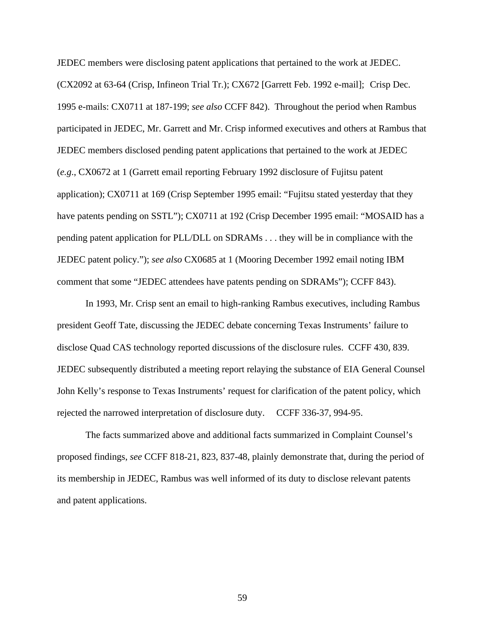JEDEC members were disclosing patent applications that pertained to the work at JEDEC. (CX2092 at 63-64 (Crisp, Infineon Trial Tr.); CX672 [Garrett Feb. 1992 e-mail]; Crisp Dec. 1995 e-mails: CX0711 at 187-199; *see also* CCFF 842). Throughout the period when Rambus participated in JEDEC, Mr. Garrett and Mr. Crisp informed executives and others at Rambus that JEDEC members disclosed pending patent applications that pertained to the work at JEDEC (*e.g*., CX0672 at 1 (Garrett email reporting February 1992 disclosure of Fujitsu patent application); CX0711 at 169 (Crisp September 1995 email: "Fujitsu stated yesterday that they have patents pending on SSTL"); CX0711 at 192 (Crisp December 1995 email: "MOSAID has a pending patent application for PLL/DLL on SDRAMs . . . they will be in compliance with the JEDEC patent policy."); *see also* CX0685 at 1 (Mooring December 1992 email noting IBM comment that some "JEDEC attendees have patents pending on SDRAMs"); CCFF 843).

In 1993, Mr. Crisp sent an email to high-ranking Rambus executives, including Rambus president Geoff Tate, discussing the JEDEC debate concerning Texas Instruments' failure to disclose Quad CAS technology reported discussions of the disclosure rules. CCFF 430, 839. JEDEC subsequently distributed a meeting report relaying the substance of EIA General Counsel John Kelly's response to Texas Instruments' request for clarification of the patent policy, which rejected the narrowed interpretation of disclosure duty. CCFF 336-37, 994-95.

The facts summarized above and additional facts summarized in Complaint Counsel's proposed findings, *see* CCFF 818-21, 823, 837-48, plainly demonstrate that, during the period of its membership in JEDEC, Rambus was well informed of its duty to disclose relevant patents and patent applications.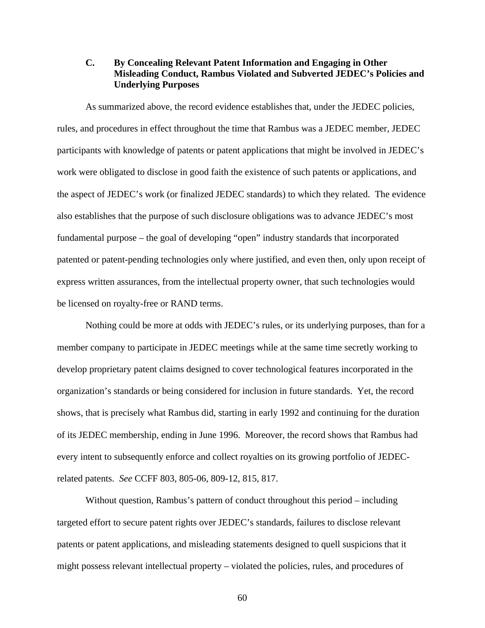# **C. By Concealing Relevant Patent Information and Engaging in Other Misleading Conduct, Rambus Violated and Subverted JEDEC's Policies and Underlying Purposes**

As summarized above, the record evidence establishes that, under the JEDEC policies, rules, and procedures in effect throughout the time that Rambus was a JEDEC member, JEDEC participants with knowledge of patents or patent applications that might be involved in JEDEC's work were obligated to disclose in good faith the existence of such patents or applications, and the aspect of JEDEC's work (or finalized JEDEC standards) to which they related. The evidence also establishes that the purpose of such disclosure obligations was to advance JEDEC's most fundamental purpose – the goal of developing "open" industry standards that incorporated patented or patent-pending technologies only where justified, and even then, only upon receipt of express written assurances, from the intellectual property owner, that such technologies would be licensed on royalty-free or RAND terms.

Nothing could be more at odds with JEDEC's rules, or its underlying purposes, than for a member company to participate in JEDEC meetings while at the same time secretly working to develop proprietary patent claims designed to cover technological features incorporated in the organization's standards or being considered for inclusion in future standards. Yet, the record shows, that is precisely what Rambus did, starting in early 1992 and continuing for the duration of its JEDEC membership, ending in June 1996. Moreover, the record shows that Rambus had every intent to subsequently enforce and collect royalties on its growing portfolio of JEDECrelated patents. *See* CCFF 803, 805-06, 809-12, 815, 817.

Without question, Rambus's pattern of conduct throughout this period – including targeted effort to secure patent rights over JEDEC's standards, failures to disclose relevant patents or patent applications, and misleading statements designed to quell suspicions that it might possess relevant intellectual property – violated the policies, rules, and procedures of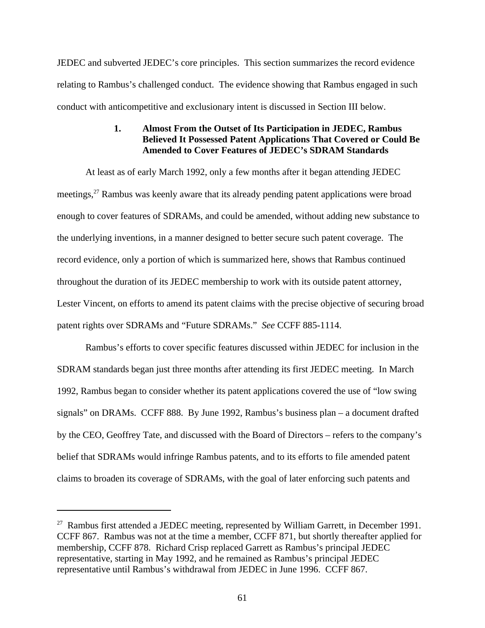JEDEC and subverted JEDEC's core principles. This section summarizes the record evidence relating to Rambus's challenged conduct. The evidence showing that Rambus engaged in such conduct with anticompetitive and exclusionary intent is discussed in Section III below.

# **1. Almost From the Outset of Its Participation in JEDEC, Rambus Believed It Possessed Patent Applications That Covered or Could Be Amended to Cover Features of JEDEC's SDRAM Standards**

At least as of early March 1992, only a few months after it began attending JEDEC meetings,<sup>27</sup> Rambus was keenly aware that its already pending patent applications were broad enough to cover features of SDRAMs, and could be amended, without adding new substance to the underlying inventions, in a manner designed to better secure such patent coverage. The record evidence, only a portion of which is summarized here, shows that Rambus continued throughout the duration of its JEDEC membership to work with its outside patent attorney, Lester Vincent, on efforts to amend its patent claims with the precise objective of securing broad patent rights over SDRAMs and "Future SDRAMs." *See* CCFF 885-1114.

Rambus's efforts to cover specific features discussed within JEDEC for inclusion in the SDRAM standards began just three months after attending its first JEDEC meeting. In March 1992, Rambus began to consider whether its patent applications covered the use of "low swing signals" on DRAMs. CCFF 888. By June 1992, Rambus's business plan – a document drafted by the CEO, Geoffrey Tate, and discussed with the Board of Directors – refers to the company's belief that SDRAMs would infringe Rambus patents, and to its efforts to file amended patent claims to broaden its coverage of SDRAMs, with the goal of later enforcing such patents and

 $27$  Rambus first attended a JEDEC meeting, represented by William Garrett, in December 1991. CCFF 867. Rambus was not at the time a member, CCFF 871, but shortly thereafter applied for membership, CCFF 878. Richard Crisp replaced Garrett as Rambus's principal JEDEC representative, starting in May 1992, and he remained as Rambus's principal JEDEC representative until Rambus's withdrawal from JEDEC in June 1996. CCFF 867.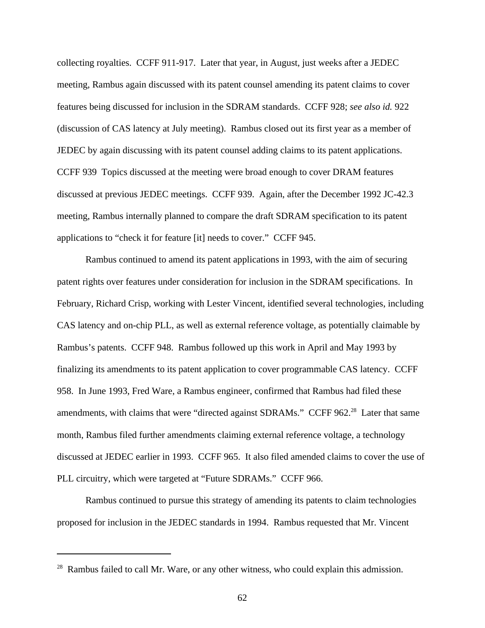collecting royalties. CCFF 911-917. Later that year, in August, just weeks after a JEDEC meeting, Rambus again discussed with its patent counsel amending its patent claims to cover features being discussed for inclusion in the SDRAM standards. CCFF 928; *see also id.* 922 (discussion of CAS latency at July meeting). Rambus closed out its first year as a member of JEDEC by again discussing with its patent counsel adding claims to its patent applications. CCFF 939 Topics discussed at the meeting were broad enough to cover DRAM features discussed at previous JEDEC meetings. CCFF 939. Again, after the December 1992 JC-42.3 meeting, Rambus internally planned to compare the draft SDRAM specification to its patent applications to "check it for feature [it] needs to cover." CCFF 945.

Rambus continued to amend its patent applications in 1993, with the aim of securing patent rights over features under consideration for inclusion in the SDRAM specifications. In February, Richard Crisp, working with Lester Vincent, identified several technologies, including CAS latency and on-chip PLL, as well as external reference voltage, as potentially claimable by Rambus's patents. CCFF 948. Rambus followed up this work in April and May 1993 by finalizing its amendments to its patent application to cover programmable CAS latency. CCFF 958. In June 1993, Fred Ware, a Rambus engineer, confirmed that Rambus had filed these amendments, with claims that were "directed against SDRAMs." CCFF 962.<sup>28</sup> Later that same month, Rambus filed further amendments claiming external reference voltage, a technology discussed at JEDEC earlier in 1993. CCFF 965. It also filed amended claims to cover the use of PLL circuitry, which were targeted at "Future SDRAMs." CCFF 966.

Rambus continued to pursue this strategy of amending its patents to claim technologies proposed for inclusion in the JEDEC standards in 1994. Rambus requested that Mr. Vincent

<sup>&</sup>lt;sup>28</sup> Rambus failed to call Mr. Ware, or any other witness, who could explain this admission.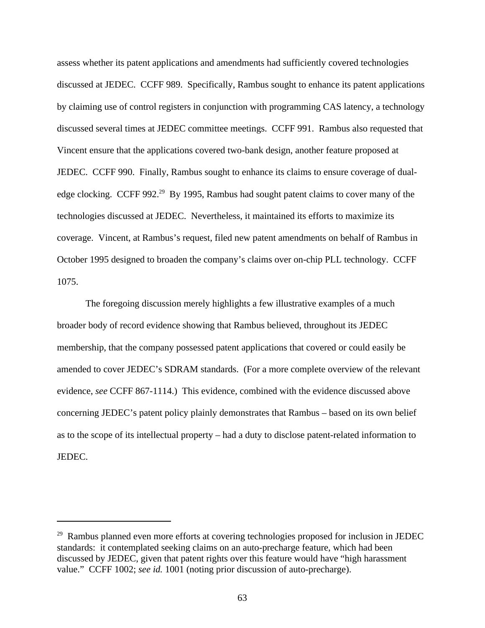assess whether its patent applications and amendments had sufficiently covered technologies discussed at JEDEC. CCFF 989. Specifically, Rambus sought to enhance its patent applications by claiming use of control registers in conjunction with programming CAS latency, a technology discussed several times at JEDEC committee meetings. CCFF 991. Rambus also requested that Vincent ensure that the applications covered two-bank design, another feature proposed at JEDEC. CCFF 990. Finally, Rambus sought to enhance its claims to ensure coverage of dualedge clocking. CCFF 992.<sup>29</sup> By 1995, Rambus had sought patent claims to cover many of the technologies discussed at JEDEC. Nevertheless, it maintained its efforts to maximize its coverage. Vincent, at Rambus's request, filed new patent amendments on behalf of Rambus in October 1995 designed to broaden the company's claims over on-chip PLL technology. CCFF 1075.

The foregoing discussion merely highlights a few illustrative examples of a much broader body of record evidence showing that Rambus believed, throughout its JEDEC membership, that the company possessed patent applications that covered or could easily be amended to cover JEDEC's SDRAM standards. (For a more complete overview of the relevant evidence, *see* CCFF 867-1114.) This evidence, combined with the evidence discussed above concerning JEDEC's patent policy plainly demonstrates that Rambus – based on its own belief as to the scope of its intellectual property – had a duty to disclose patent-related information to JEDEC.

 $29$  Rambus planned even more efforts at covering technologies proposed for inclusion in JEDEC standards: it contemplated seeking claims on an auto-precharge feature, which had been discussed by JEDEC, given that patent rights over this feature would have "high harassment value." CCFF 1002; *see id.* 1001 (noting prior discussion of auto-precharge).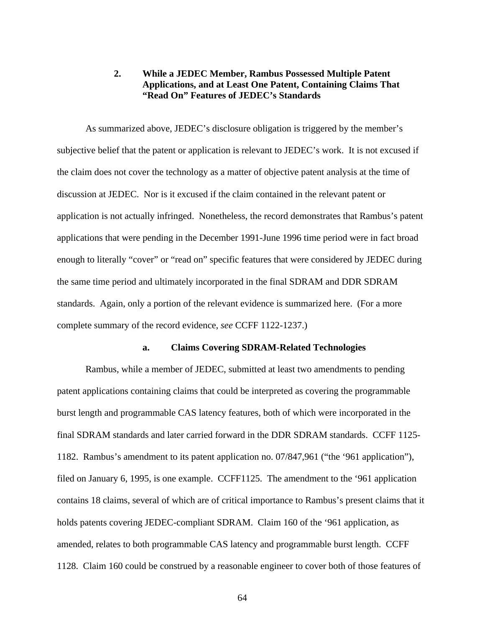# **2. While a JEDEC Member, Rambus Possessed Multiple Patent Applications, and at Least One Patent, Containing Claims That "Read On" Features of JEDEC's Standards**

As summarized above, JEDEC's disclosure obligation is triggered by the member's subjective belief that the patent or application is relevant to JEDEC's work. It is not excused if the claim does not cover the technology as a matter of objective patent analysis at the time of discussion at JEDEC. Nor is it excused if the claim contained in the relevant patent or application is not actually infringed. Nonetheless, the record demonstrates that Rambus's patent applications that were pending in the December 1991-June 1996 time period were in fact broad enough to literally "cover" or "read on" specific features that were considered by JEDEC during the same time period and ultimately incorporated in the final SDRAM and DDR SDRAM standards. Again, only a portion of the relevant evidence is summarized here. (For a more complete summary of the record evidence, *see* CCFF 1122-1237.)

#### **a. Claims Covering SDRAM-Related Technologies**

Rambus, while a member of JEDEC, submitted at least two amendments to pending patent applications containing claims that could be interpreted as covering the programmable burst length and programmable CAS latency features, both of which were incorporated in the final SDRAM standards and later carried forward in the DDR SDRAM standards. CCFF 1125- 1182. Rambus's amendment to its patent application no. 07/847,961 ("the '961 application"), filed on January 6, 1995, is one example. CCFF1125. The amendment to the '961 application contains 18 claims, several of which are of critical importance to Rambus's present claims that it holds patents covering JEDEC-compliant SDRAM. Claim 160 of the '961 application, as amended, relates to both programmable CAS latency and programmable burst length. CCFF 1128. Claim 160 could be construed by a reasonable engineer to cover both of those features of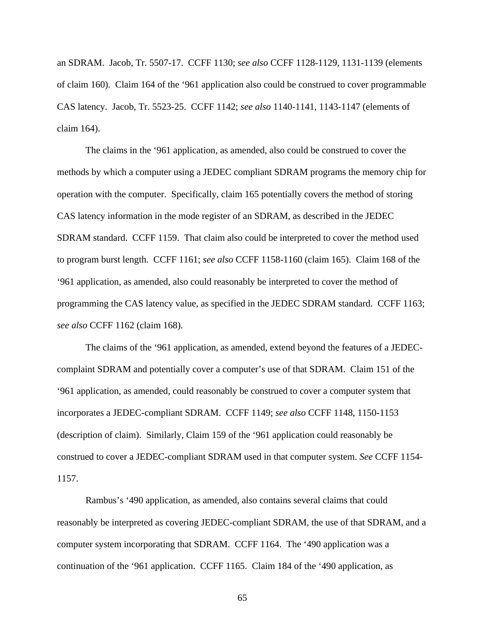an SDRAM. Jacob, Tr. 5507-17. CCFF 1130; *see also* CCFF 1128-1129, 1131-1139 (elements of claim 160). Claim 164 of the '961 application also could be construed to cover programmable CAS latency. Jacob, Tr. 5523-25. CCFF 1142; *see also* 1140-1141, 1143-1147 (elements of claim 164).

The claims in the '961 application, as amended, also could be construed to cover the methods by which a computer using a JEDEC compliant SDRAM programs the memory chip for operation with the computer. Specifically, claim 165 potentially covers the method of storing CAS latency information in the mode register of an SDRAM, as described in the JEDEC SDRAM standard. CCFF 1159. That claim also could be interpreted to cover the method used to program burst length. CCFF 1161; *see also* CCFF 1158-1160 (claim 165). Claim 168 of the '961 application, as amended, also could reasonably be interpreted to cover the method of programming the CAS latency value, as specified in the JEDEC SDRAM standard. CCFF 1163; *see also* CCFF 1162 (claim 168).

The claims of the '961 application, as amended, extend beyond the features of a JEDECcomplaint SDRAM and potentially cover a computer's use of that SDRAM. Claim 151 of the '961 application, as amended, could reasonably be construed to cover a computer system that incorporates a JEDEC-compliant SDRAM. CCFF 1149; *see also* CCFF 1148, 1150-1153 (description of claim). Similarly, Claim 159 of the '961 application could reasonably be construed to cover a JEDEC-compliant SDRAM used in that computer system. *See* CCFF 1154- 1157.

Rambus's '490 application, as amended, also contains several claims that could reasonably be interpreted as covering JEDEC-compliant SDRAM, the use of that SDRAM, and a computer system incorporating that SDRAM. CCFF 1164. The '490 application was a continuation of the '961 application. CCFF 1165. Claim 184 of the '490 application, as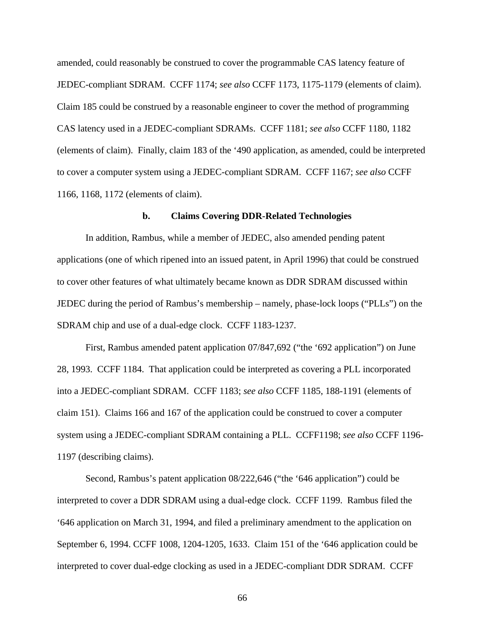amended, could reasonably be construed to cover the programmable CAS latency feature of JEDEC-compliant SDRAM. CCFF 1174; *see also* CCFF 1173, 1175-1179 (elements of claim). Claim 185 could be construed by a reasonable engineer to cover the method of programming CAS latency used in a JEDEC-compliant SDRAMs. CCFF 1181; *see also* CCFF 1180, 1182 (elements of claim). Finally, claim 183 of the '490 application, as amended, could be interpreted to cover a computer system using a JEDEC-compliant SDRAM. CCFF 1167; *see also* CCFF 1166, 1168, 1172 (elements of claim).

#### **b. Claims Covering DDR-Related Technologies**

In addition, Rambus, while a member of JEDEC, also amended pending patent applications (one of which ripened into an issued patent, in April 1996) that could be construed to cover other features of what ultimately became known as DDR SDRAM discussed within JEDEC during the period of Rambus's membership – namely, phase-lock loops ("PLLs") on the SDRAM chip and use of a dual-edge clock. CCFF 1183-1237.

First, Rambus amended patent application 07/847,692 ("the '692 application") on June 28, 1993. CCFF 1184. That application could be interpreted as covering a PLL incorporated into a JEDEC-compliant SDRAM. CCFF 1183; *see also* CCFF 1185, 188-1191 (elements of claim 151). Claims 166 and 167 of the application could be construed to cover a computer system using a JEDEC-compliant SDRAM containing a PLL. CCFF1198; *see also* CCFF 1196- 1197 (describing claims).

Second, Rambus's patent application 08/222,646 ("the '646 application") could be interpreted to cover a DDR SDRAM using a dual-edge clock. CCFF 1199. Rambus filed the '646 application on March 31, 1994, and filed a preliminary amendment to the application on September 6, 1994. CCFF 1008, 1204-1205, 1633. Claim 151 of the '646 application could be interpreted to cover dual-edge clocking as used in a JEDEC-compliant DDR SDRAM. CCFF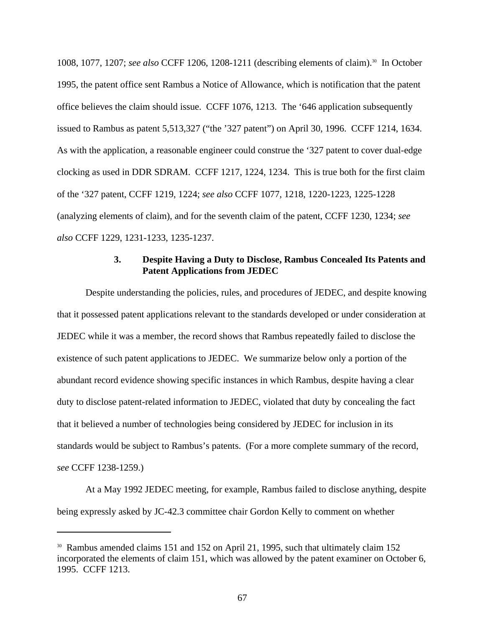1008, 1077, 1207; *see also* CCFF 1206, 1208-1211 (describing elements of claim).30 In October 1995, the patent office sent Rambus a Notice of Allowance, which is notification that the patent office believes the claim should issue. CCFF 1076, 1213. The '646 application subsequently issued to Rambus as patent 5,513,327 ("the '327 patent") on April 30, 1996. CCFF 1214, 1634. As with the application, a reasonable engineer could construe the '327 patent to cover dual-edge clocking as used in DDR SDRAM. CCFF 1217, 1224, 1234. This is true both for the first claim of the '327 patent, CCFF 1219, 1224; *see also* CCFF 1077, 1218, 1220-1223, 1225-1228 (analyzing elements of claim), and for the seventh claim of the patent, CCFF 1230, 1234; *see also* CCFF 1229, 1231-1233, 1235-1237.

### **3. Despite Having a Duty to Disclose, Rambus Concealed Its Patents and Patent Applications from JEDEC**

Despite understanding the policies, rules, and procedures of JEDEC, and despite knowing that it possessed patent applications relevant to the standards developed or under consideration at JEDEC while it was a member, the record shows that Rambus repeatedly failed to disclose the existence of such patent applications to JEDEC. We summarize below only a portion of the abundant record evidence showing specific instances in which Rambus, despite having a clear duty to disclose patent-related information to JEDEC, violated that duty by concealing the fact that it believed a number of technologies being considered by JEDEC for inclusion in its standards would be subject to Rambus's patents. (For a more complete summary of the record, *see* CCFF 1238-1259.)

At a May 1992 JEDEC meeting, for example, Rambus failed to disclose anything, despite being expressly asked by JC-42.3 committee chair Gordon Kelly to comment on whether

<sup>&</sup>lt;sup>30</sup> Rambus amended claims 151 and 152 on April 21, 1995, such that ultimately claim 152 incorporated the elements of claim 151, which was allowed by the patent examiner on October 6, 1995. CCFF 1213.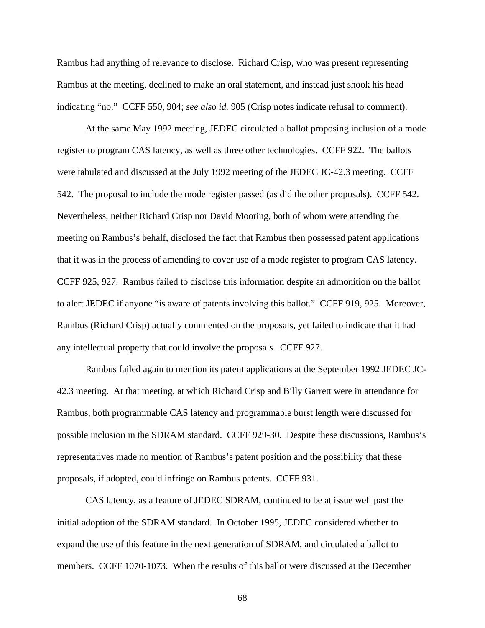Rambus had anything of relevance to disclose. Richard Crisp, who was present representing Rambus at the meeting, declined to make an oral statement, and instead just shook his head indicating "no." CCFF 550, 904; *see also id.* 905 (Crisp notes indicate refusal to comment).

At the same May 1992 meeting, JEDEC circulated a ballot proposing inclusion of a mode register to program CAS latency, as well as three other technologies. CCFF 922. The ballots were tabulated and discussed at the July 1992 meeting of the JEDEC JC-42.3 meeting. CCFF 542. The proposal to include the mode register passed (as did the other proposals). CCFF 542. Nevertheless, neither Richard Crisp nor David Mooring, both of whom were attending the meeting on Rambus's behalf, disclosed the fact that Rambus then possessed patent applications that it was in the process of amending to cover use of a mode register to program CAS latency. CCFF 925, 927. Rambus failed to disclose this information despite an admonition on the ballot to alert JEDEC if anyone "is aware of patents involving this ballot." CCFF 919, 925. Moreover, Rambus (Richard Crisp) actually commented on the proposals, yet failed to indicate that it had any intellectual property that could involve the proposals. CCFF 927.

Rambus failed again to mention its patent applications at the September 1992 JEDEC JC-42.3 meeting. At that meeting, at which Richard Crisp and Billy Garrett were in attendance for Rambus, both programmable CAS latency and programmable burst length were discussed for possible inclusion in the SDRAM standard. CCFF 929-30. Despite these discussions, Rambus's representatives made no mention of Rambus's patent position and the possibility that these proposals, if adopted, could infringe on Rambus patents. CCFF 931.

CAS latency, as a feature of JEDEC SDRAM, continued to be at issue well past the initial adoption of the SDRAM standard. In October 1995, JEDEC considered whether to expand the use of this feature in the next generation of SDRAM, and circulated a ballot to members. CCFF 1070-1073. When the results of this ballot were discussed at the December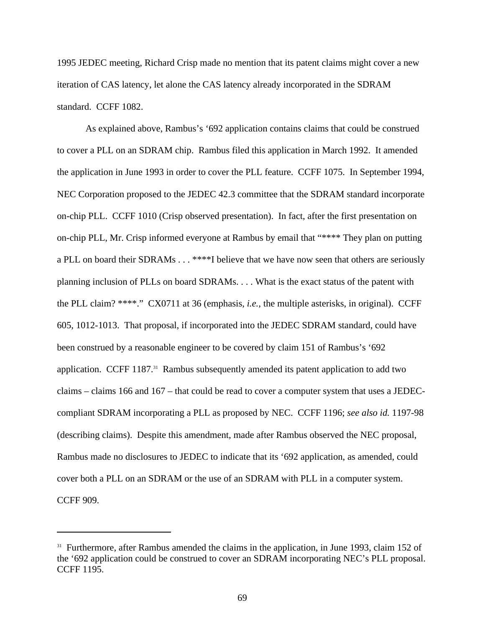1995 JEDEC meeting, Richard Crisp made no mention that its patent claims might cover a new iteration of CAS latency, let alone the CAS latency already incorporated in the SDRAM standard. CCFF 1082.

As explained above, Rambus's '692 application contains claims that could be construed to cover a PLL on an SDRAM chip. Rambus filed this application in March 1992. It amended the application in June 1993 in order to cover the PLL feature. CCFF 1075. In September 1994, NEC Corporation proposed to the JEDEC 42.3 committee that the SDRAM standard incorporate on-chip PLL. CCFF 1010 (Crisp observed presentation). In fact, after the first presentation on on-chip PLL, Mr. Crisp informed everyone at Rambus by email that "\*\*\*\* They plan on putting a PLL on board their SDRAMs . . . \*\*\*\*I believe that we have now seen that others are seriously planning inclusion of PLLs on board SDRAMs. . . . What is the exact status of the patent with the PLL claim? \*\*\*\*." CX0711 at 36 (emphasis, *i.e.,* the multiple asterisks, in original). CCFF 605, 1012-1013. That proposal, if incorporated into the JEDEC SDRAM standard, could have been construed by a reasonable engineer to be covered by claim 151 of Rambus's '692 application. CCFF 1187.<sup>31</sup> Rambus subsequently amended its patent application to add two claims – claims 166 and 167 – that could be read to cover a computer system that uses a JEDECcompliant SDRAM incorporating a PLL as proposed by NEC. CCFF 1196; *see also id.* 1197-98 (describing claims). Despite this amendment, made after Rambus observed the NEC proposal, Rambus made no disclosures to JEDEC to indicate that its '692 application, as amended, could cover both a PLL on an SDRAM or the use of an SDRAM with PLL in a computer system. CCFF 909.

<sup>&</sup>lt;sup>31</sup> Furthermore, after Rambus amended the claims in the application, in June 1993, claim 152 of the '692 application could be construed to cover an SDRAM incorporating NEC's PLL proposal. CCFF 1195.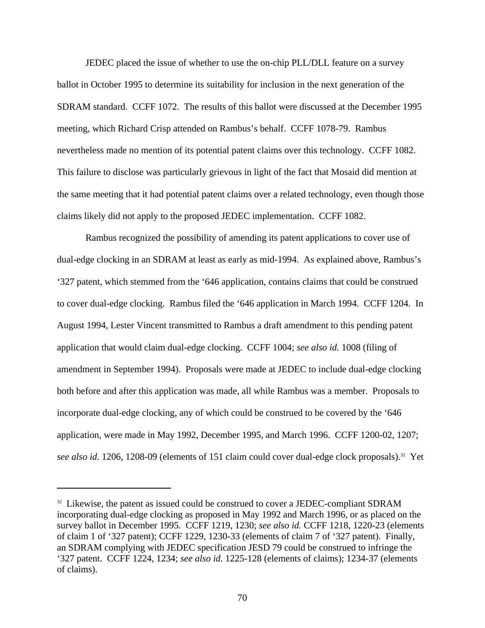JEDEC placed the issue of whether to use the on-chip PLL/DLL feature on a survey ballot in October 1995 to determine its suitability for inclusion in the next generation of the SDRAM standard. CCFF 1072. The results of this ballot were discussed at the December 1995 meeting, which Richard Crisp attended on Rambus's behalf. CCFF 1078-79. Rambus nevertheless made no mention of its potential patent claims over this technology. CCFF 1082. This failure to disclose was particularly grievous in light of the fact that Mosaid did mention at the same meeting that it had potential patent claims over a related technology, even though those claims likely did not apply to the proposed JEDEC implementation. CCFF 1082.

Rambus recognized the possibility of amending its patent applications to cover use of dual-edge clocking in an SDRAM at least as early as mid-1994. As explained above, Rambus's '327 patent, which stemmed from the '646 application, contains claims that could be construed to cover dual-edge clocking. Rambus filed the '646 application in March 1994. CCFF 1204. In August 1994, Lester Vincent transmitted to Rambus a draft amendment to this pending patent application that would claim dual-edge clocking. CCFF 1004; *see also id.* 1008 (filing of amendment in September 1994). Proposals were made at JEDEC to include dual-edge clocking both before and after this application was made, all while Rambus was a member. Proposals to incorporate dual-edge clocking, any of which could be construed to be covered by the '646 application, were made in May 1992, December 1995, and March 1996. CCFF 1200-02, 1207; *see also id.* 1206, 1208-09 (elements of 151 claim could cover dual-edge clock proposals).32 Yet

<sup>&</sup>lt;sup>32</sup> Likewise, the patent as issued could be construed to cover a JEDEC-compliant SDRAM incorporating dual-edge clocking as proposed in May 1992 and March 1996, or as placed on the survey ballot in December 1995. CCFF 1219, 1230; *see also id.* CCFF 1218, 1220-23 (elements of claim 1 of '327 patent); CCFF 1229, 1230-33 (elements of claim 7 of '327 patent). Finally, an SDRAM complying with JEDEC specification JESD 79 could be construed to infringe the '327 patent. CCFF 1224, 1234; *see also id.* 1225-128 (elements of claims); 1234-37 (elements of claims).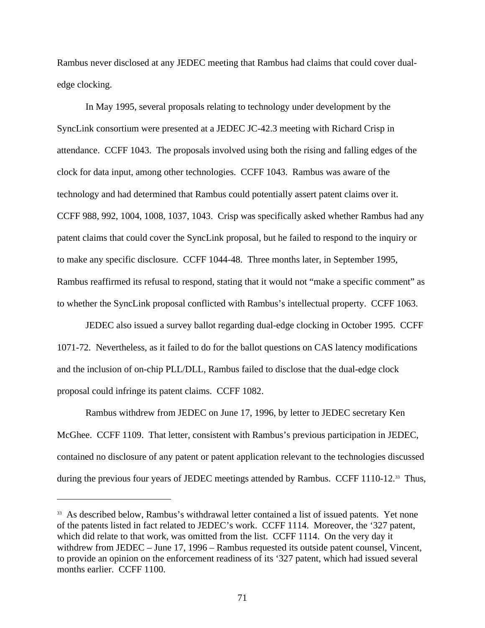Rambus never disclosed at any JEDEC meeting that Rambus had claims that could cover dualedge clocking.

In May 1995, several proposals relating to technology under development by the SyncLink consortium were presented at a JEDEC JC-42.3 meeting with Richard Crisp in attendance. CCFF 1043. The proposals involved using both the rising and falling edges of the clock for data input, among other technologies. CCFF 1043. Rambus was aware of the technology and had determined that Rambus could potentially assert patent claims over it. CCFF 988, 992, 1004, 1008, 1037, 1043. Crisp was specifically asked whether Rambus had any patent claims that could cover the SyncLink proposal, but he failed to respond to the inquiry or to make any specific disclosure. CCFF 1044-48. Three months later, in September 1995, Rambus reaffirmed its refusal to respond, stating that it would not "make a specific comment" as to whether the SyncLink proposal conflicted with Rambus's intellectual property. CCFF 1063.

JEDEC also issued a survey ballot regarding dual-edge clocking in October 1995. CCFF 1071-72. Nevertheless, as it failed to do for the ballot questions on CAS latency modifications and the inclusion of on-chip PLL/DLL, Rambus failed to disclose that the dual-edge clock proposal could infringe its patent claims. CCFF 1082.

Rambus withdrew from JEDEC on June 17, 1996, by letter to JEDEC secretary Ken McGhee. CCFF 1109. That letter, consistent with Rambus's previous participation in JEDEC, contained no disclosure of any patent or patent application relevant to the technologies discussed during the previous four years of JEDEC meetings attended by Rambus. CCFF 1110-12.<sup>33</sup> Thus,

<sup>&</sup>lt;sup>33</sup> As described below, Rambus's withdrawal letter contained a list of issued patents. Yet none of the patents listed in fact related to JEDEC's work. CCFF 1114. Moreover, the '327 patent, which did relate to that work, was omitted from the list. CCFF 1114. On the very day it withdrew from JEDEC – June 17, 1996 – Rambus requested its outside patent counsel, Vincent, to provide an opinion on the enforcement readiness of its '327 patent, which had issued several months earlier. CCFF 1100.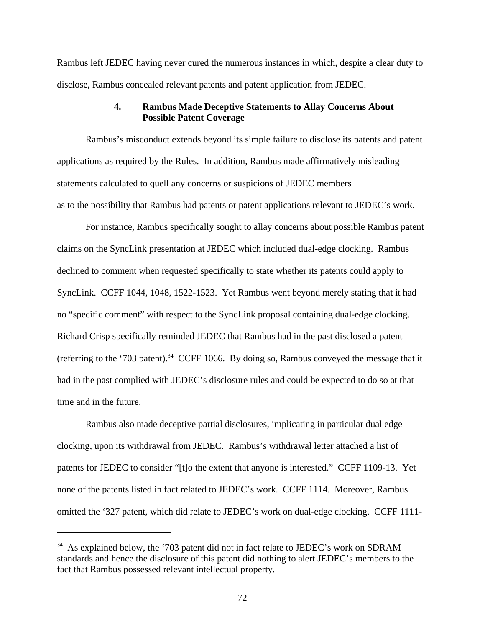Rambus left JEDEC having never cured the numerous instances in which, despite a clear duty to disclose, Rambus concealed relevant patents and patent application from JEDEC.

# **4. Rambus Made Deceptive Statements to Allay Concerns About Possible Patent Coverage**

Rambus's misconduct extends beyond its simple failure to disclose its patents and patent applications as required by the Rules. In addition, Rambus made affirmatively misleading statements calculated to quell any concerns or suspicions of JEDEC members as to the possibility that Rambus had patents or patent applications relevant to JEDEC's work.

For instance, Rambus specifically sought to allay concerns about possible Rambus patent claims on the SyncLink presentation at JEDEC which included dual-edge clocking. Rambus declined to comment when requested specifically to state whether its patents could apply to SyncLink. CCFF 1044, 1048, 1522-1523. Yet Rambus went beyond merely stating that it had no "specific comment" with respect to the SyncLink proposal containing dual-edge clocking. Richard Crisp specifically reminded JEDEC that Rambus had in the past disclosed a patent (referring to the '703 patent).<sup>34</sup> CCFF 1066. By doing so, Rambus conveyed the message that it had in the past complied with JEDEC's disclosure rules and could be expected to do so at that time and in the future.

Rambus also made deceptive partial disclosures, implicating in particular dual edge clocking, upon its withdrawal from JEDEC. Rambus's withdrawal letter attached a list of patents for JEDEC to consider "[t]o the extent that anyone is interested." CCFF 1109-13. Yet none of the patents listed in fact related to JEDEC's work. CCFF 1114. Moreover, Rambus omitted the '327 patent, which did relate to JEDEC's work on dual-edge clocking. CCFF 1111-

 $34$  As explained below, the '703 patent did not in fact relate to JEDEC's work on SDRAM standards and hence the disclosure of this patent did nothing to alert JEDEC's members to the fact that Rambus possessed relevant intellectual property.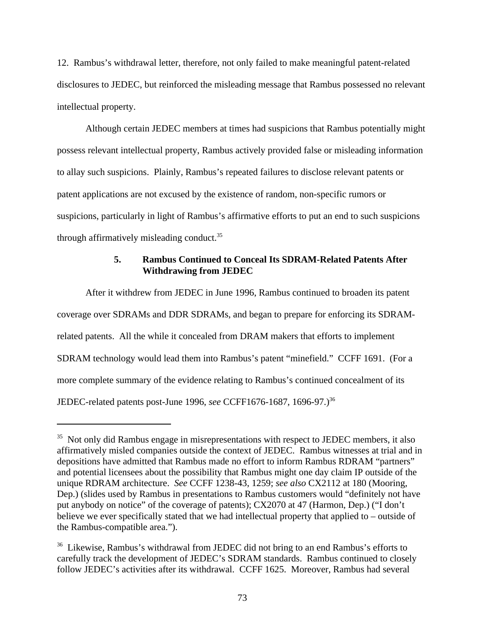12. Rambus's withdrawal letter, therefore, not only failed to make meaningful patent-related disclosures to JEDEC, but reinforced the misleading message that Rambus possessed no relevant intellectual property.

Although certain JEDEC members at times had suspicions that Rambus potentially might possess relevant intellectual property, Rambus actively provided false or misleading information to allay such suspicions. Plainly, Rambus's repeated failures to disclose relevant patents or patent applications are not excused by the existence of random, non-specific rumors or suspicions, particularly in light of Rambus's affirmative efforts to put an end to such suspicions through affirmatively misleading conduct.<sup>35</sup>

# **5. Rambus Continued to Conceal Its SDRAM-Related Patents After Withdrawing from JEDEC**

After it withdrew from JEDEC in June 1996, Rambus continued to broaden its patent coverage over SDRAMs and DDR SDRAMs, and began to prepare for enforcing its SDRAMrelated patents. All the while it concealed from DRAM makers that efforts to implement SDRAM technology would lead them into Rambus's patent "minefield." CCFF 1691. (For a more complete summary of the evidence relating to Rambus's continued concealment of its JEDEC-related patents post-June 1996, *see* CCFF1676-1687, 1696-97.)36

<sup>&</sup>lt;sup>35</sup> Not only did Rambus engage in misrepresentations with respect to JEDEC members, it also affirmatively misled companies outside the context of JEDEC. Rambus witnesses at trial and in depositions have admitted that Rambus made no effort to inform Rambus RDRAM "partners" and potential licensees about the possibility that Rambus might one day claim IP outside of the unique RDRAM architecture. *See* CCFF 1238-43, 1259; *see also* CX2112 at 180 (Mooring, Dep.) (slides used by Rambus in presentations to Rambus customers would "definitely not have put anybody on notice" of the coverage of patents); CX2070 at 47 (Harmon, Dep.) ("I don't believe we ever specifically stated that we had intellectual property that applied to – outside of the Rambus-compatible area.").

<sup>&</sup>lt;sup>36</sup> Likewise, Rambus's withdrawal from JEDEC did not bring to an end Rambus's efforts to carefully track the development of JEDEC's SDRAM standards. Rambus continued to closely follow JEDEC's activities after its withdrawal. CCFF 1625. Moreover, Rambus had several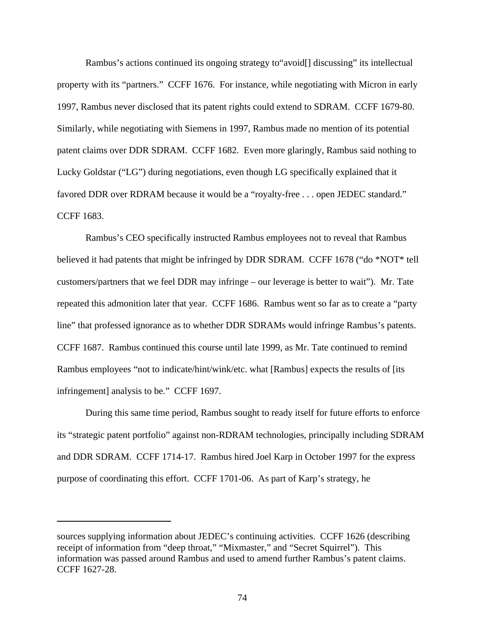Rambus's actions continued its ongoing strategy to"avoid[] discussing" its intellectual property with its "partners." CCFF 1676. For instance, while negotiating with Micron in early 1997, Rambus never disclosed that its patent rights could extend to SDRAM. CCFF 1679-80. Similarly, while negotiating with Siemens in 1997, Rambus made no mention of its potential patent claims over DDR SDRAM. CCFF 1682. Even more glaringly, Rambus said nothing to Lucky Goldstar ("LG") during negotiations, even though LG specifically explained that it favored DDR over RDRAM because it would be a "royalty-free . . . open JEDEC standard." CCFF 1683.

Rambus's CEO specifically instructed Rambus employees not to reveal that Rambus believed it had patents that might be infringed by DDR SDRAM. CCFF 1678 ("do \*NOT\* tell customers/partners that we feel DDR may infringe – our leverage is better to wait"). Mr. Tate repeated this admonition later that year. CCFF 1686. Rambus went so far as to create a "party line" that professed ignorance as to whether DDR SDRAMs would infringe Rambus's patents. CCFF 1687. Rambus continued this course until late 1999, as Mr. Tate continued to remind Rambus employees "not to indicate/hint/wink/etc. what [Rambus] expects the results of [its infringement] analysis to be." CCFF 1697.

During this same time period, Rambus sought to ready itself for future efforts to enforce its "strategic patent portfolio" against non-RDRAM technologies, principally including SDRAM and DDR SDRAM. CCFF 1714-17. Rambus hired Joel Karp in October 1997 for the express purpose of coordinating this effort. CCFF 1701-06. As part of Karp's strategy, he

sources supplying information about JEDEC's continuing activities. CCFF 1626 (describing receipt of information from "deep throat," "Mixmaster," and "Secret Squirrel"). This information was passed around Rambus and used to amend further Rambus's patent claims. CCFF 1627-28.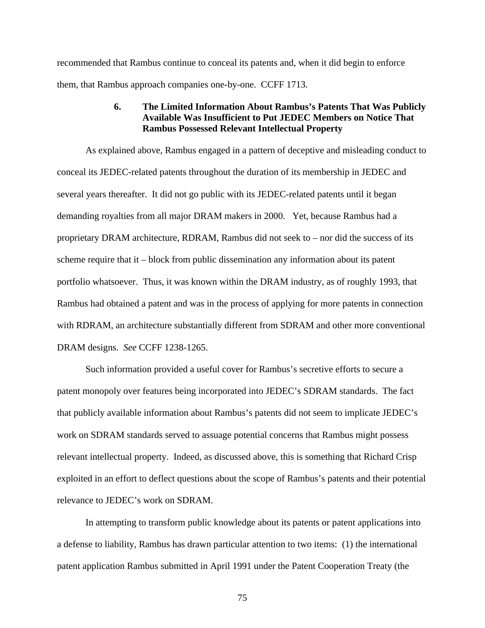recommended that Rambus continue to conceal its patents and, when it did begin to enforce them, that Rambus approach companies one-by-one. CCFF 1713.

## **6. The Limited Information About Rambus's Patents That Was Publicly Available Was Insufficient to Put JEDEC Members on Notice That Rambus Possessed Relevant Intellectual Property**

As explained above, Rambus engaged in a pattern of deceptive and misleading conduct to conceal its JEDEC-related patents throughout the duration of its membership in JEDEC and several years thereafter. It did not go public with its JEDEC-related patents until it began demanding royalties from all major DRAM makers in 2000. Yet, because Rambus had a proprietary DRAM architecture, RDRAM, Rambus did not seek to – nor did the success of its scheme require that it – block from public dissemination any information about its patent portfolio whatsoever. Thus, it was known within the DRAM industry, as of roughly 1993, that Rambus had obtained a patent and was in the process of applying for more patents in connection with RDRAM, an architecture substantially different from SDRAM and other more conventional DRAM designs. *See* CCFF 1238-1265.

Such information provided a useful cover for Rambus's secretive efforts to secure a patent monopoly over features being incorporated into JEDEC's SDRAM standards. The fact that publicly available information about Rambus's patents did not seem to implicate JEDEC's work on SDRAM standards served to assuage potential concerns that Rambus might possess relevant intellectual property. Indeed, as discussed above, this is something that Richard Crisp exploited in an effort to deflect questions about the scope of Rambus's patents and their potential relevance to JEDEC's work on SDRAM.

In attempting to transform public knowledge about its patents or patent applications into a defense to liability, Rambus has drawn particular attention to two items: (1) the international patent application Rambus submitted in April 1991 under the Patent Cooperation Treaty (the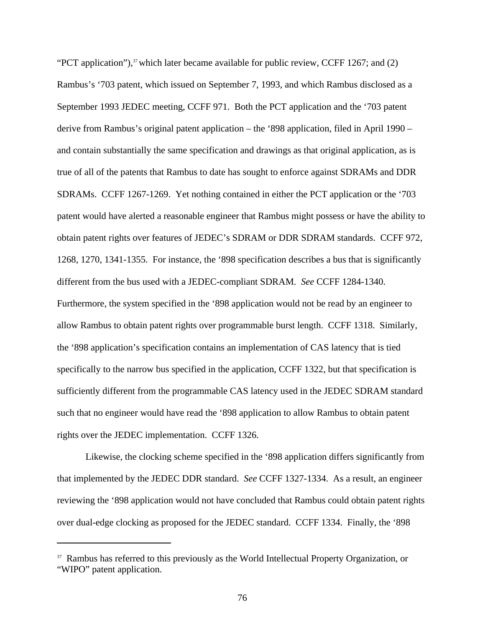"PCT application"), $37$  which later became available for public review, CCFF 1267; and (2) Rambus's '703 patent, which issued on September 7, 1993, and which Rambus disclosed as a September 1993 JEDEC meeting, CCFF 971. Both the PCT application and the '703 patent derive from Rambus's original patent application – the '898 application, filed in April 1990 – and contain substantially the same specification and drawings as that original application, as is true of all of the patents that Rambus to date has sought to enforce against SDRAMs and DDR SDRAMs. CCFF 1267-1269. Yet nothing contained in either the PCT application or the '703 patent would have alerted a reasonable engineer that Rambus might possess or have the ability to obtain patent rights over features of JEDEC's SDRAM or DDR SDRAM standards. CCFF 972, 1268, 1270, 1341-1355. For instance, the '898 specification describes a bus that is significantly different from the bus used with a JEDEC-compliant SDRAM. *See* CCFF 1284-1340. Furthermore, the system specified in the '898 application would not be read by an engineer to allow Rambus to obtain patent rights over programmable burst length. CCFF 1318. Similarly, the '898 application's specification contains an implementation of CAS latency that is tied specifically to the narrow bus specified in the application, CCFF 1322, but that specification is sufficiently different from the programmable CAS latency used in the JEDEC SDRAM standard such that no engineer would have read the '898 application to allow Rambus to obtain patent rights over the JEDEC implementation. CCFF 1326.

Likewise, the clocking scheme specified in the '898 application differs significantly from that implemented by the JEDEC DDR standard. *See* CCFF 1327-1334. As a result, an engineer reviewing the '898 application would not have concluded that Rambus could obtain patent rights over dual-edge clocking as proposed for the JEDEC standard. CCFF 1334. Finally, the '898

<sup>&</sup>lt;sup>37</sup> Rambus has referred to this previously as the World Intellectual Property Organization, or "WIPO" patent application.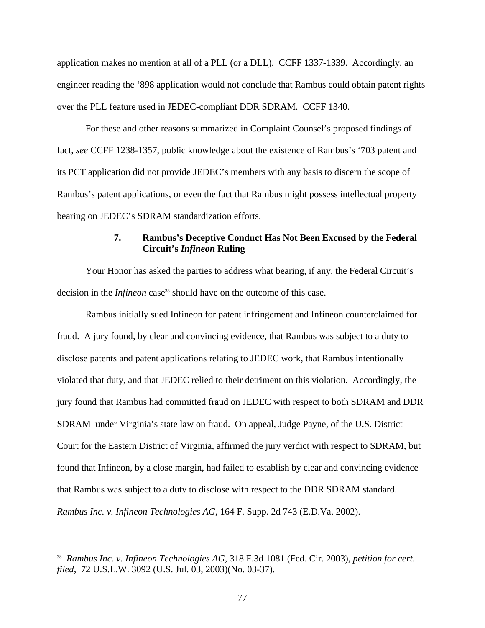application makes no mention at all of a PLL (or a DLL). CCFF 1337-1339. Accordingly, an engineer reading the '898 application would not conclude that Rambus could obtain patent rights over the PLL feature used in JEDEC-compliant DDR SDRAM. CCFF 1340.

For these and other reasons summarized in Complaint Counsel's proposed findings of fact, *see* CCFF 1238-1357, public knowledge about the existence of Rambus's '703 patent and its PCT application did not provide JEDEC's members with any basis to discern the scope of Rambus's patent applications, or even the fact that Rambus might possess intellectual property bearing on JEDEC's SDRAM standardization efforts.

## **7. Rambus's Deceptive Conduct Has Not Been Excused by the Federal Circuit's** *Infineon* **Ruling**

Your Honor has asked the parties to address what bearing, if any, the Federal Circuit's decision in the *Infineon* case<sup>38</sup> should have on the outcome of this case.

Rambus initially sued Infineon for patent infringement and Infineon counterclaimed for fraud. A jury found, by clear and convincing evidence, that Rambus was subject to a duty to disclose patents and patent applications relating to JEDEC work, that Rambus intentionally violated that duty, and that JEDEC relied to their detriment on this violation. Accordingly, the jury found that Rambus had committed fraud on JEDEC with respect to both SDRAM and DDR SDRAM under Virginia's state law on fraud. On appeal, Judge Payne, of the U.S. District Court for the Eastern District of Virginia, affirmed the jury verdict with respect to SDRAM, but found that Infineon, by a close margin, had failed to establish by clear and convincing evidence that Rambus was subject to a duty to disclose with respect to the DDR SDRAM standard. *Rambus Inc. v. Infineon Technologies AG,* 164 F. Supp. 2d 743 (E.D.Va. 2002).

<sup>38</sup> *Rambus Inc. v. Infineon Technologies AG*, 318 F.3d 1081 (Fed. Cir. 2003), *petition for cert. filed*, 72 U.S.L.W. 3092 (U.S. Jul. 03, 2003)(No. 03-37).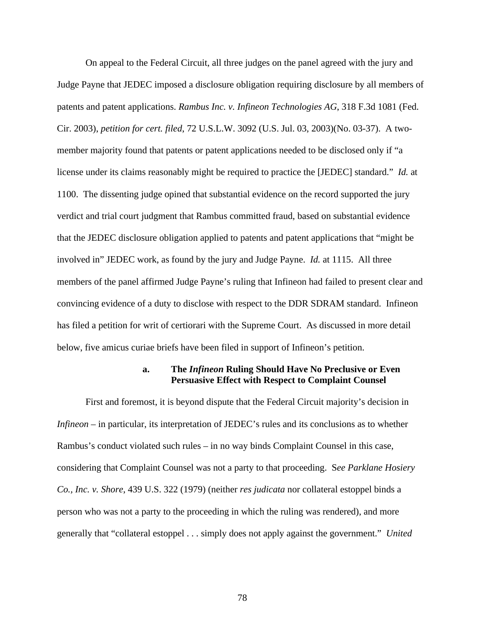On appeal to the Federal Circuit, all three judges on the panel agreed with the jury and Judge Payne that JEDEC imposed a disclosure obligation requiring disclosure by all members of patents and patent applications. *Rambus Inc. v. Infineon Technologies AG*, 318 F.3d 1081 (Fed. Cir. 2003), *petition for cert. filed*, 72 U.S.L.W. 3092 (U.S. Jul. 03, 2003)(No. 03-37). A twomember majority found that patents or patent applications needed to be disclosed only if "a license under its claims reasonably might be required to practice the [JEDEC] standard." *Id.* at 1100. The dissenting judge opined that substantial evidence on the record supported the jury verdict and trial court judgment that Rambus committed fraud, based on substantial evidence that the JEDEC disclosure obligation applied to patents and patent applications that "might be involved in" JEDEC work, as found by the jury and Judge Payne. *Id.* at 1115.All three members of the panel affirmed Judge Payne's ruling that Infineon had failed to present clear and convincing evidence of a duty to disclose with respect to the DDR SDRAM standard. Infineon has filed a petition for writ of certiorari with the Supreme Court. As discussed in more detail below, five amicus curiae briefs have been filed in support of Infineon's petition.

#### **a. The** *Infineon* **Ruling Should Have No Preclusive or Even Persuasive Effect with Respect to Complaint Counsel**

First and foremost, it is beyond dispute that the Federal Circuit majority's decision in *Infineon* – in particular, its interpretation of JEDEC's rules and its conclusions as to whether Rambus's conduct violated such rules – in no way binds Complaint Counsel in this case, considering that Complaint Counsel was not a party to that proceeding. S*ee Parklane Hosiery Co., Inc. v. Shore*, 439 U.S. 322 (1979) (neither *res judicata* nor collateral estoppel binds a person who was not a party to the proceeding in which the ruling was rendered), and more generally that "collateral estoppel . . . simply does not apply against the government." *United*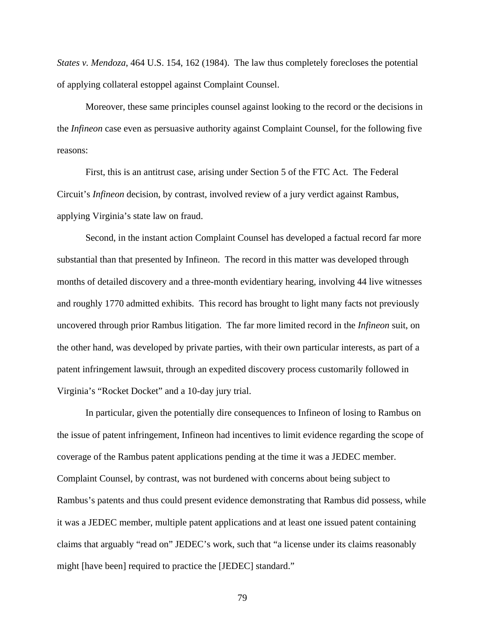*States v. Mendoza*, 464 U.S. 154, 162 (1984). The law thus completely forecloses the potential of applying collateral estoppel against Complaint Counsel.

Moreover, these same principles counsel against looking to the record or the decisions in the *Infineon* case even as persuasive authority against Complaint Counsel, for the following five reasons:

First, this is an antitrust case, arising under Section 5 of the FTC Act. The Federal Circuit's *Infineon* decision, by contrast, involved review of a jury verdict against Rambus, applying Virginia's state law on fraud.

Second, in the instant action Complaint Counsel has developed a factual record far more substantial than that presented by Infineon. The record in this matter was developed through months of detailed discovery and a three-month evidentiary hearing, involving 44 live witnesses and roughly 1770 admitted exhibits. This record has brought to light many facts not previously uncovered through prior Rambus litigation. The far more limited record in the *Infineon* suit, on the other hand, was developed by private parties, with their own particular interests, as part of a patent infringement lawsuit, through an expedited discovery process customarily followed in Virginia's "Rocket Docket" and a 10-day jury trial.

In particular, given the potentially dire consequences to Infineon of losing to Rambus on the issue of patent infringement, Infineon had incentives to limit evidence regarding the scope of coverage of the Rambus patent applications pending at the time it was a JEDEC member. Complaint Counsel, by contrast, was not burdened with concerns about being subject to Rambus's patents and thus could present evidence demonstrating that Rambus did possess, while it was a JEDEC member, multiple patent applications and at least one issued patent containing claims that arguably "read on" JEDEC's work, such that "a license under its claims reasonably might [have been] required to practice the [JEDEC] standard."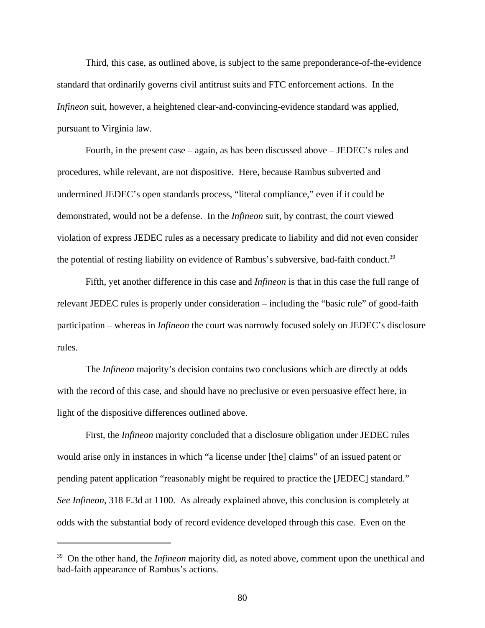Third, this case, as outlined above, is subject to the same preponderance-of-the-evidence standard that ordinarily governs civil antitrust suits and FTC enforcement actions. In the *Infineon* suit, however, a heightened clear-and-convincing-evidence standard was applied, pursuant to Virginia law.

Fourth, in the present case – again, as has been discussed above – JEDEC's rules and procedures, while relevant, are not dispositive. Here, because Rambus subverted and undermined JEDEC's open standards process, "literal compliance," even if it could be demonstrated, would not be a defense. In the *Infineon* suit, by contrast, the court viewed violation of express JEDEC rules as a necessary predicate to liability and did not even consider the potential of resting liability on evidence of Rambus's subversive, bad-faith conduct.<sup>39</sup>

Fifth, yet another difference in this case and *Infineon* is that in this case the full range of relevant JEDEC rules is properly under consideration – including the "basic rule" of good-faith participation – whereas in *Infineon* the court was narrowly focused solely on JEDEC's disclosure rules.

The *Infineon* majority's decision contains two conclusions which are directly at odds with the record of this case, and should have no preclusive or even persuasive effect here, in light of the dispositive differences outlined above.

First, the *Infineon* majority concluded that a disclosure obligation under JEDEC rules would arise only in instances in which "a license under [the] claims" of an issued patent or pending patent application "reasonably might be required to practice the [JEDEC] standard." *See Infineon*, 318 F.3d at 1100. As already explained above, this conclusion is completely at odds with the substantial body of record evidence developed through this case. Even on the

<sup>39</sup> On the other hand, the *Infineon* majority did, as noted above, comment upon the unethical and bad-faith appearance of Rambus's actions.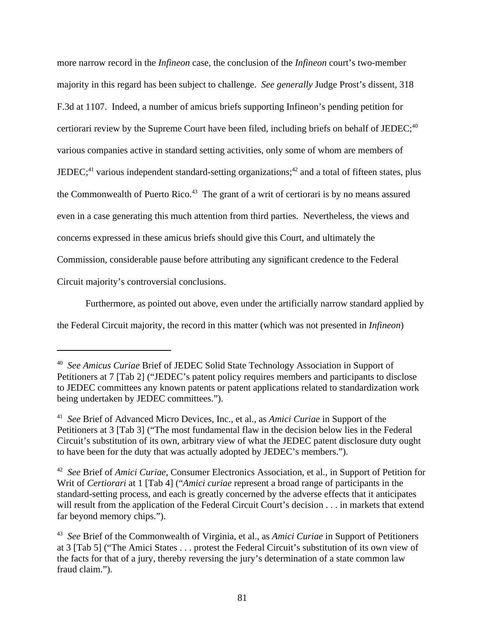more narrow record in the *Infineon* case, the conclusion of the *Infineon* court's two-member majority in this regard has been subject to challenge. *See generally* Judge Prost's dissent, 318 F.3d at 1107. Indeed, a number of amicus briefs supporting Infineon's pending petition for certiorari review by the Supreme Court have been filed, including briefs on behalf of JEDEC;  $40$ various companies active in standard setting activities, only some of whom are members of JEDEC;<sup>41</sup> various independent standard-setting organizations;<sup>42</sup> and a total of fifteen states, plus the Commonwealth of Puerto Rico.<sup>43</sup> The grant of a writ of certiorari is by no means assured even in a case generating this much attention from third parties. Nevertheless, the views and concerns expressed in these amicus briefs should give this Court, and ultimately the Commission, considerable pause before attributing any significant credence to the Federal Circuit majority's controversial conclusions.

Furthermore, as pointed out above, even under the artificially narrow standard applied by the Federal Circuit majority, the record in this matter (which was not presented in *Infineon*)

<sup>40</sup> *See Amicus Curiae* Brief of JEDEC Solid State Technology Association in Support of Petitioners at 7 [Tab 2] ("JEDEC's patent policy requires members and participants to disclose to JEDEC committees any known patents or patent applications related to standardization work being undertaken by JEDEC committees.").

<sup>41</sup> *See* Brief of Advanced Micro Devices, Inc., et al., as *Amici Curiae* in Support of the Petitioners at 3 [Tab 3] ("The most fundamental flaw in the decision below lies in the Federal Circuit's substitution of its own, arbitrary view of what the JEDEC patent disclosure duty ought to have been for the duty that was actually adopted by JEDEC's members.").

<sup>42</sup> *See* Brief of *Amici Curiae*, Consumer Electronics Association, et al., in Support of Petition for Writ of *Certiorari* at 1 [Tab 4] ("*Amici curiae* represent a broad range of participants in the standard-setting process, and each is greatly concerned by the adverse effects that it anticipates will result from the application of the Federal Circuit Court's decision . . . in markets that extend far beyond memory chips.").

<sup>43</sup> *See* Brief of the Commonwealth of Virginia, et al., as *Amici Curiae* in Support of Petitioners at 3 [Tab 5] ("The Amici States . . . protest the Federal Circuit's substitution of its own view of the facts for that of a jury, thereby reversing the jury's determination of a state common law fraud claim.").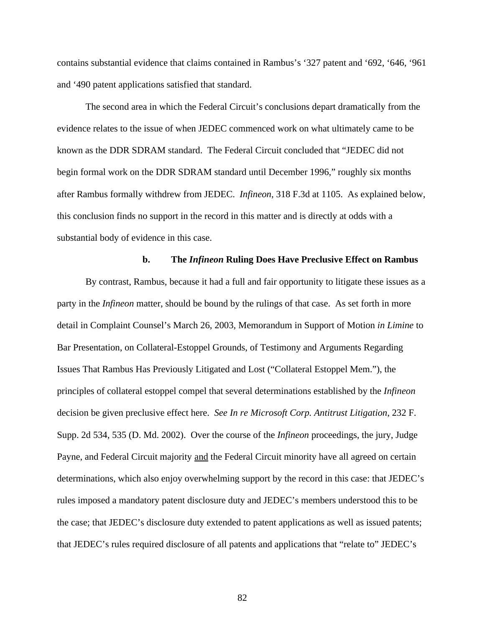contains substantial evidence that claims contained in Rambus's '327 patent and '692, '646, '961 and '490 patent applications satisfied that standard.

The second area in which the Federal Circuit's conclusions depart dramatically from the evidence relates to the issue of when JEDEC commenced work on what ultimately came to be known as the DDR SDRAM standard. The Federal Circuit concluded that "JEDEC did not begin formal work on the DDR SDRAM standard until December 1996," roughly six months after Rambus formally withdrew from JEDEC. *Infineon*, 318 F.3d at 1105. As explained below, this conclusion finds no support in the record in this matter and is directly at odds with a substantial body of evidence in this case.

#### **b. The** *Infineon* **Ruling Does Have Preclusive Effect on Rambus**

By contrast, Rambus, because it had a full and fair opportunity to litigate these issues as a party in the *Infineon* matter, should be bound by the rulings of that case. As set forth in more detail in Complaint Counsel's March 26, 2003, Memorandum in Support of Motion *in Limine* to Bar Presentation, on Collateral-Estoppel Grounds, of Testimony and Arguments Regarding Issues That Rambus Has Previously Litigated and Lost ("Collateral Estoppel Mem."), the principles of collateral estoppel compel that several determinations established by the *Infineon* decision be given preclusive effect here. *See In re Microsoft Corp. Antitrust Litigation*, 232 F. Supp. 2d 534, 535 (D. Md. 2002). Over the course of the *Infineon* proceedings, the jury, Judge Payne, and Federal Circuit majority and the Federal Circuit minority have all agreed on certain determinations, which also enjoy overwhelming support by the record in this case: that JEDEC's rules imposed a mandatory patent disclosure duty and JEDEC's members understood this to be the case; that JEDEC's disclosure duty extended to patent applications as well as issued patents; that JEDEC's rules required disclosure of all patents and applications that "relate to" JEDEC's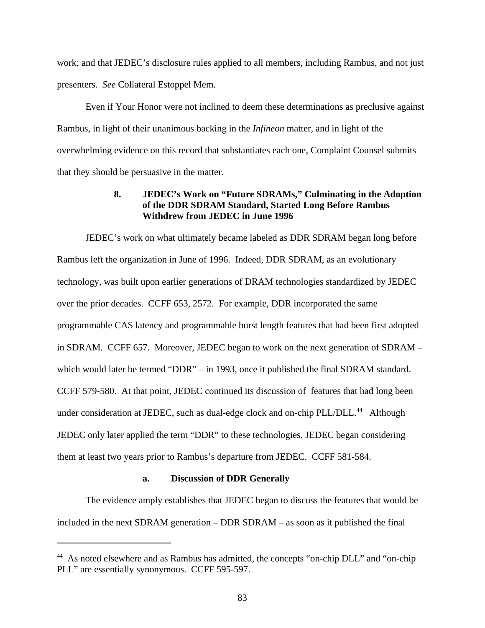work; and that JEDEC's disclosure rules applied to all members, including Rambus, and not just presenters. *See* Collateral Estoppel Mem.

Even if Your Honor were not inclined to deem these determinations as preclusive against Rambus, in light of their unanimous backing in the *Infineon* matter, and in light of the overwhelming evidence on this record that substantiates each one, Complaint Counsel submits that they should be persuasive in the matter.

## **8. JEDEC's Work on "Future SDRAMs," Culminating in the Adoption of the DDR SDRAM Standard, Started Long Before Rambus Withdrew from JEDEC in June 1996**

JEDEC's work on what ultimately became labeled as DDR SDRAM began long before Rambus left the organization in June of 1996. Indeed, DDR SDRAM, as an evolutionary technology, was built upon earlier generations of DRAM technologies standardized by JEDEC over the prior decades. CCFF 653, 2572. For example, DDR incorporated the same programmable CAS latency and programmable burst length features that had been first adopted in SDRAM. CCFF 657. Moreover, JEDEC began to work on the next generation of SDRAM – which would later be termed "DDR" – in 1993, once it published the final SDRAM standard. CCFF 579-580. At that point, JEDEC continued its discussion of features that had long been under consideration at JEDEC, such as dual-edge clock and on-chip PLL/DLL.<sup>44</sup> Although JEDEC only later applied the term "DDR" to these technologies, JEDEC began considering them at least two years prior to Rambus's departure from JEDEC. CCFF 581-584.

#### **a. Discussion of DDR Generally**

The evidence amply establishes that JEDEC began to discuss the features that would be included in the next SDRAM generation – DDR SDRAM – as soon as it published the final

<sup>44</sup> As noted elsewhere and as Rambus has admitted, the concepts "on-chip DLL" and "on-chip PLL" are essentially synonymous. CCFF 595-597.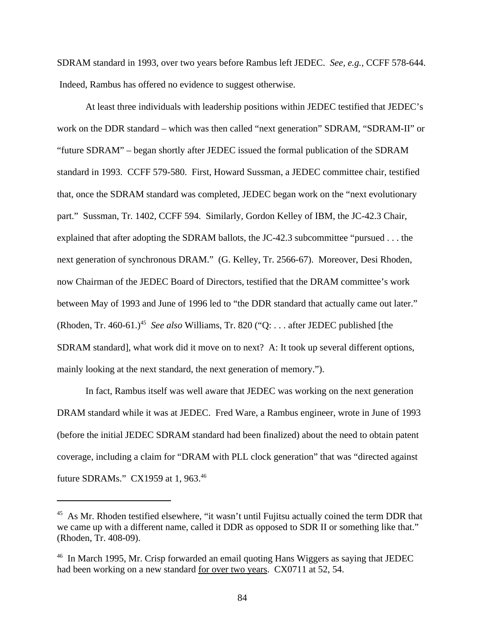SDRAM standard in 1993, over two years before Rambus left JEDEC. *See, e.g.,* CCFF 578-644. Indeed, Rambus has offered no evidence to suggest otherwise.

At least three individuals with leadership positions within JEDEC testified that JEDEC's work on the DDR standard – which was then called "next generation" SDRAM, "SDRAM-II" or "future SDRAM" – began shortly after JEDEC issued the formal publication of the SDRAM standard in 1993. CCFF 579-580. First, Howard Sussman, a JEDEC committee chair, testified that, once the SDRAM standard was completed, JEDEC began work on the "next evolutionary part." Sussman, Tr. 1402, CCFF 594. Similarly, Gordon Kelley of IBM, the JC-42.3 Chair, explained that after adopting the SDRAM ballots, the JC-42.3 subcommittee "pursued . . . the next generation of synchronous DRAM." (G. Kelley, Tr. 2566-67). Moreover, Desi Rhoden, now Chairman of the JEDEC Board of Directors, testified that the DRAM committee's work between May of 1993 and June of 1996 led to "the DDR standard that actually came out later." (Rhoden, Tr. 460-61.)<sup>45</sup> See also Williams, Tr. 820 ("Q: . . . after JEDEC published [the SDRAM standard], what work did it move on to next? A: It took up several different options, mainly looking at the next standard, the next generation of memory.").

In fact, Rambus itself was well aware that JEDEC was working on the next generation DRAM standard while it was at JEDEC. Fred Ware, a Rambus engineer, wrote in June of 1993 (before the initial JEDEC SDRAM standard had been finalized) about the need to obtain patent coverage, including a claim for "DRAM with PLL clock generation" that was "directed against future SDRAMs." CX1959 at 1, 963.46

<sup>&</sup>lt;sup>45</sup> As Mr. Rhoden testified elsewhere, "it wasn't until Fujitsu actually coined the term DDR that we came up with a different name, called it DDR as opposed to SDR II or something like that." (Rhoden, Tr. 408-09).

<sup>&</sup>lt;sup>46</sup> In March 1995, Mr. Crisp forwarded an email quoting Hans Wiggers as saying that JEDEC had been working on a new standard for over two years. CX0711 at 52, 54.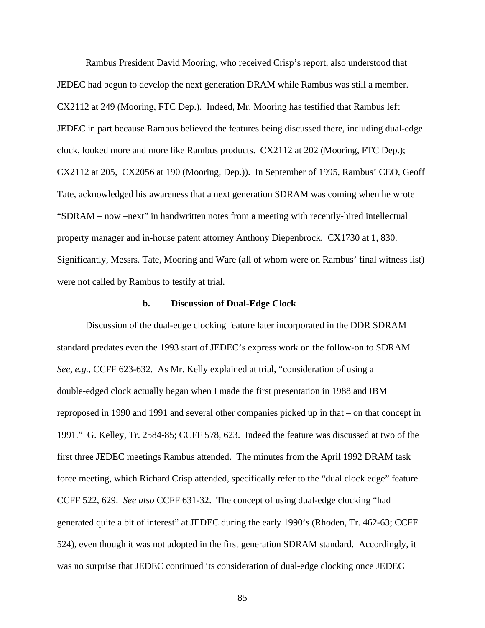Rambus President David Mooring, who received Crisp's report, also understood that JEDEC had begun to develop the next generation DRAM while Rambus was still a member. CX2112 at 249 (Mooring, FTC Dep.). Indeed, Mr. Mooring has testified that Rambus left JEDEC in part because Rambus believed the features being discussed there, including dual-edge clock, looked more and more like Rambus products. CX2112 at 202 (Mooring, FTC Dep.); CX2112 at 205, CX2056 at 190 (Mooring, Dep.)). In September of 1995, Rambus' CEO, Geoff Tate, acknowledged his awareness that a next generation SDRAM was coming when he wrote "SDRAM – now –next" in handwritten notes from a meeting with recently-hired intellectual property manager and in-house patent attorney Anthony Diepenbrock. CX1730 at 1, 830. Significantly, Messrs. Tate, Mooring and Ware (all of whom were on Rambus' final witness list) were not called by Rambus to testify at trial.

#### **b. Discussion of Dual-Edge Clock**

Discussion of the dual-edge clocking feature later incorporated in the DDR SDRAM standard predates even the 1993 start of JEDEC's express work on the follow-on to SDRAM. *See, e.g.,* CCFF 623-632. As Mr. Kelly explained at trial, "consideration of using a double-edged clock actually began when I made the first presentation in 1988 and IBM reproposed in 1990 and 1991 and several other companies picked up in that – on that concept in 1991." G. Kelley, Tr. 2584-85; CCFF 578, 623. Indeed the feature was discussed at two of the first three JEDEC meetings Rambus attended. The minutes from the April 1992 DRAM task force meeting, which Richard Crisp attended, specifically refer to the "dual clock edge" feature. CCFF 522, 629. *See also* CCFF 631-32. The concept of using dual-edge clocking "had generated quite a bit of interest" at JEDEC during the early 1990's (Rhoden, Tr. 462-63; CCFF 524), even though it was not adopted in the first generation SDRAM standard. Accordingly, it was no surprise that JEDEC continued its consideration of dual-edge clocking once JEDEC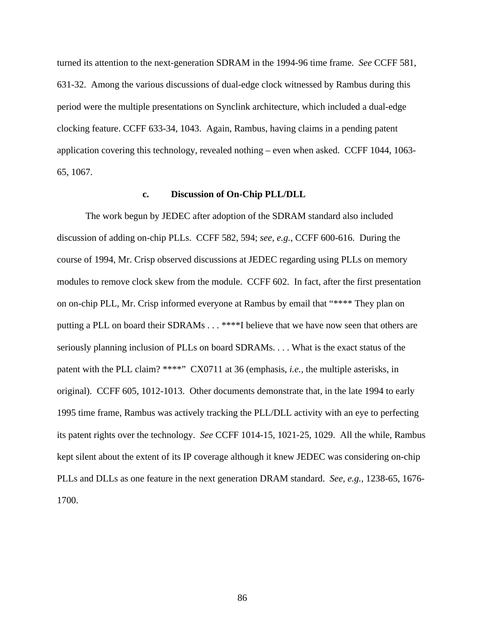turned its attention to the next-generation SDRAM in the 1994-96 time frame. *See* CCFF 581, 631-32. Among the various discussions of dual-edge clock witnessed by Rambus during this period were the multiple presentations on Synclink architecture, which included a dual-edge clocking feature. CCFF 633-34, 1043. Again, Rambus, having claims in a pending patent application covering this technology, revealed nothing – even when asked. CCFF 1044, 1063- 65, 1067.

#### **c. Discussion of On-Chip PLL/DLL**

The work begun by JEDEC after adoption of the SDRAM standard also included discussion of adding on-chip PLLs. CCFF 582, 594; *see, e.g.,* CCFF 600-616. During the course of 1994, Mr. Crisp observed discussions at JEDEC regarding using PLLs on memory modules to remove clock skew from the module. CCFF 602. In fact, after the first presentation on on-chip PLL, Mr. Crisp informed everyone at Rambus by email that "\*\*\*\* They plan on putting a PLL on board their SDRAMs . . . \*\*\*\*I believe that we have now seen that others are seriously planning inclusion of PLLs on board SDRAMs. . . . What is the exact status of the patent with the PLL claim? \*\*\*\*" CX0711 at 36 (emphasis, *i.e.,* the multiple asterisks, in original). CCFF 605, 1012-1013. Other documents demonstrate that, in the late 1994 to early 1995 time frame, Rambus was actively tracking the PLL/DLL activity with an eye to perfecting its patent rights over the technology. *See* CCFF 1014-15, 1021-25, 1029. All the while, Rambus kept silent about the extent of its IP coverage although it knew JEDEC was considering on-chip PLLs and DLLs as one feature in the next generation DRAM standard. *See, e.g.,* 1238-65, 1676- 1700.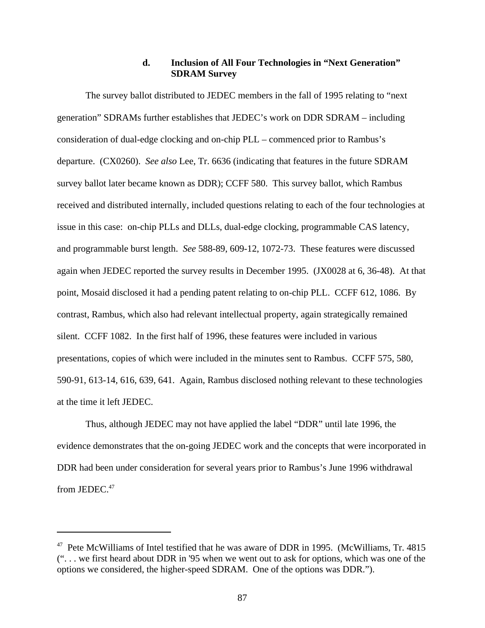## **d. Inclusion of All Four Technologies in "Next Generation" SDRAM Survey**

The survey ballot distributed to JEDEC members in the fall of 1995 relating to "next generation" SDRAMs further establishes that JEDEC's work on DDR SDRAM – including consideration of dual-edge clocking and on-chip PLL – commenced prior to Rambus's departure. (CX0260). *See also* Lee, Tr. 6636 (indicating that features in the future SDRAM survey ballot later became known as DDR); CCFF 580. This survey ballot, which Rambus received and distributed internally, included questions relating to each of the four technologies at issue in this case: on-chip PLLs and DLLs, dual-edge clocking, programmable CAS latency, and programmable burst length. *See* 588-89, 609-12, 1072-73. These features were discussed again when JEDEC reported the survey results in December 1995. (JX0028 at 6, 36-48). At that point, Mosaid disclosed it had a pending patent relating to on-chip PLL. CCFF 612, 1086. By contrast, Rambus, which also had relevant intellectual property, again strategically remained silent. CCFF 1082. In the first half of 1996, these features were included in various presentations, copies of which were included in the minutes sent to Rambus. CCFF 575, 580, 590-91, 613-14, 616, 639, 641. Again, Rambus disclosed nothing relevant to these technologies at the time it left JEDEC.

Thus, although JEDEC may not have applied the label "DDR" until late 1996, the evidence demonstrates that the on-going JEDEC work and the concepts that were incorporated in DDR had been under consideration for several years prior to Rambus's June 1996 withdrawal from JEDEC.<sup>47</sup>

 $47$  Pete McWilliams of Intel testified that he was aware of DDR in 1995. (McWilliams, Tr. 4815) (". . . we first heard about DDR in '95 when we went out to ask for options, which was one of the options we considered, the higher-speed SDRAM. One of the options was DDR.").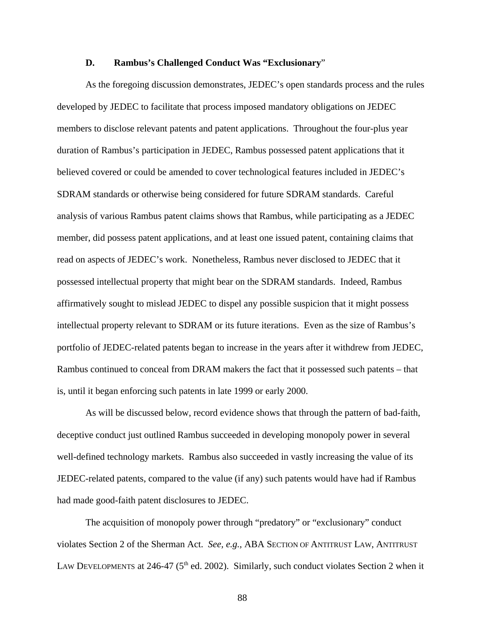#### **D. Rambus's Challenged Conduct Was "Exclusionary**"

As the foregoing discussion demonstrates, JEDEC's open standards process and the rules developed by JEDEC to facilitate that process imposed mandatory obligations on JEDEC members to disclose relevant patents and patent applications. Throughout the four-plus year duration of Rambus's participation in JEDEC, Rambus possessed patent applications that it believed covered or could be amended to cover technological features included in JEDEC's SDRAM standards or otherwise being considered for future SDRAM standards. Careful analysis of various Rambus patent claims shows that Rambus, while participating as a JEDEC member, did possess patent applications, and at least one issued patent, containing claims that read on aspects of JEDEC's work. Nonetheless, Rambus never disclosed to JEDEC that it possessed intellectual property that might bear on the SDRAM standards. Indeed, Rambus affirmatively sought to mislead JEDEC to dispel any possible suspicion that it might possess intellectual property relevant to SDRAM or its future iterations. Even as the size of Rambus's portfolio of JEDEC-related patents began to increase in the years after it withdrew from JEDEC, Rambus continued to conceal from DRAM makers the fact that it possessed such patents – that is, until it began enforcing such patents in late 1999 or early 2000.

As will be discussed below, record evidence shows that through the pattern of bad-faith, deceptive conduct just outlined Rambus succeeded in developing monopoly power in several well-defined technology markets. Rambus also succeeded in vastly increasing the value of its JEDEC-related patents, compared to the value (if any) such patents would have had if Rambus had made good-faith patent disclosures to JEDEC.

The acquisition of monopoly power through "predatory" or "exclusionary" conduct violates Section 2 of the Sherman Act. *See, e.g.,* ABA SECTION OF ANTITRUST LAW, ANTITRUST LAW DEVELOPMENTS at 246-47 ( $5<sup>th</sup>$  ed. 2002). Similarly, such conduct violates Section 2 when it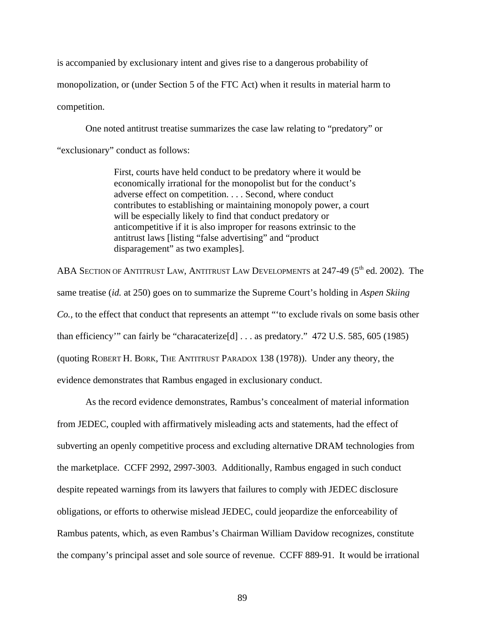is accompanied by exclusionary intent and gives rise to a dangerous probability of monopolization, or (under Section 5 of the FTC Act) when it results in material harm to competition.

One noted antitrust treatise summarizes the case law relating to "predatory" or "exclusionary" conduct as follows:

> First, courts have held conduct to be predatory where it would be economically irrational for the monopolist but for the conduct's adverse effect on competition. . . . Second, where conduct contributes to establishing or maintaining monopoly power, a court will be especially likely to find that conduct predatory or anticompetitive if it is also improper for reasons extrinsic to the antitrust laws [listing "false advertising" and "product disparagement" as two examples].

ABA SECTION OF ANTITRUST LAW, ANTITRUST LAW DEVELOPMENTS at  $247-49$  ( $5<sup>th</sup>$  ed. 2002). The same treatise (*id.* at 250) goes on to summarize the Supreme Court's holding in *Aspen Skiing Co.,* to the effect that conduct that represents an attempt "'to exclude rivals on some basis other than efficiency'" can fairly be "characaterize[d] . . . as predatory." 472 U.S. 585, 605 (1985) (quoting ROBERT H. BORK, THE ANTITRUST PARADOX 138 (1978)). Under any theory, the evidence demonstrates that Rambus engaged in exclusionary conduct.

As the record evidence demonstrates, Rambus's concealment of material information from JEDEC, coupled with affirmatively misleading acts and statements, had the effect of subverting an openly competitive process and excluding alternative DRAM technologies from the marketplace. CCFF 2992, 2997-3003. Additionally, Rambus engaged in such conduct despite repeated warnings from its lawyers that failures to comply with JEDEC disclosure obligations, or efforts to otherwise mislead JEDEC, could jeopardize the enforceability of Rambus patents, which, as even Rambus's Chairman William Davidow recognizes, constitute the company's principal asset and sole source of revenue. CCFF 889-91. It would be irrational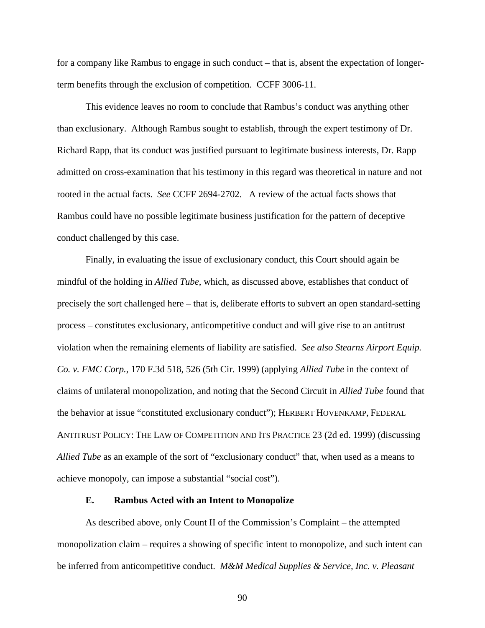for a company like Rambus to engage in such conduct – that is, absent the expectation of longerterm benefits through the exclusion of competition. CCFF 3006-11.

This evidence leaves no room to conclude that Rambus's conduct was anything other than exclusionary. Although Rambus sought to establish, through the expert testimony of Dr. Richard Rapp, that its conduct was justified pursuant to legitimate business interests, Dr. Rapp admitted on cross-examination that his testimony in this regard was theoretical in nature and not rooted in the actual facts. *See* CCFF 2694-2702. A review of the actual facts shows that Rambus could have no possible legitimate business justification for the pattern of deceptive conduct challenged by this case.

Finally, in evaluating the issue of exclusionary conduct, this Court should again be mindful of the holding in *Allied Tube*, which, as discussed above, establishes that conduct of precisely the sort challenged here – that is, deliberate efforts to subvert an open standard-setting process – constitutes exclusionary, anticompetitive conduct and will give rise to an antitrust violation when the remaining elements of liability are satisfied. *See also Stearns Airport Equip. Co. v. FMC Corp.*, 170 F.3d 518, 526 (5th Cir. 1999) (applying *Allied Tube* in the context of claims of unilateral monopolization, and noting that the Second Circuit in *Allied Tube* found that the behavior at issue "constituted exclusionary conduct"); HERBERT HOVENKAMP, FEDERAL ANTITRUST POLICY: THE LAW OF COMPETITION AND ITS PRACTICE 23 (2d ed. 1999) (discussing *Allied Tube* as an example of the sort of "exclusionary conduct" that, when used as a means to achieve monopoly, can impose a substantial "social cost").

#### **E. Rambus Acted with an Intent to Monopolize**

As described above, only Count II of the Commission's Complaint – the attempted monopolization claim – requires a showing of specific intent to monopolize, and such intent can be inferred from anticompetitive conduct. *M&M Medical Supplies & Service, Inc. v. Pleasant*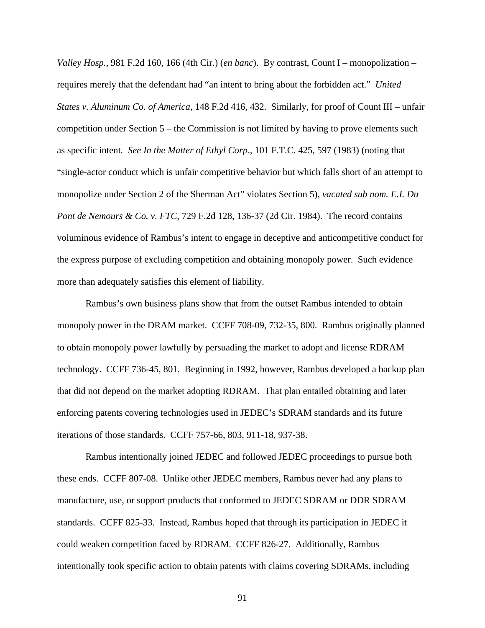*Valley Hosp.*, 981 F.2d 160, 166 (4th Cir.) (*en banc*). By contrast, Count I – monopolization – requires merely that the defendant had "an intent to bring about the forbidden act." *United States v. Aluminum Co. of America*, 148 F.2d 416, 432. Similarly, for proof of Count III – unfair competition under Section 5 – the Commission is not limited by having to prove elements such as specific intent*. See In the Matter of Ethyl Corp*., 101 F.T.C. 425, 597 (1983) (noting that "single-actor conduct which is unfair competitive behavior but which falls short of an attempt to monopolize under Section 2 of the Sherman Act" violates Section 5), *vacated sub nom. E.I. Du Pont de Nemours & Co. v. FTC*, 729 F.2d 128, 136-37 (2d Cir. 1984). The record contains voluminous evidence of Rambus's intent to engage in deceptive and anticompetitive conduct for the express purpose of excluding competition and obtaining monopoly power. Such evidence more than adequately satisfies this element of liability.

Rambus's own business plans show that from the outset Rambus intended to obtain monopoly power in the DRAM market. CCFF 708-09, 732-35, 800. Rambus originally planned to obtain monopoly power lawfully by persuading the market to adopt and license RDRAM technology. CCFF 736-45, 801. Beginning in 1992, however, Rambus developed a backup plan that did not depend on the market adopting RDRAM. That plan entailed obtaining and later enforcing patents covering technologies used in JEDEC's SDRAM standards and its future iterations of those standards. CCFF 757-66, 803, 911-18, 937-38.

Rambus intentionally joined JEDEC and followed JEDEC proceedings to pursue both these ends. CCFF 807-08. Unlike other JEDEC members, Rambus never had any plans to manufacture, use, or support products that conformed to JEDEC SDRAM or DDR SDRAM standards. CCFF 825-33. Instead, Rambus hoped that through its participation in JEDEC it could weaken competition faced by RDRAM. CCFF 826-27. Additionally, Rambus intentionally took specific action to obtain patents with claims covering SDRAMs, including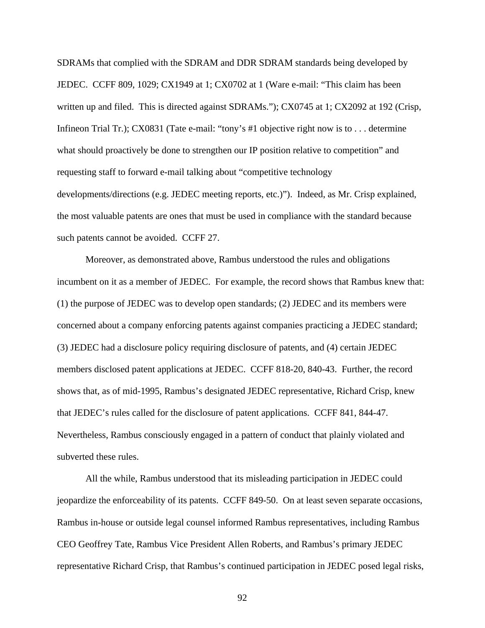SDRAMs that complied with the SDRAM and DDR SDRAM standards being developed by JEDEC. CCFF 809, 1029; CX1949 at 1; CX0702 at 1 (Ware e-mail: "This claim has been written up and filed. This is directed against SDRAMs."); CX0745 at 1; CX2092 at 192 (Crisp, Infineon Trial Tr.); CX0831 (Tate e-mail: "tony's #1 objective right now is to . . . determine what should proactively be done to strengthen our IP position relative to competition" and requesting staff to forward e-mail talking about "competitive technology developments/directions (e.g. JEDEC meeting reports, etc.)"). Indeed, as Mr. Crisp explained, the most valuable patents are ones that must be used in compliance with the standard because such patents cannot be avoided. CCFF 27.

Moreover, as demonstrated above, Rambus understood the rules and obligations incumbent on it as a member of JEDEC. For example, the record shows that Rambus knew that: (1) the purpose of JEDEC was to develop open standards; (2) JEDEC and its members were concerned about a company enforcing patents against companies practicing a JEDEC standard; (3) JEDEC had a disclosure policy requiring disclosure of patents, and (4) certain JEDEC members disclosed patent applications at JEDEC. CCFF 818-20, 840-43. Further, the record shows that, as of mid-1995, Rambus's designated JEDEC representative, Richard Crisp, knew that JEDEC's rules called for the disclosure of patent applications. CCFF 841, 844-47. Nevertheless, Rambus consciously engaged in a pattern of conduct that plainly violated and subverted these rules.

All the while, Rambus understood that its misleading participation in JEDEC could jeopardize the enforceability of its patents. CCFF 849-50. On at least seven separate occasions, Rambus in-house or outside legal counsel informed Rambus representatives, including Rambus CEO Geoffrey Tate, Rambus Vice President Allen Roberts, and Rambus's primary JEDEC representative Richard Crisp, that Rambus's continued participation in JEDEC posed legal risks,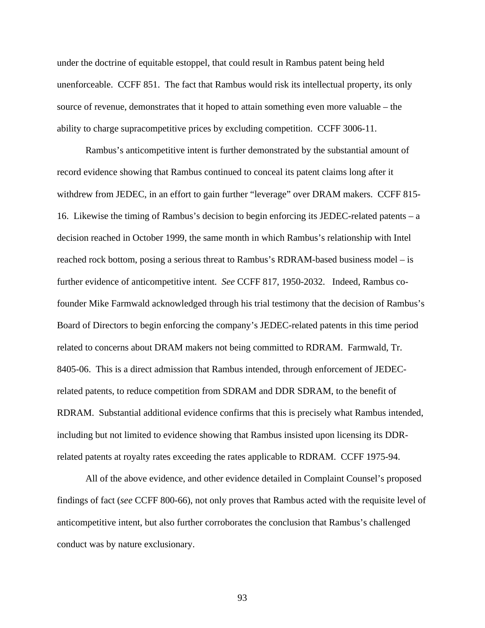under the doctrine of equitable estoppel, that could result in Rambus patent being held unenforceable. CCFF 851. The fact that Rambus would risk its intellectual property, its only source of revenue, demonstrates that it hoped to attain something even more valuable – the ability to charge supracompetitive prices by excluding competition. CCFF 3006-11.

Rambus's anticompetitive intent is further demonstrated by the substantial amount of record evidence showing that Rambus continued to conceal its patent claims long after it withdrew from JEDEC, in an effort to gain further "leverage" over DRAM makers. CCFF 815- 16. Likewise the timing of Rambus's decision to begin enforcing its JEDEC-related patents – a decision reached in October 1999, the same month in which Rambus's relationship with Intel reached rock bottom, posing a serious threat to Rambus's RDRAM-based business model – is further evidence of anticompetitive intent. *See* CCFF 817, 1950-2032. Indeed, Rambus cofounder Mike Farmwald acknowledged through his trial testimony that the decision of Rambus's Board of Directors to begin enforcing the company's JEDEC-related patents in this time period related to concerns about DRAM makers not being committed to RDRAM. Farmwald, Tr. 8405-06. This is a direct admission that Rambus intended, through enforcement of JEDECrelated patents, to reduce competition from SDRAM and DDR SDRAM, to the benefit of RDRAM. Substantial additional evidence confirms that this is precisely what Rambus intended, including but not limited to evidence showing that Rambus insisted upon licensing its DDRrelated patents at royalty rates exceeding the rates applicable to RDRAM. CCFF 1975-94.

All of the above evidence, and other evidence detailed in Complaint Counsel's proposed findings of fact (*see* CCFF 800-66), not only proves that Rambus acted with the requisite level of anticompetitive intent, but also further corroborates the conclusion that Rambus's challenged conduct was by nature exclusionary.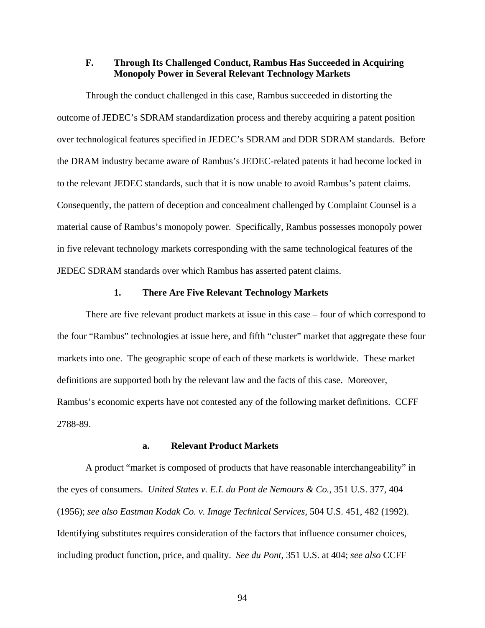## **F. Through Its Challenged Conduct, Rambus Has Succeeded in Acquiring Monopoly Power in Several Relevant Technology Markets**

Through the conduct challenged in this case, Rambus succeeded in distorting the outcome of JEDEC's SDRAM standardization process and thereby acquiring a patent position over technological features specified in JEDEC's SDRAM and DDR SDRAM standards. Before the DRAM industry became aware of Rambus's JEDEC-related patents it had become locked in to the relevant JEDEC standards, such that it is now unable to avoid Rambus's patent claims. Consequently, the pattern of deception and concealment challenged by Complaint Counsel is a material cause of Rambus's monopoly power. Specifically, Rambus possesses monopoly power in five relevant technology markets corresponding with the same technological features of the JEDEC SDRAM standards over which Rambus has asserted patent claims.

### **1. There Are Five Relevant Technology Markets**

There are five relevant product markets at issue in this case – four of which correspond to the four "Rambus" technologies at issue here, and fifth "cluster" market that aggregate these four markets into one. The geographic scope of each of these markets is worldwide. These market definitions are supported both by the relevant law and the facts of this case. Moreover, Rambus's economic experts have not contested any of the following market definitions. CCFF 2788-89.

#### **a. Relevant Product Markets**

A product "market is composed of products that have reasonable interchangeability" in the eyes of consumers. *United States v. E.I. du Pont de Nemours & Co.*, 351 U.S. 377, 404 (1956); *see also Eastman Kodak Co. v. Image Technical Services,* 504 U.S. 451, 482 (1992). Identifying substitutes requires consideration of the factors that influence consumer choices, including product function, price, and quality. *See du Pont*, 351 U.S. at 404; *see also* CCFF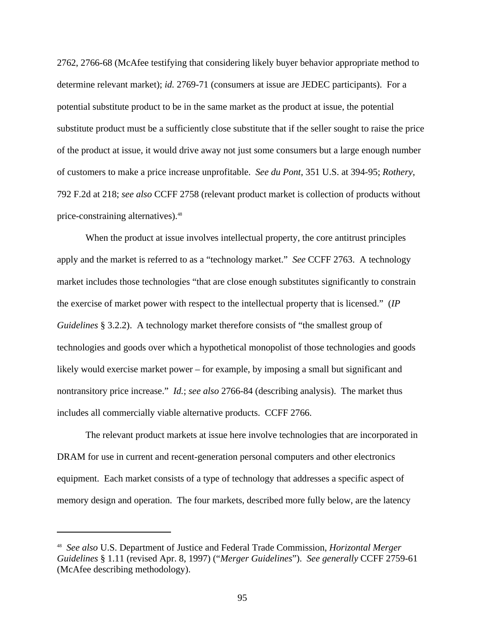2762, 2766-68 (McAfee testifying that considering likely buyer behavior appropriate method to determine relevant market); *id.* 2769-71 (consumers at issue are JEDEC participants). For a potential substitute product to be in the same market as the product at issue, the potential substitute product must be a sufficiently close substitute that if the seller sought to raise the price of the product at issue, it would drive away not just some consumers but a large enough number of customers to make a price increase unprofitable. *See du Pont*, 351 U.S. at 394-95; *Rothery*, 792 F.2d at 218; *see also* CCFF 2758 (relevant product market is collection of products without price-constraining alternatives).<sup>48</sup>

When the product at issue involves intellectual property, the core antitrust principles apply and the market is referred to as a "technology market." *See* CCFF 2763. A technology market includes those technologies "that are close enough substitutes significantly to constrain the exercise of market power with respect to the intellectual property that is licensed." (*IP Guidelines* § 3.2.2). A technology market therefore consists of "the smallest group of technologies and goods over which a hypothetical monopolist of those technologies and goods likely would exercise market power – for example, by imposing a small but significant and nontransitory price increase." *Id.*; *see also* 2766-84 (describing analysis). The market thus includes all commercially viable alternative products. CCFF 2766.

The relevant product markets at issue here involve technologies that are incorporated in DRAM for use in current and recent-generation personal computers and other electronics equipment. Each market consists of a type of technology that addresses a specific aspect of memory design and operation. The four markets, described more fully below, are the latency

<sup>48</sup> *See also* U.S. Department of Justice and Federal Trade Commission, *Horizontal Merger Guidelines* § 1.11 (revised Apr. 8, 1997) ("*Merger Guidelines*"). *See generally* CCFF 2759-61 (McAfee describing methodology).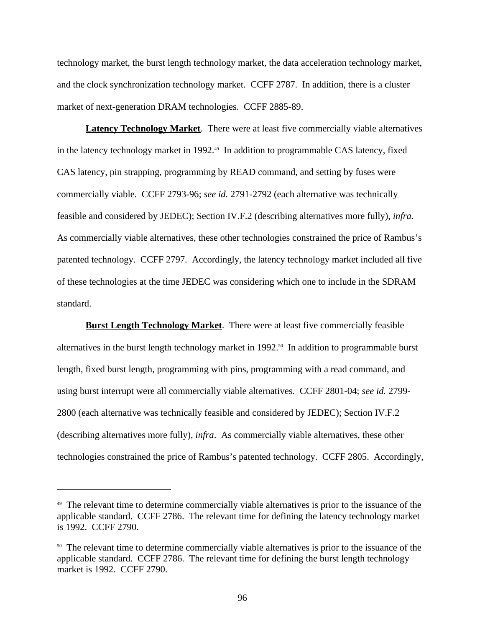technology market, the burst length technology market, the data acceleration technology market, and the clock synchronization technology market. CCFF 2787. In addition, there is a cluster market of next-generation DRAM technologies. CCFF 2885-89.

**Latency Technology Market**. There were at least five commercially viable alternatives in the latency technology market in 1992.<sup>49</sup> In addition to programmable CAS latency, fixed CAS latency, pin strapping, programming by READ command, and setting by fuses were commercially viable. CCFF 2793-96; *see id.* 2791-2792 (each alternative was technically feasible and considered by JEDEC); Section IV.F.2 (describing alternatives more fully), *infra*. As commercially viable alternatives, these other technologies constrained the price of Rambus's patented technology. CCFF 2797. Accordingly, the latency technology market included all five of these technologies at the time JEDEC was considering which one to include in the SDRAM standard.

**Burst Length Technology Market**. There were at least five commercially feasible alternatives in the burst length technology market in 1992.<sup>50</sup> In addition to programmable burst length, fixed burst length, programming with pins, programming with a read command, and using burst interrupt were all commercially viable alternatives. CCFF 2801-04; *see id.* 2799- 2800 (each alternative was technically feasible and considered by JEDEC); Section IV.F.2 (describing alternatives more fully), *infra*. As commercially viable alternatives, these other technologies constrained the price of Rambus's patented technology. CCFF 2805. Accordingly,

<sup>&</sup>lt;sup>49</sup> The relevant time to determine commercially viable alternatives is prior to the issuance of the applicable standard. CCFF 2786. The relevant time for defining the latency technology market is 1992. CCFF 2790.

<sup>&</sup>lt;sup>50</sup> The relevant time to determine commercially viable alternatives is prior to the issuance of the applicable standard. CCFF 2786. The relevant time for defining the burst length technology market is 1992. CCFF 2790.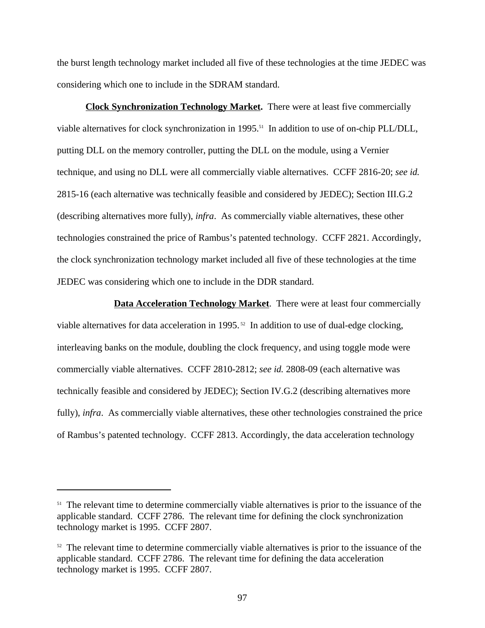the burst length technology market included all five of these technologies at the time JEDEC was considering which one to include in the SDRAM standard.

**Clock Synchronization Technology Market.** There were at least five commercially viable alternatives for clock synchronization in 1995.<sup>51</sup> In addition to use of on-chip PLL/DLL, putting DLL on the memory controller, putting the DLL on the module, using a Vernier technique, and using no DLL were all commercially viable alternatives. CCFF 2816-20; *see id.* 2815-16 (each alternative was technically feasible and considered by JEDEC); Section III.G.2 (describing alternatives more fully), *infra*.As commercially viable alternatives, these other technologies constrained the price of Rambus's patented technology. CCFF 2821. Accordingly, the clock synchronization technology market included all five of these technologies at the time JEDEC was considering which one to include in the DDR standard.

**Data Acceleration Technology Market.** There were at least four commercially viable alternatives for data acceleration in 1995. 52 In addition to use of dual-edge clocking, interleaving banks on the module, doubling the clock frequency, and using toggle mode were commercially viable alternatives. CCFF 2810-2812; *see id.* 2808-09 (each alternative was technically feasible and considered by JEDEC); Section IV.G.2 (describing alternatives more fully), *infra*. As commercially viable alternatives, these other technologies constrained the price of Rambus's patented technology. CCFF 2813. Accordingly, the data acceleration technology

<sup>&</sup>lt;sup>51</sup> The relevant time to determine commercially viable alternatives is prior to the issuance of the applicable standard. CCFF 2786. The relevant time for defining the clock synchronization technology market is 1995. CCFF 2807.

<sup>&</sup>lt;sup>52</sup> The relevant time to determine commercially viable alternatives is prior to the issuance of the applicable standard. CCFF 2786. The relevant time for defining the data acceleration technology market is 1995. CCFF 2807.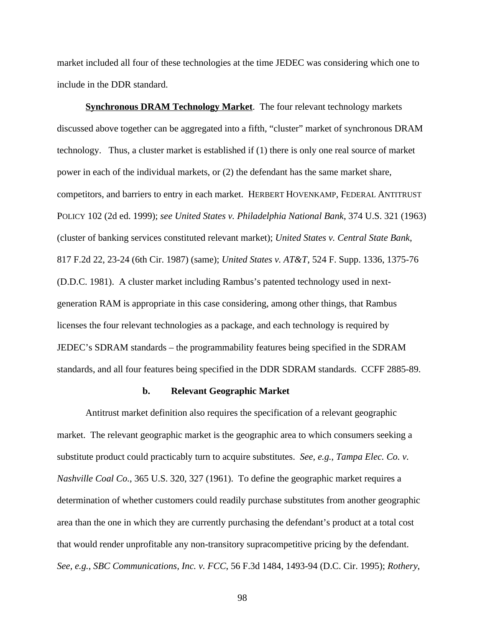market included all four of these technologies at the time JEDEC was considering which one to include in the DDR standard.

**Synchronous DRAM Technology Market**. The four relevant technology markets discussed above together can be aggregated into a fifth, "cluster" market of synchronous DRAM technology. Thus, a cluster market is established if (1) there is only one real source of market power in each of the individual markets, or (2) the defendant has the same market share, competitors, and barriers to entry in each market. HERBERT HOVENKAMP, FEDERAL ANTITRUST POLICY 102 (2d ed. 1999); *see United States v. Philadelphia National Bank*, 374 U.S. 321 (1963) (cluster of banking services constituted relevant market); *United States v. Central State Bank*, 817 F.2d 22, 23-24 (6th Cir. 1987) (same); *United States v. AT&T*, 524 F. Supp. 1336, 1375-76 (D.D.C. 1981). A cluster market including Rambus's patented technology used in nextgeneration RAM is appropriate in this case considering, among other things, that Rambus licenses the four relevant technologies as a package, and each technology is required by JEDEC's SDRAM standards – the programmability features being specified in the SDRAM standards, and all four features being specified in the DDR SDRAM standards. CCFF 2885-89.

#### **b. Relevant Geographic Market**

Antitrust market definition also requires the specification of a relevant geographic market. The relevant geographic market is the geographic area to which consumers seeking a substitute product could practicably turn to acquire substitutes. *See, e.g.*, *Tampa Elec. Co. v. Nashville Coal Co.*, 365 U.S. 320, 327 (1961). To define the geographic market requires a determination of whether customers could readily purchase substitutes from another geographic area than the one in which they are currently purchasing the defendant's product at a total cost that would render unprofitable any non-transitory supracompetitive pricing by the defendant. *See, e.g.*, *SBC Communications, Inc. v. FCC*, 56 F.3d 1484, 1493-94 (D.C. Cir. 1995); *Rothery*,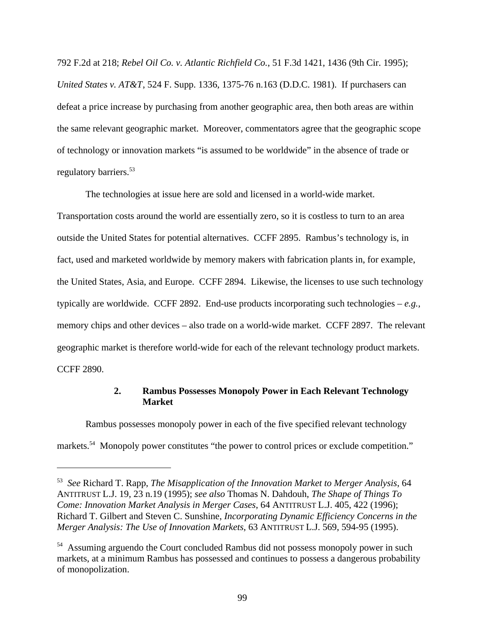792 F.2d at 218; *Rebel Oil Co. v. Atlantic Richfield Co.*, 51 F.3d 1421, 1436 (9th Cir. 1995); *United States v. AT&T*, 524 F. Supp. 1336, 1375-76 n.163 (D.D.C. 1981). If purchasers can defeat a price increase by purchasing from another geographic area, then both areas are within the same relevant geographic market. Moreover, commentators agree that the geographic scope of technology or innovation markets "is assumed to be worldwide" in the absence of trade or regulatory barriers.<sup>53</sup>

The technologies at issue here are sold and licensed in a world-wide market. Transportation costs around the world are essentially zero, so it is costless to turn to an area outside the United States for potential alternatives. CCFF 2895. Rambus's technology is, in fact, used and marketed worldwide by memory makers with fabrication plants in, for example, the United States, Asia, and Europe. CCFF 2894. Likewise, the licenses to use such technology typically are worldwide. CCFF 2892. End-use products incorporating such technologies – *e.g.,* memory chips and other devices – also trade on a world-wide market. CCFF 2897. The relevant geographic market is therefore world-wide for each of the relevant technology product markets. CCFF 2890.

### **2. Rambus Possesses Monopoly Power in Each Relevant Technology Market**

Rambus possesses monopoly power in each of the five specified relevant technology markets.<sup>54</sup> Monopoly power constitutes "the power to control prices or exclude competition."

<sup>53</sup> *See* Richard T. Rapp, *The Misapplication of the Innovation Market to Merger Analysis*, 64 ANTITRUST L.J. 19, 23 n.19 (1995); *see also* Thomas N. Dahdouh, *The Shape of Things To Come: Innovation Market Analysis in Merger Cases*, 64 ANTITRUST L.J. 405, 422 (1996); Richard T. Gilbert and Steven C. Sunshine, *Incorporating Dynamic Efficiency Concerns in the Merger Analysis: The Use of Innovation Markets*, 63 ANTITRUST L.J. 569, 594-95 (1995).

<sup>&</sup>lt;sup>54</sup> Assuming arguendo the Court concluded Rambus did not possess monopoly power in such markets, at a minimum Rambus has possessed and continues to possess a dangerous probability of monopolization.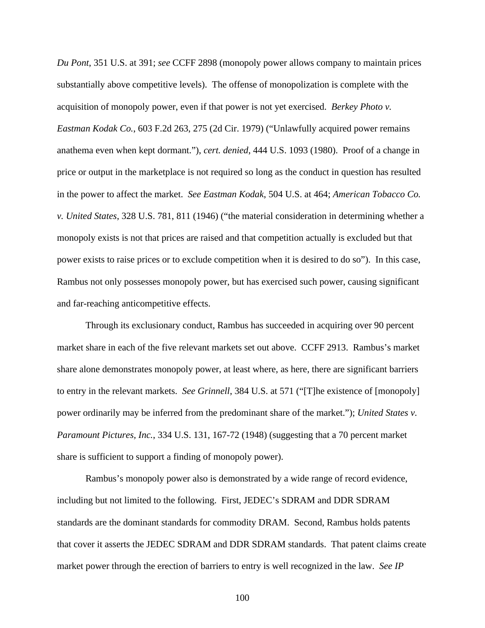*Du Pont*, 351 U.S. at 391; *see* CCFF 2898 (monopoly power allows company to maintain prices substantially above competitive levels). The offense of monopolization is complete with the acquisition of monopoly power, even if that power is not yet exercised. *Berkey Photo v. Eastman Kodak Co.*, 603 F.2d 263, 275 (2d Cir. 1979) ("Unlawfully acquired power remains anathema even when kept dormant."), *cert. denied*, 444 U.S. 1093 (1980). Proof of a change in price or output in the marketplace is not required so long as the conduct in question has resulted in the power to affect the market. *See Eastman Kodak*, 504 U.S. at 464; *American Tobacco Co. v. United States*, 328 U.S. 781, 811 (1946) ("the material consideration in determining whether a monopoly exists is not that prices are raised and that competition actually is excluded but that power exists to raise prices or to exclude competition when it is desired to do so"). In this case, Rambus not only possesses monopoly power, but has exercised such power, causing significant and far-reaching anticompetitive effects.

Through its exclusionary conduct, Rambus has succeeded in acquiring over 90 percent market share in each of the five relevant markets set out above. CCFF 2913. Rambus's market share alone demonstrates monopoly power, at least where, as here, there are significant barriers to entry in the relevant markets. *See Grinnell*, 384 U.S. at 571 ("[T]he existence of [monopoly] power ordinarily may be inferred from the predominant share of the market."); *United States v. Paramount Pictures, Inc.*, 334 U.S. 131, 167-72 (1948) (suggesting that a 70 percent market share is sufficient to support a finding of monopoly power).

Rambus's monopoly power also is demonstrated by a wide range of record evidence, including but not limited to the following. First, JEDEC's SDRAM and DDR SDRAM standards are the dominant standards for commodity DRAM. Second, Rambus holds patents that cover it asserts the JEDEC SDRAM and DDR SDRAM standards. That patent claims create market power through the erection of barriers to entry is well recognized in the law. *See IP*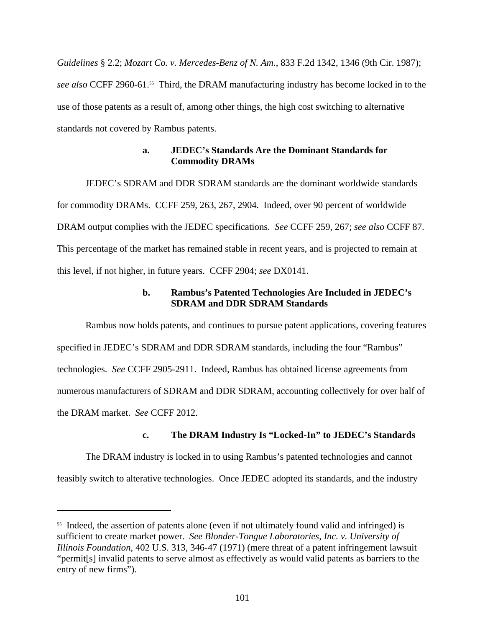*Guidelines* § 2.2; *Mozart Co. v. Mercedes-Benz of N. Am.*, 833 F.2d 1342, 1346 (9th Cir. 1987); *see also* CCFF 2960-61.55 Third, the DRAM manufacturing industry has become locked in to the use of those patents as a result of, among other things, the high cost switching to alternative standards not covered by Rambus patents.

## **a. JEDEC's Standards Are the Dominant Standards for Commodity DRAMs**

JEDEC's SDRAM and DDR SDRAM standards are the dominant worldwide standards for commodity DRAMs. CCFF 259, 263, 267, 2904. Indeed, over 90 percent of worldwide DRAM output complies with the JEDEC specifications. *See* CCFF 259, 267; *see also* CCFF 87. This percentage of the market has remained stable in recent years, and is projected to remain at this level, if not higher, in future years. CCFF 2904; *see* DX0141.

# **b. Rambus's Patented Technologies Are Included in JEDEC's SDRAM and DDR SDRAM Standards**

Rambus now holds patents, and continues to pursue patent applications, covering features specified in JEDEC's SDRAM and DDR SDRAM standards, including the four "Rambus" technologies. *See* CCFF 2905-2911. Indeed, Rambus has obtained license agreements from numerous manufacturers of SDRAM and DDR SDRAM, accounting collectively for over half of the DRAM market. *See* CCFF 2012.

# **c. The DRAM Industry Is "Locked-In" to JEDEC's Standards**

The DRAM industry is locked in to using Rambus's patented technologies and cannot

feasibly switch to alterative technologies. Once JEDEC adopted its standards, and the industry

<sup>&</sup>lt;sup>55</sup> Indeed, the assertion of patents alone (even if not ultimately found valid and infringed) is sufficient to create market power. *See Blonder-Tongue Laboratories, Inc. v. University of Illinois Foundation*, 402 U.S. 313, 346-47 (1971) (mere threat of a patent infringement lawsuit "permit[s] invalid patents to serve almost as effectively as would valid patents as barriers to the entry of new firms").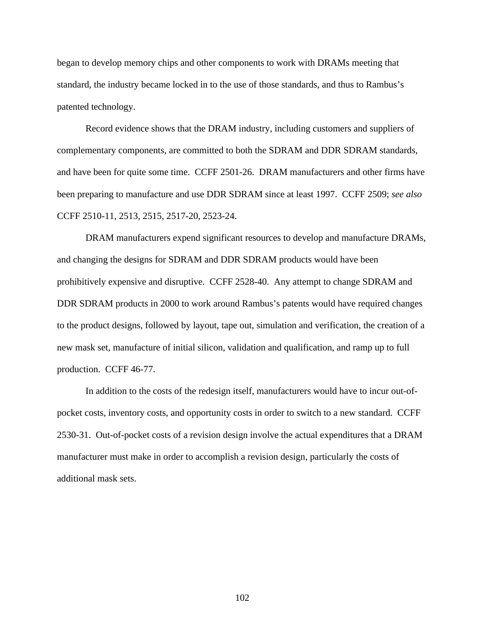began to develop memory chips and other components to work with DRAMs meeting that standard, the industry became locked in to the use of those standards, and thus to Rambus's patented technology.

Record evidence shows that the DRAM industry, including customers and suppliers of complementary components, are committed to both the SDRAM and DDR SDRAM standards, and have been for quite some time. CCFF 2501-26. DRAM manufacturers and other firms have been preparing to manufacture and use DDR SDRAM since at least 1997. CCFF 2509; *see also* CCFF 2510-11, 2513, 2515, 2517-20, 2523-24.

DRAM manufacturers expend significant resources to develop and manufacture DRAMs, and changing the designs for SDRAM and DDR SDRAM products would have been prohibitively expensive and disruptive. CCFF 2528-40. Any attempt to change SDRAM and DDR SDRAM products in 2000 to work around Rambus's patents would have required changes to the product designs, followed by layout, tape out, simulation and verification, the creation of a new mask set, manufacture of initial silicon, validation and qualification, and ramp up to full production. CCFF 46-77.

In addition to the costs of the redesign itself, manufacturers would have to incur out-ofpocket costs, inventory costs, and opportunity costs in order to switch to a new standard. CCFF 2530-31. Out-of-pocket costs of a revision design involve the actual expenditures that a DRAM manufacturer must make in order to accomplish a revision design, particularly the costs of additional mask sets.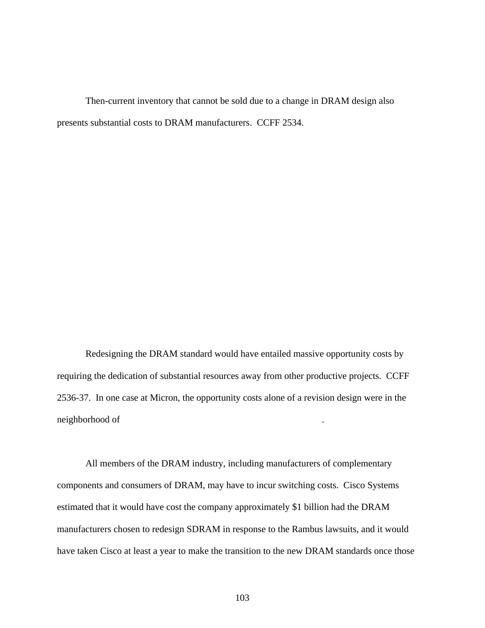Then-current inventory that cannot be sold due to a change in DRAM design also presents substantial costs to DRAM manufacturers. CCFF 2534.

Redesigning the DRAM standard would have entailed massive opportunity costs by requiring the dedication of substantial resources away from other productive projects. CCFF 2536-37. In one case at Micron, the opportunity costs alone of a revision design were in the neighborhood of

All members of the DRAM industry, including manufacturers of complementary components and consumers of DRAM, may have to incur switching costs. Cisco Systems estimated that it would have cost the company approximately \$1 billion had the DRAM manufacturers chosen to redesign SDRAM in response to the Rambus lawsuits, and it would have taken Cisco at least a year to make the transition to the new DRAM standards once those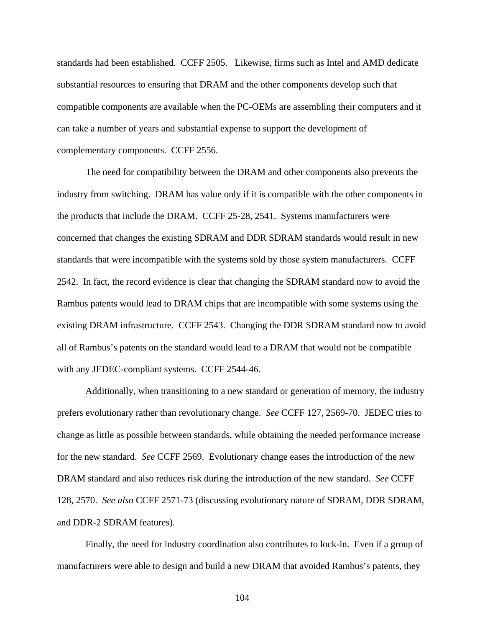standards had been established. CCFF 2505. Likewise, firms such as Intel and AMD dedicate substantial resources to ensuring that DRAM and the other components develop such that compatible components are available when the PC-OEMs are assembling their computers and it can take a number of years and substantial expense to support the development of complementary components. CCFF 2556.

The need for compatibility between the DRAM and other components also prevents the industry from switching. DRAM has value only if it is compatible with the other components in the products that include the DRAM. CCFF 25-28, 2541. Systems manufacturers were concerned that changes the existing SDRAM and DDR SDRAM standards would result in new standards that were incompatible with the systems sold by those system manufacturers. CCFF 2542. In fact, the record evidence is clear that changing the SDRAM standard now to avoid the Rambus patents would lead to DRAM chips that are incompatible with some systems using the existing DRAM infrastructure. CCFF 2543. Changing the DDR SDRAM standard now to avoid all of Rambus's patents on the standard would lead to a DRAM that would not be compatible with any JEDEC-compliant systems. CCFF 2544-46.

Additionally, when transitioning to a new standard or generation of memory, the industry prefers evolutionary rather than revolutionary change. *See* CCFF 127, 2569-70. JEDEC tries to change as little as possible between standards, while obtaining the needed performance increase for the new standard. *See* CCFF 2569. Evolutionary change eases the introduction of the new DRAM standard and also reduces risk during the introduction of the new standard. *See* CCFF 128, 2570. *See also* CCFF 2571-73 (discussing evolutionary nature of SDRAM, DDR SDRAM, and DDR-2 SDRAM features).

Finally, the need for industry coordination also contributes to lock-in. Even if a group of manufacturers were able to design and build a new DRAM that avoided Rambus's patents, they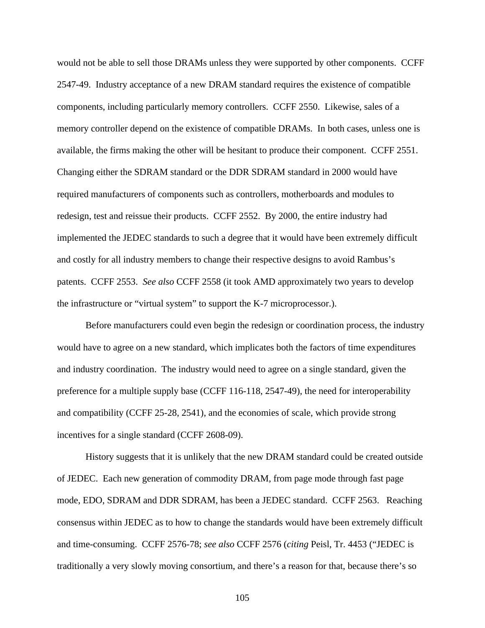would not be able to sell those DRAMs unless they were supported by other components. CCFF 2547-49. Industry acceptance of a new DRAM standard requires the existence of compatible components, including particularly memory controllers. CCFF 2550. Likewise, sales of a memory controller depend on the existence of compatible DRAMs. In both cases, unless one is available, the firms making the other will be hesitant to produce their component. CCFF 2551. Changing either the SDRAM standard or the DDR SDRAM standard in 2000 would have required manufacturers of components such as controllers, motherboards and modules to redesign, test and reissue their products. CCFF 2552. By 2000, the entire industry had implemented the JEDEC standards to such a degree that it would have been extremely difficult and costly for all industry members to change their respective designs to avoid Rambus's patents. CCFF 2553. *See also* CCFF 2558 (it took AMD approximately two years to develop the infrastructure or "virtual system" to support the K-7 microprocessor.).

Before manufacturers could even begin the redesign or coordination process, the industry would have to agree on a new standard, which implicates both the factors of time expenditures and industry coordination. The industry would need to agree on a single standard, given the preference for a multiple supply base (CCFF 116-118, 2547-49), the need for interoperability and compatibility (CCFF 25-28, 2541), and the economies of scale, which provide strong incentives for a single standard (CCFF 2608-09).

History suggests that it is unlikely that the new DRAM standard could be created outside of JEDEC. Each new generation of commodity DRAM, from page mode through fast page mode, EDO, SDRAM and DDR SDRAM, has been a JEDEC standard. CCFF 2563. Reaching consensus within JEDEC as to how to change the standards would have been extremely difficult and time-consuming. CCFF 2576-78; *see also* CCFF 2576 (*citing* Peisl, Tr. 4453 ("JEDEC is traditionally a very slowly moving consortium, and there's a reason for that, because there's so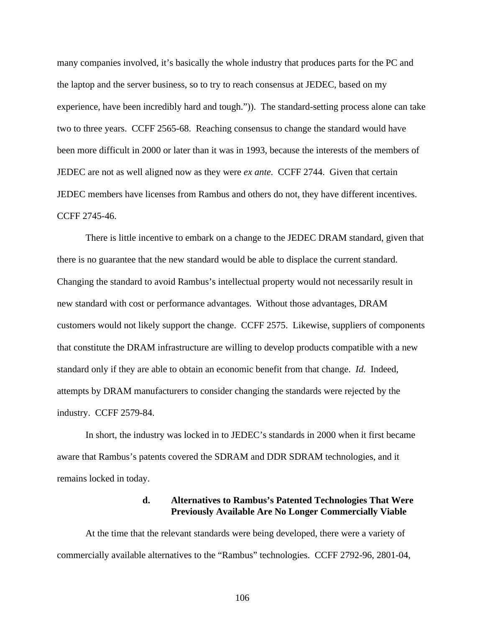many companies involved, it's basically the whole industry that produces parts for the PC and the laptop and the server business, so to try to reach consensus at JEDEC, based on my experience, have been incredibly hard and tough.")). The standard-setting process alone can take two to three years. CCFF 2565-68. Reaching consensus to change the standard would have been more difficult in 2000 or later than it was in 1993, because the interests of the members of JEDEC are not as well aligned now as they were *ex ante*. CCFF 2744. Given that certain JEDEC members have licenses from Rambus and others do not, they have different incentives. CCFF 2745-46.

There is little incentive to embark on a change to the JEDEC DRAM standard, given that there is no guarantee that the new standard would be able to displace the current standard. Changing the standard to avoid Rambus's intellectual property would not necessarily result in new standard with cost or performance advantages. Without those advantages, DRAM customers would not likely support the change. CCFF 2575. Likewise, suppliers of components that constitute the DRAM infrastructure are willing to develop products compatible with a new standard only if they are able to obtain an economic benefit from that change. *Id.* Indeed, attempts by DRAM manufacturers to consider changing the standards were rejected by the industry. CCFF 2579-84.

In short, the industry was locked in to JEDEC's standards in 2000 when it first became aware that Rambus's patents covered the SDRAM and DDR SDRAM technologies, and it remains locked in today.

#### **d. Alternatives to Rambus's Patented Technologies That Were Previously Available Are No Longer Commercially Viable**

At the time that the relevant standards were being developed, there were a variety of commercially available alternatives to the "Rambus" technologies. CCFF 2792-96, 2801-04,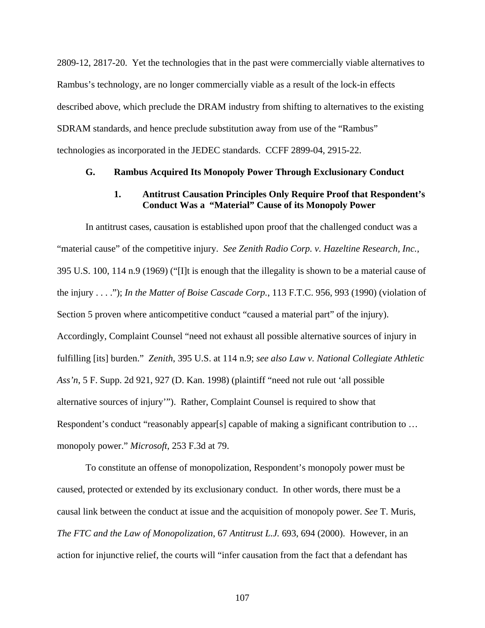2809-12, 2817-20. Yet the technologies that in the past were commercially viable alternatives to Rambus's technology, are no longer commercially viable as a result of the lock-in effects described above, which preclude the DRAM industry from shifting to alternatives to the existing SDRAM standards, and hence preclude substitution away from use of the "Rambus" technologies as incorporated in the JEDEC standards. CCFF 2899-04, 2915-22.

#### **G. Rambus Acquired Its Monopoly Power Through Exclusionary Conduct**

## **1. Antitrust Causation Principles Only Require Proof that Respondent's Conduct Was a "Material" Cause of its Monopoly Power**

In antitrust cases, causation is established upon proof that the challenged conduct was a "material cause" of the competitive injury. *See Zenith Radio Corp. v. Hazeltine Research, Inc.*, 395 U.S. 100, 114 n.9 (1969) ("[I]t is enough that the illegality is shown to be a material cause of the injury . . . ."); *In the Matter of Boise Cascade Corp.*, 113 F.T.C. 956, 993 (1990) (violation of Section 5 proven where anticompetitive conduct "caused a material part" of the injury). Accordingly, Complaint Counsel "need not exhaust all possible alternative sources of injury in fulfilling [its] burden." *Zenith*, 395 U.S. at 114 n.9; *see also Law v. National Collegiate Athletic Ass'n*, 5 F. Supp. 2d 921, 927 (D. Kan. 1998) (plaintiff "need not rule out 'all possible alternative sources of injury'"). Rather, Complaint Counsel is required to show that Respondent's conduct "reasonably appear[s] capable of making a significant contribution to ... monopoly power." *Microsoft*, 253 F.3d at 79.

To constitute an offense of monopolization, Respondent's monopoly power must be caused, protected or extended by its exclusionary conduct. In other words, there must be a causal link between the conduct at issue and the acquisition of monopoly power. *See* T. Muris, *The FTC and the Law of Monopolization*, 67 *Antitrust L.J.* 693, 694 (2000). However, in an action for injunctive relief, the courts will "infer causation from the fact that a defendant has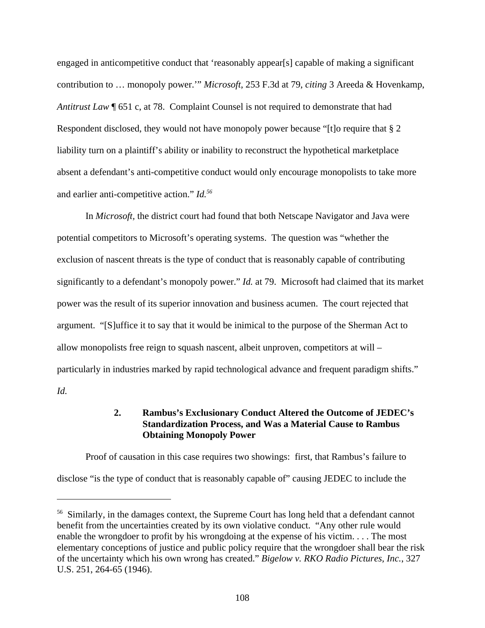engaged in anticompetitive conduct that 'reasonably appear[s] capable of making a significant contribution to … monopoly power.'" *Microsoft*, 253 F.3d at 79, *citing* 3 Areeda & Hovenkamp, *Antitrust Law* ¶ 651 c, at 78. Complaint Counsel is not required to demonstrate that had Respondent disclosed, they would not have monopoly power because "[t]o require that § 2 liability turn on a plaintiff's ability or inability to reconstruct the hypothetical marketplace absent a defendant's anti-competitive conduct would only encourage monopolists to take more and earlier anti-competitive action." *Id.<sup>56</sup>*

In *Microsoft,* the district court had found that both Netscape Navigator and Java were potential competitors to Microsoft's operating systems. The question was "whether the exclusion of nascent threats is the type of conduct that is reasonably capable of contributing significantly to a defendant's monopoly power." *Id.* at 79. Microsoft had claimed that its market power was the result of its superior innovation and business acumen. The court rejected that argument. "[S]uffice it to say that it would be inimical to the purpose of the Sherman Act to allow monopolists free reign to squash nascent, albeit unproven, competitors at will – particularly in industries marked by rapid technological advance and frequent paradigm shifts." *Id.*

## **2. Rambus's Exclusionary Conduct Altered the Outcome of JEDEC's Standardization Process, and Was a Material Cause to Rambus Obtaining Monopoly Power**

Proof of causation in this case requires two showings: first, that Rambus's failure to disclose "is the type of conduct that is reasonably capable of" causing JEDEC to include the

<sup>&</sup>lt;sup>56</sup> Similarly, in the damages context, the Supreme Court has long held that a defendant cannot benefit from the uncertainties created by its own violative conduct. "Any other rule would enable the wrongdoer to profit by his wrongdoing at the expense of his victim. . . . The most elementary conceptions of justice and public policy require that the wrongdoer shall bear the risk of the uncertainty which his own wrong has created." *Bigelow v. RKO Radio Pictures, Inc.*, 327 U.S. 251, 264-65 (1946).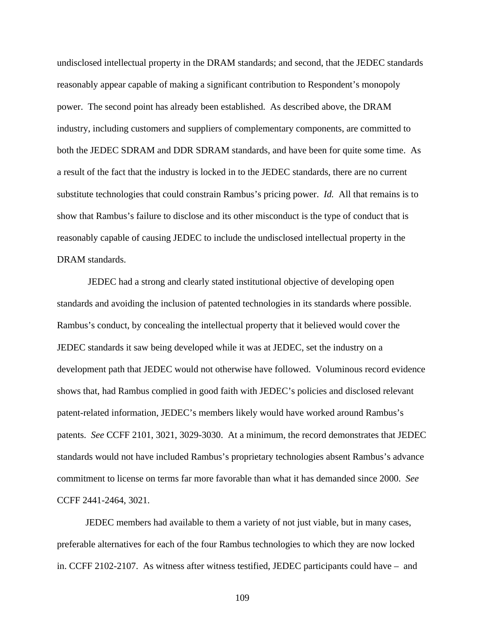undisclosed intellectual property in the DRAM standards; and second, that the JEDEC standards reasonably appear capable of making a significant contribution to Respondent's monopoly power. The second point has already been established. As described above, the DRAM industry, including customers and suppliers of complementary components, are committed to both the JEDEC SDRAM and DDR SDRAM standards, and have been for quite some time. As a result of the fact that the industry is locked in to the JEDEC standards, there are no current substitute technologies that could constrain Rambus's pricing power. *Id.* All that remains is to show that Rambus's failure to disclose and its other misconduct is the type of conduct that is reasonably capable of causing JEDEC to include the undisclosed intellectual property in the DRAM standards.

 JEDEC had a strong and clearly stated institutional objective of developing open standards and avoiding the inclusion of patented technologies in its standards where possible. Rambus's conduct, by concealing the intellectual property that it believed would cover the JEDEC standards it saw being developed while it was at JEDEC, set the industry on a development path that JEDEC would not otherwise have followed. Voluminous record evidence shows that, had Rambus complied in good faith with JEDEC's policies and disclosed relevant patent-related information, JEDEC's members likely would have worked around Rambus's patents. *See* CCFF 2101, 3021, 3029-3030. At a minimum, the record demonstrates that JEDEC standards would not have included Rambus's proprietary technologies absent Rambus's advance commitment to license on terms far more favorable than what it has demanded since 2000. *See* CCFF 2441-2464, 3021.

JEDEC members had available to them a variety of not just viable, but in many cases, preferable alternatives for each of the four Rambus technologies to which they are now locked in. CCFF 2102-2107. As witness after witness testified, JEDEC participants could have – and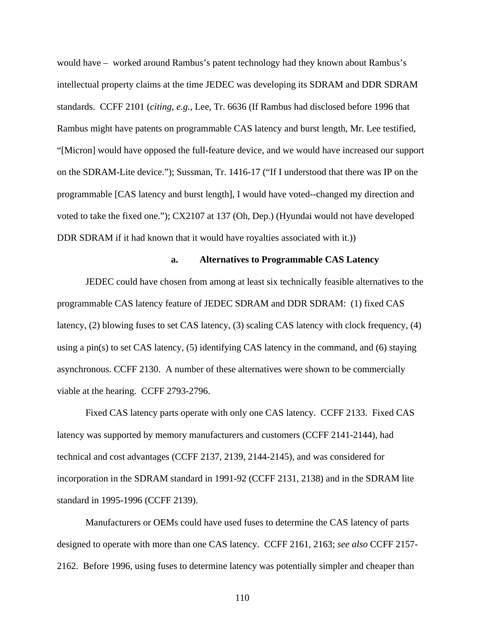would have – worked around Rambus's patent technology had they known about Rambus's intellectual property claims at the time JEDEC was developing its SDRAM and DDR SDRAM standards. CCFF 2101 (*citing*, *e.g.,* Lee, Tr. 6636 (If Rambus had disclosed before 1996 that Rambus might have patents on programmable CAS latency and burst length, Mr. Lee testified, "[Micron] would have opposed the full-feature device, and we would have increased our support on the SDRAM-Lite device."); Sussman, Tr. 1416-17 ("If I understood that there was IP on the programmable [CAS latency and burst length], I would have voted--changed my direction and voted to take the fixed one."); CX2107 at 137 (Oh, Dep.) (Hyundai would not have developed DDR SDRAM if it had known that it would have royalties associated with it.)

#### **a. Alternatives to Programmable CAS Latency**

JEDEC could have chosen from among at least six technically feasible alternatives to the programmable CAS latency feature of JEDEC SDRAM and DDR SDRAM: (1) fixed CAS latency, (2) blowing fuses to set CAS latency, (3) scaling CAS latency with clock frequency, (4) using a pin(s) to set CAS latency,  $(5)$  identifying CAS latency in the command, and  $(6)$  staying asynchronous. CCFF 2130. A number of these alternatives were shown to be commercially viable at the hearing. CCFF 2793-2796.

Fixed CAS latency parts operate with only one CAS latency. CCFF 2133. Fixed CAS latency was supported by memory manufacturers and customers (CCFF 2141-2144), had technical and cost advantages (CCFF 2137, 2139, 2144-2145), and was considered for incorporation in the SDRAM standard in 1991-92 (CCFF 2131, 2138) and in the SDRAM lite standard in 1995-1996 (CCFF 2139).

Manufacturers or OEMs could have used fuses to determine the CAS latency of parts designed to operate with more than one CAS latency. CCFF 2161, 2163; *see also* CCFF 2157- 2162. Before 1996, using fuses to determine latency was potentially simpler and cheaper than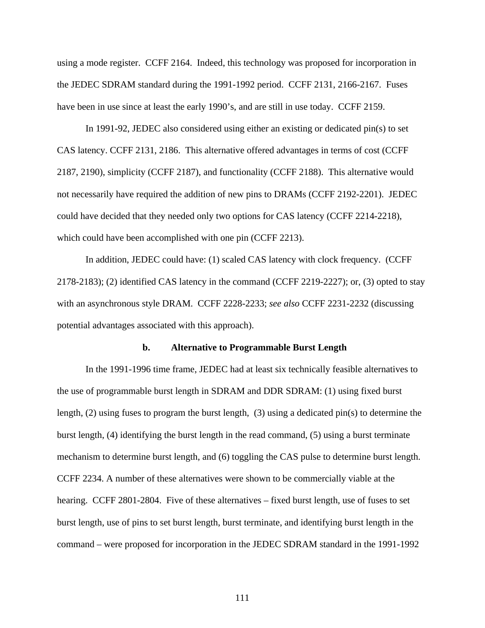using a mode register. CCFF 2164. Indeed, this technology was proposed for incorporation in the JEDEC SDRAM standard during the 1991-1992 period. CCFF 2131, 2166-2167. Fuses have been in use since at least the early 1990's, and are still in use today. CCFF 2159.

In 1991-92, JEDEC also considered using either an existing or dedicated pin(s) to set CAS latency. CCFF 2131, 2186. This alternative offered advantages in terms of cost (CCFF 2187, 2190), simplicity (CCFF 2187), and functionality (CCFF 2188). This alternative would not necessarily have required the addition of new pins to DRAMs (CCFF 2192-2201). JEDEC could have decided that they needed only two options for CAS latency (CCFF 2214-2218), which could have been accomplished with one pin (CCFF 2213).

In addition, JEDEC could have: (1) scaled CAS latency with clock frequency. (CCFF 2178-2183); (2) identified CAS latency in the command (CCFF 2219-2227); or, (3) opted to stay with an asynchronous style DRAM. CCFF 2228-2233; *see also* CCFF 2231-2232 (discussing potential advantages associated with this approach).

#### **b. Alternative to Programmable Burst Length**

In the 1991-1996 time frame, JEDEC had at least six technically feasible alternatives to the use of programmable burst length in SDRAM and DDR SDRAM: (1) using fixed burst length, (2) using fuses to program the burst length, (3) using a dedicated pin(s) to determine the burst length, (4) identifying the burst length in the read command, (5) using a burst terminate mechanism to determine burst length, and (6) toggling the CAS pulse to determine burst length. CCFF 2234. A number of these alternatives were shown to be commercially viable at the hearing. CCFF 2801-2804. Five of these alternatives – fixed burst length, use of fuses to set burst length, use of pins to set burst length, burst terminate, and identifying burst length in the command – were proposed for incorporation in the JEDEC SDRAM standard in the 1991-1992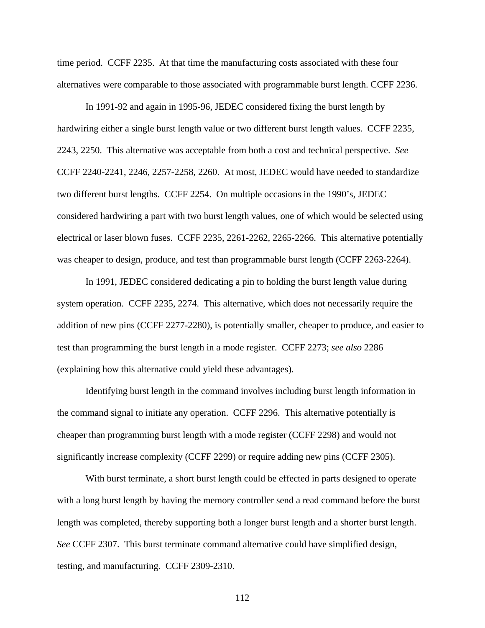time period. CCFF 2235. At that time the manufacturing costs associated with these four alternatives were comparable to those associated with programmable burst length. CCFF 2236.

In 1991-92 and again in 1995-96, JEDEC considered fixing the burst length by hardwiring either a single burst length value or two different burst length values. CCFF 2235, 2243, 2250. This alternative was acceptable from both a cost and technical perspective. *See* CCFF 2240-2241, 2246, 2257-2258, 2260. At most, JEDEC would have needed to standardize two different burst lengths. CCFF 2254. On multiple occasions in the 1990's, JEDEC considered hardwiring a part with two burst length values, one of which would be selected using electrical or laser blown fuses. CCFF 2235, 2261-2262, 2265-2266. This alternative potentially was cheaper to design, produce, and test than programmable burst length (CCFF 2263-2264).

In 1991, JEDEC considered dedicating a pin to holding the burst length value during system operation. CCFF 2235, 2274. This alternative, which does not necessarily require the addition of new pins (CCFF 2277-2280), is potentially smaller, cheaper to produce, and easier to test than programming the burst length in a mode register. CCFF 2273; *see also* 2286 (explaining how this alternative could yield these advantages).

Identifying burst length in the command involves including burst length information in the command signal to initiate any operation. CCFF 2296. This alternative potentially is cheaper than programming burst length with a mode register (CCFF 2298) and would not significantly increase complexity (CCFF 2299) or require adding new pins (CCFF 2305).

With burst terminate, a short burst length could be effected in parts designed to operate with a long burst length by having the memory controller send a read command before the burst length was completed, thereby supporting both a longer burst length and a shorter burst length. *See* CCFF 2307. This burst terminate command alternative could have simplified design, testing, and manufacturing. CCFF 2309-2310.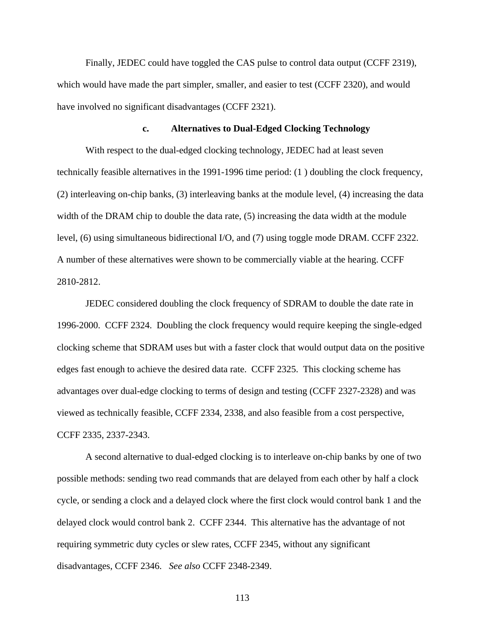Finally, JEDEC could have toggled the CAS pulse to control data output (CCFF 2319), which would have made the part simpler, smaller, and easier to test (CCFF 2320), and would have involved no significant disadvantages (CCFF 2321).

#### **c. Alternatives to Dual-Edged Clocking Technology**

With respect to the dual-edged clocking technology, JEDEC had at least seven technically feasible alternatives in the 1991-1996 time period: (1 ) doubling the clock frequency, (2) interleaving on-chip banks, (3) interleaving banks at the module level, (4) increasing the data width of the DRAM chip to double the data rate, (5) increasing the data width at the module level, (6) using simultaneous bidirectional I/O, and (7) using toggle mode DRAM. CCFF 2322. A number of these alternatives were shown to be commercially viable at the hearing. CCFF 2810-2812.

JEDEC considered doubling the clock frequency of SDRAM to double the date rate in 1996-2000. CCFF 2324. Doubling the clock frequency would require keeping the single-edged clocking scheme that SDRAM uses but with a faster clock that would output data on the positive edges fast enough to achieve the desired data rate. CCFF 2325. This clocking scheme has advantages over dual-edge clocking to terms of design and testing (CCFF 2327-2328) and was viewed as technically feasible, CCFF 2334, 2338, and also feasible from a cost perspective, CCFF 2335, 2337-2343.

A second alternative to dual-edged clocking is to interleave on-chip banks by one of two possible methods: sending two read commands that are delayed from each other by half a clock cycle, or sending a clock and a delayed clock where the first clock would control bank 1 and the delayed clock would control bank 2. CCFF 2344. This alternative has the advantage of not requiring symmetric duty cycles or slew rates, CCFF 2345, without any significant disadvantages, CCFF 2346. *See also* CCFF 2348-2349.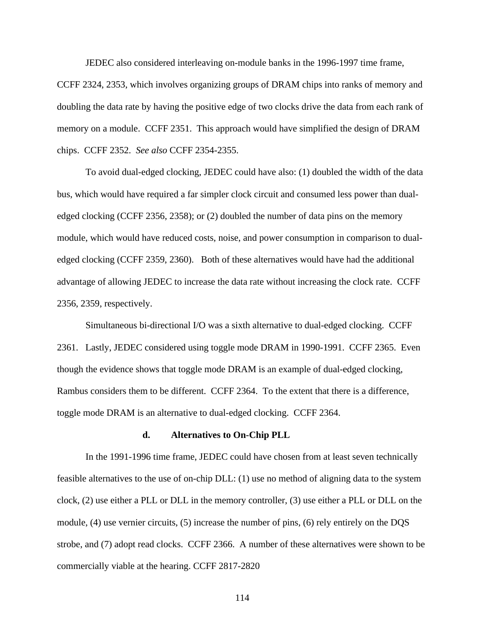JEDEC also considered interleaving on-module banks in the 1996-1997 time frame,

CCFF 2324, 2353, which involves organizing groups of DRAM chips into ranks of memory and doubling the data rate by having the positive edge of two clocks drive the data from each rank of memory on a module. CCFF 2351. This approach would have simplified the design of DRAM chips. CCFF 2352. *See also* CCFF 2354-2355.

To avoid dual-edged clocking, JEDEC could have also: (1) doubled the width of the data bus, which would have required a far simpler clock circuit and consumed less power than dualedged clocking (CCFF 2356, 2358); or (2) doubled the number of data pins on the memory module, which would have reduced costs, noise, and power consumption in comparison to dualedged clocking (CCFF 2359, 2360). Both of these alternatives would have had the additional advantage of allowing JEDEC to increase the data rate without increasing the clock rate. CCFF 2356, 2359, respectively.

Simultaneous bi-directional I/O was a sixth alternative to dual-edged clocking. CCFF 2361. Lastly, JEDEC considered using toggle mode DRAM in 1990-1991. CCFF 2365. Even though the evidence shows that toggle mode DRAM is an example of dual-edged clocking, Rambus considers them to be different. CCFF 2364. To the extent that there is a difference, toggle mode DRAM is an alternative to dual-edged clocking. CCFF 2364.

#### **d. Alternatives to On-Chip PLL**

In the 1991-1996 time frame, JEDEC could have chosen from at least seven technically feasible alternatives to the use of on-chip DLL: (1) use no method of aligning data to the system clock, (2) use either a PLL or DLL in the memory controller, (3) use either a PLL or DLL on the module, (4) use vernier circuits, (5) increase the number of pins, (6) rely entirely on the DQS strobe, and (7) adopt read clocks. CCFF 2366. A number of these alternatives were shown to be commercially viable at the hearing. CCFF 2817-2820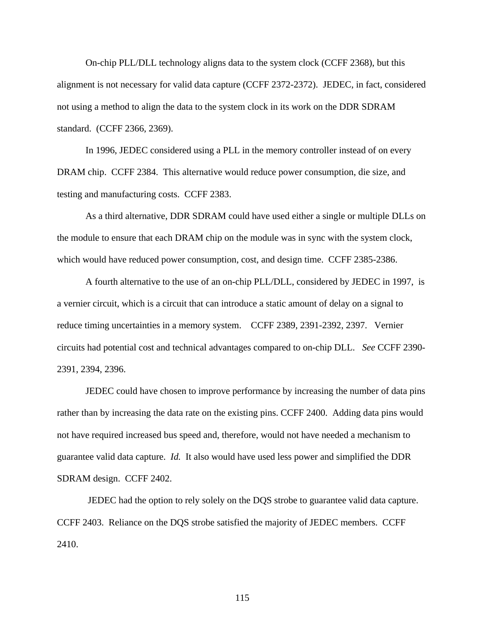On-chip PLL/DLL technology aligns data to the system clock (CCFF 2368), but this alignment is not necessary for valid data capture (CCFF 2372-2372). JEDEC, in fact, considered not using a method to align the data to the system clock in its work on the DDR SDRAM standard. (CCFF 2366, 2369).

In 1996, JEDEC considered using a PLL in the memory controller instead of on every DRAM chip. CCFF 2384. This alternative would reduce power consumption, die size, and testing and manufacturing costs. CCFF 2383.

As a third alternative, DDR SDRAM could have used either a single or multiple DLLs on the module to ensure that each DRAM chip on the module was in sync with the system clock, which would have reduced power consumption, cost, and design time. CCFF 2385-2386.

A fourth alternative to the use of an on-chip PLL/DLL, considered by JEDEC in 1997, is a vernier circuit, which is a circuit that can introduce a static amount of delay on a signal to reduce timing uncertainties in a memory system. CCFF 2389, 2391-2392, 2397. Vernier circuits had potential cost and technical advantages compared to on-chip DLL. *See* CCFF 2390- 2391, 2394, 2396.

JEDEC could have chosen to improve performance by increasing the number of data pins rather than by increasing the data rate on the existing pins. CCFF 2400. Adding data pins would not have required increased bus speed and, therefore, would not have needed a mechanism to guarantee valid data capture. *Id.* It also would have used less power and simplified the DDR SDRAM design. CCFF 2402.

 JEDEC had the option to rely solely on the DQS strobe to guarantee valid data capture. CCFF 2403. Reliance on the DQS strobe satisfied the majority of JEDEC members. CCFF 2410.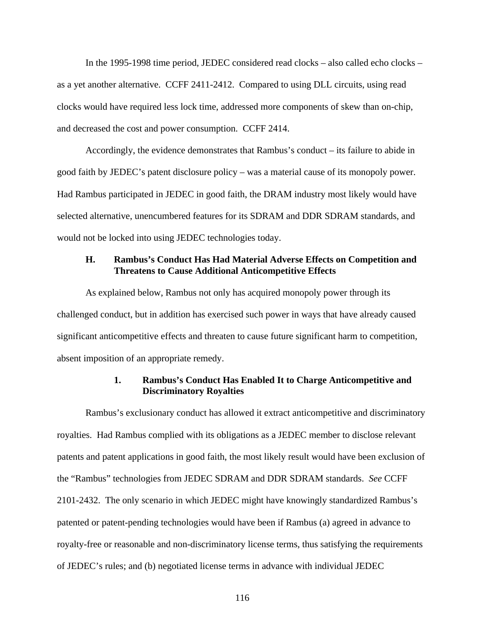In the 1995-1998 time period, JEDEC considered read clocks – also called echo clocks – as a yet another alternative. CCFF 2411-2412. Compared to using DLL circuits, using read clocks would have required less lock time, addressed more components of skew than on-chip, and decreased the cost and power consumption. CCFF 2414.

Accordingly, the evidence demonstrates that Rambus's conduct – its failure to abide in good faith by JEDEC's patent disclosure policy – was a material cause of its monopoly power. Had Rambus participated in JEDEC in good faith, the DRAM industry most likely would have selected alternative, unencumbered features for its SDRAM and DDR SDRAM standards, and would not be locked into using JEDEC technologies today.

#### **H. Rambus's Conduct Has Had Material Adverse Effects on Competition and Threatens to Cause Additional Anticompetitive Effects**

As explained below, Rambus not only has acquired monopoly power through its challenged conduct, but in addition has exercised such power in ways that have already caused significant anticompetitive effects and threaten to cause future significant harm to competition, absent imposition of an appropriate remedy.

### **1. Rambus's Conduct Has Enabled It to Charge Anticompetitive and Discriminatory Royalties**

Rambus's exclusionary conduct has allowed it extract anticompetitive and discriminatory royalties. Had Rambus complied with its obligations as a JEDEC member to disclose relevant patents and patent applications in good faith, the most likely result would have been exclusion of the "Rambus" technologies from JEDEC SDRAM and DDR SDRAM standards. *See* CCFF 2101-2432. The only scenario in which JEDEC might have knowingly standardized Rambus's patented or patent-pending technologies would have been if Rambus (a) agreed in advance to royalty-free or reasonable and non-discriminatory license terms, thus satisfying the requirements of JEDEC's rules; and (b) negotiated license terms in advance with individual JEDEC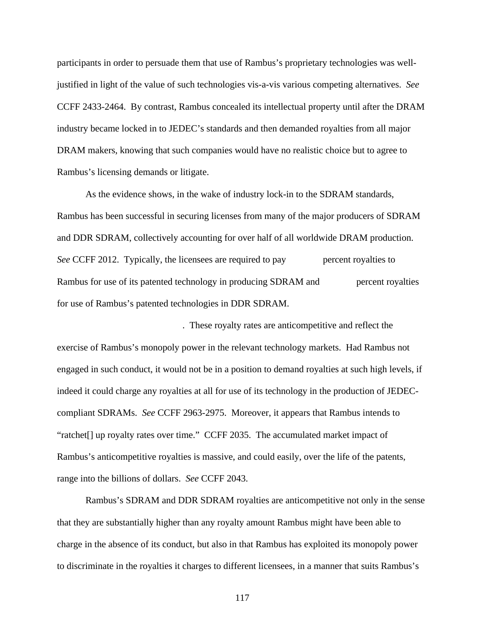participants in order to persuade them that use of Rambus's proprietary technologies was welljustified in light of the value of such technologies vis-a-vis various competing alternatives. *See* CCFF 2433-2464. By contrast, Rambus concealed its intellectual property until after the DRAM industry became locked in to JEDEC's standards and then demanded royalties from all major DRAM makers, knowing that such companies would have no realistic choice but to agree to Rambus's licensing demands or litigate.

As the evidence shows, in the wake of industry lock-in to the SDRAM standards, Rambus has been successful in securing licenses from many of the major producers of SDRAM and DDR SDRAM, collectively accounting for over half of all worldwide DRAM production. *See* CCFF 2012. Typically, the licensees are required to pay percent royalties to Rambus for use of its patented technology in producing SDRAM and **represent royalties** for use of Rambus's patented technologies in DDR SDRAM.

. These royalty rates are anticompetitive and reflect the exercise of Rambus's monopoly power in the relevant technology markets. Had Rambus not engaged in such conduct, it would not be in a position to demand royalties at such high levels, if indeed it could charge any royalties at all for use of its technology in the production of JEDECcompliant SDRAMs. *See* CCFF 2963-2975. Moreover, it appears that Rambus intends to "ratchet[] up royalty rates over time." CCFF 2035. The accumulated market impact of Rambus's anticompetitive royalties is massive, and could easily, over the life of the patents, range into the billions of dollars. *See* CCFF 2043.

Rambus's SDRAM and DDR SDRAM royalties are anticompetitive not only in the sense that they are substantially higher than any royalty amount Rambus might have been able to charge in the absence of its conduct, but also in that Rambus has exploited its monopoly power to discriminate in the royalties it charges to different licensees, in a manner that suits Rambus's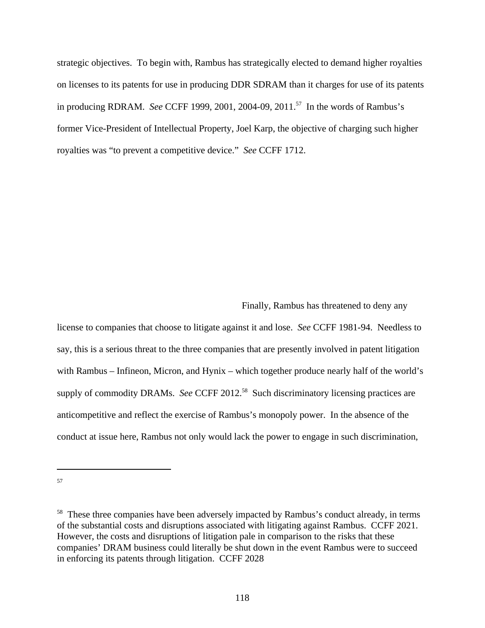strategic objectives. To begin with, Rambus has strategically elected to demand higher royalties on licenses to its patents for use in producing DDR SDRAM than it charges for use of its patents in producing RDRAM. *See* CCFF 1999, 2001, 2004-09, 2011.<sup>57</sup> In the words of Rambus's former Vice-President of Intellectual Property, Joel Karp, the objective of charging such higher royalties was "to prevent a competitive device." *See* CCFF 1712.

Finally, Rambus has threatened to deny any

license to companies that choose to litigate against it and lose. *See* CCFF 1981-94. Needless to say, this is a serious threat to the three companies that are presently involved in patent litigation with Rambus – Infineon, Micron, and Hynix – which together produce nearly half of the world's supply of commodity DRAMs. *See* CCFF 2012.<sup>58</sup> Such discriminatory licensing practices are anticompetitive and reflect the exercise of Rambus's monopoly power. In the absence of the conduct at issue here, Rambus not only would lack the power to engage in such discrimination,

 $57$ 

<sup>&</sup>lt;sup>58</sup> These three companies have been adversely impacted by Rambus's conduct already, in terms of the substantial costs and disruptions associated with litigating against Rambus. CCFF 2021. However, the costs and disruptions of litigation pale in comparison to the risks that these companies' DRAM business could literally be shut down in the event Rambus were to succeed in enforcing its patents through litigation. CCFF 2028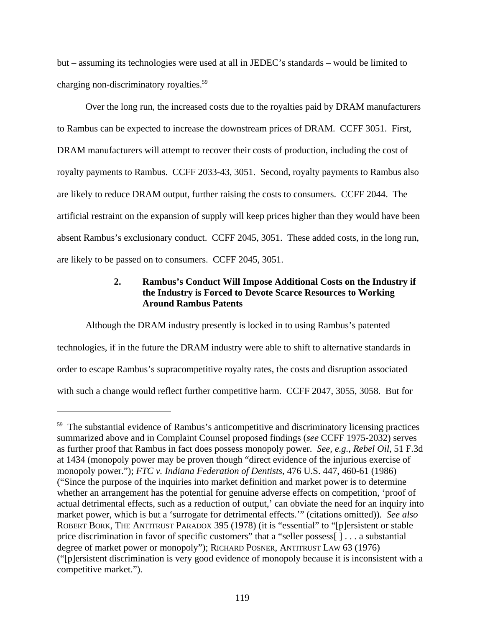but – assuming its technologies were used at all in JEDEC's standards – would be limited to charging non-discriminatory royalties.<sup>59</sup>

Over the long run, the increased costs due to the royalties paid by DRAM manufacturers to Rambus can be expected to increase the downstream prices of DRAM. CCFF 3051. First, DRAM manufacturers will attempt to recover their costs of production, including the cost of royalty payments to Rambus. CCFF 2033-43, 3051. Second, royalty payments to Rambus also are likely to reduce DRAM output, further raising the costs to consumers. CCFF 2044. The artificial restraint on the expansion of supply will keep prices higher than they would have been absent Rambus's exclusionary conduct. CCFF 2045, 3051. These added costs, in the long run, are likely to be passed on to consumers. CCFF 2045, 3051.

## **2. Rambus's Conduct Will Impose Additional Costs on the Industry if the Industry is Forced to Devote Scarce Resources to Working Around Rambus Patents**

Although the DRAM industry presently is locked in to using Rambus's patented technologies, if in the future the DRAM industry were able to shift to alternative standards in order to escape Rambus's supracompetitive royalty rates, the costs and disruption associated with such a change would reflect further competitive harm. CCFF 2047, 3055, 3058. But for

 $59$  The substantial evidence of Rambus's anticompetitive and discriminatory licensing practices summarized above and in Complaint Counsel proposed findings (*see* CCFF 1975-2032) serves as further proof that Rambus in fact does possess monopoly power. *See, e.g., Rebel Oil*, 51 F.3d at 1434 (monopoly power may be proven though "direct evidence of the injurious exercise of monopoly power."); *FTC v. Indiana Federation of Dentists*, 476 U.S. 447, 460-61 (1986) ("Since the purpose of the inquiries into market definition and market power is to determine whether an arrangement has the potential for genuine adverse effects on competition, 'proof of actual detrimental effects, such as a reduction of output,' can obviate the need for an inquiry into market power, which is but a 'surrogate for detrimental effects.'" (citations omitted)). *See also* ROBERT BORK, THE ANTITRUST PARADOX 395 (1978) (it is "essential" to "[p]ersistent or stable price discrimination in favor of specific customers" that a "seller possess[ ] . . . a substantial degree of market power or monopoly"); RICHARD POSNER, ANTITRUST LAW 63 (1976) ("[p]ersistent discrimination is very good evidence of monopoly because it is inconsistent with a competitive market.").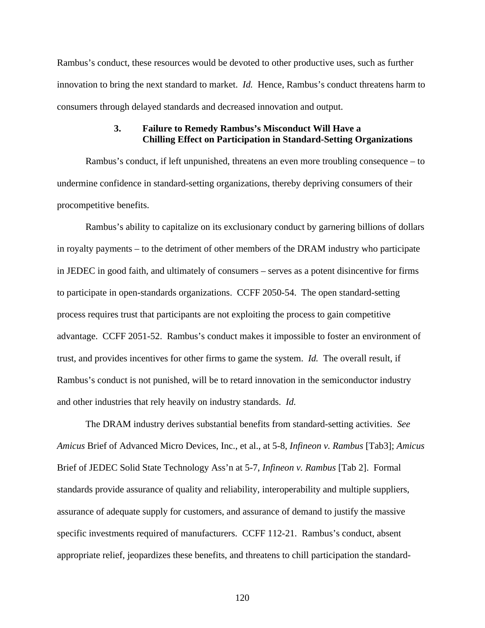Rambus's conduct, these resources would be devoted to other productive uses, such as further innovation to bring the next standard to market. *Id.* Hence, Rambus's conduct threatens harm to consumers through delayed standards and decreased innovation and output.

### **3. Failure to Remedy Rambus's Misconduct Will Have a Chilling Effect on Participation in Standard-Setting Organizations**

Rambus's conduct, if left unpunished, threatens an even more troubling consequence – to undermine confidence in standard-setting organizations, thereby depriving consumers of their procompetitive benefits.

Rambus's ability to capitalize on its exclusionary conduct by garnering billions of dollars in royalty payments – to the detriment of other members of the DRAM industry who participate in JEDEC in good faith, and ultimately of consumers – serves as a potent disincentive for firms to participate in open-standards organizations. CCFF 2050-54. The open standard-setting process requires trust that participants are not exploiting the process to gain competitive advantage. CCFF 2051-52. Rambus's conduct makes it impossible to foster an environment of trust, and provides incentives for other firms to game the system. *Id.* The overall result, if Rambus's conduct is not punished, will be to retard innovation in the semiconductor industry and other industries that rely heavily on industry standards. *Id.*

The DRAM industry derives substantial benefits from standard-setting activities. *See Amicus* Brief of Advanced Micro Devices, Inc., et al., at 5-8, *Infineon v. Rambus* [Tab3]; *Amicus* Brief of JEDEC Solid State Technology Ass'n at 5-7, *Infineon v. Rambus* [Tab 2]. Formal standards provide assurance of quality and reliability, interoperability and multiple suppliers, assurance of adequate supply for customers, and assurance of demand to justify the massive specific investments required of manufacturers. CCFF 112-21. Rambus's conduct, absent appropriate relief, jeopardizes these benefits, and threatens to chill participation the standard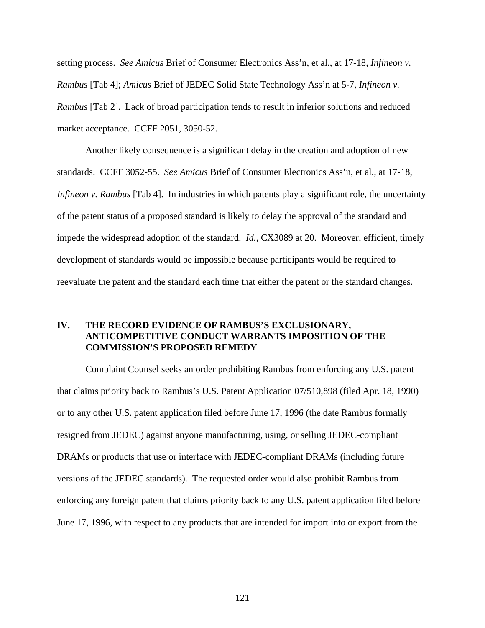setting process. *See Amicus* Brief of Consumer Electronics Ass'n, et al., at 17-18, *Infineon v. Rambus* [Tab 4]; *Amicus* Brief of JEDEC Solid State Technology Ass'n at 5-7, *Infineon v. Rambus* [Tab 2]. Lack of broad participation tends to result in inferior solutions and reduced market acceptance. CCFF 2051, 3050-52.

Another likely consequence is a significant delay in the creation and adoption of new standards. CCFF 3052-55. *See Amicus* Brief of Consumer Electronics Ass'n, et al., at 17-18, *Infineon v. Rambus* [Tab 4]. In industries in which patents play a significant role, the uncertainty of the patent status of a proposed standard is likely to delay the approval of the standard and impede the widespread adoption of the standard. *Id.*, CX3089 at 20. Moreover, efficient, timely development of standards would be impossible because participants would be required to reevaluate the patent and the standard each time that either the patent or the standard changes.

### **IV. THE RECORD EVIDENCE OF RAMBUS'S EXCLUSIONARY, ANTICOMPETITIVE CONDUCT WARRANTS IMPOSITION OF THE COMMISSION'S PROPOSED REMEDY**

Complaint Counsel seeks an order prohibiting Rambus from enforcing any U.S. patent that claims priority back to Rambus's U.S. Patent Application 07/510,898 (filed Apr. 18, 1990) or to any other U.S. patent application filed before June 17, 1996 (the date Rambus formally resigned from JEDEC) against anyone manufacturing, using, or selling JEDEC-compliant DRAMs or products that use or interface with JEDEC-compliant DRAMs (including future versions of the JEDEC standards). The requested order would also prohibit Rambus from enforcing any foreign patent that claims priority back to any U.S. patent application filed before June 17, 1996, with respect to any products that are intended for import into or export from the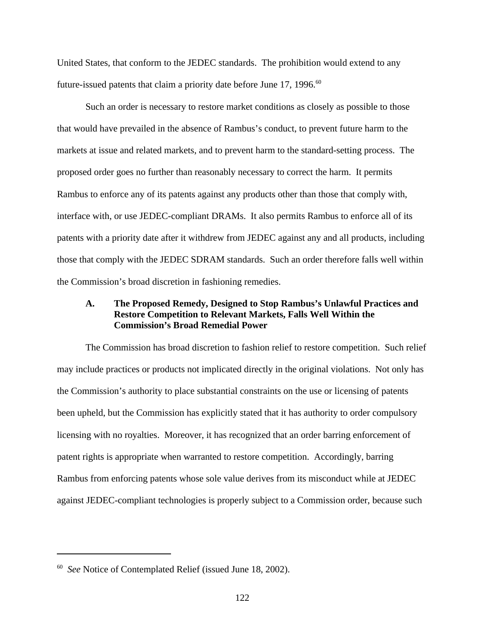United States, that conform to the JEDEC standards. The prohibition would extend to any future-issued patents that claim a priority date before June 17, 1996.<sup>60</sup>

Such an order is necessary to restore market conditions as closely as possible to those that would have prevailed in the absence of Rambus's conduct, to prevent future harm to the markets at issue and related markets, and to prevent harm to the standard-setting process. The proposed order goes no further than reasonably necessary to correct the harm. It permits Rambus to enforce any of its patents against any products other than those that comply with, interface with, or use JEDEC-compliant DRAMs. It also permits Rambus to enforce all of its patents with a priority date after it withdrew from JEDEC against any and all products, including those that comply with the JEDEC SDRAM standards. Such an order therefore falls well within the Commission's broad discretion in fashioning remedies.

### **A. The Proposed Remedy, Designed to Stop Rambus's Unlawful Practices and Restore Competition to Relevant Markets, Falls Well Within the Commission's Broad Remedial Power**

The Commission has broad discretion to fashion relief to restore competition. Such relief may include practices or products not implicated directly in the original violations. Not only has the Commission's authority to place substantial constraints on the use or licensing of patents been upheld, but the Commission has explicitly stated that it has authority to order compulsory licensing with no royalties. Moreover, it has recognized that an order barring enforcement of patent rights is appropriate when warranted to restore competition. Accordingly, barring Rambus from enforcing patents whose sole value derives from its misconduct while at JEDEC against JEDEC-compliant technologies is properly subject to a Commission order, because such

<sup>60</sup> *See* Notice of Contemplated Relief (issued June 18, 2002).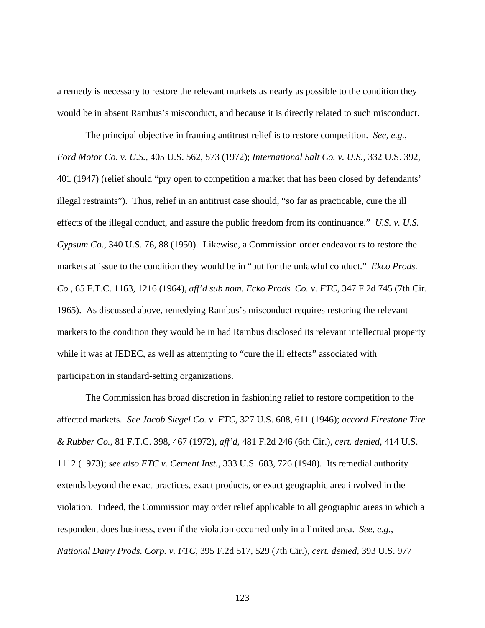a remedy is necessary to restore the relevant markets as nearly as possible to the condition they would be in absent Rambus's misconduct, and because it is directly related to such misconduct.

The principal objective in framing antitrust relief is to restore competition. *See, e.g.*, *Ford Motor Co. v. U.S.,* 405 U.S. 562, 573 (1972); *International Salt Co. v. U.S.*, 332 U.S. 392, 401 (1947) (relief should "pry open to competition a market that has been closed by defendants' illegal restraints"). Thus, relief in an antitrust case should, "so far as practicable, cure the ill effects of the illegal conduct, and assure the public freedom from its continuance." *U.S. v. U.S. Gypsum Co.*, 340 U.S. 76, 88 (1950). Likewise, a Commission order endeavours to restore the markets at issue to the condition they would be in "but for the unlawful conduct." *Ekco Prods. Co.*, 65 F.T.C. 1163, 1216 (1964), *aff'd sub nom. Ecko Prods. Co. v. FTC*, 347 F.2d 745 (7th Cir. 1965). As discussed above, remedying Rambus's misconduct requires restoring the relevant markets to the condition they would be in had Rambus disclosed its relevant intellectual property while it was at JEDEC, as well as attempting to "cure the ill effects" associated with participation in standard-setting organizations.

The Commission has broad discretion in fashioning relief to restore competition to the affected markets. *See Jacob Siegel Co. v. FTC*, 327 U.S. 608, 611 (1946); *accord Firestone Tire & Rubber Co.*, 81 F.T.C. 398, 467 (1972), *aff'd*, 481 F.2d 246 (6th Cir.), *cert. denied*, 414 U.S. 1112 (1973); *see also FTC v. Cement Inst.*, 333 U.S. 683, 726 (1948). Its remedial authority extends beyond the exact practices, exact products, or exact geographic area involved in the violation. Indeed, the Commission may order relief applicable to all geographic areas in which a respondent does business, even if the violation occurred only in a limited area. *See, e.g.*, *National Dairy Prods. Corp. v. FTC*, 395 F.2d 517, 529 (7th Cir.), *cert. denied*, 393 U.S. 977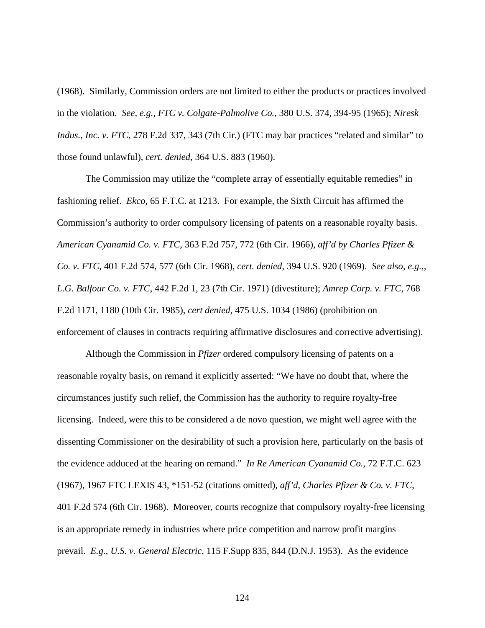(1968). Similarly, Commission orders are not limited to either the products or practices involved in the violation. *See, e.g.*, *FTC v. Colgate-Palmolive Co.,* 380 U.S. 374, 394-95 (1965); *Niresk Indus., Inc. v. FTC*, 278 F.2d 337, 343 (7th Cir.) (FTC may bar practices "related and similar" to those found unlawful), *cert. denied*, 364 U.S. 883 (1960).

The Commission may utilize the "complete array of essentially equitable remedies" in fashioning relief. *Ekco*, 65 F.T.C. at 1213. For example, the Sixth Circuit has affirmed the Commission's authority to order compulsory licensing of patents on a reasonable royalty basis. *American Cyanamid Co. v. FTC*, 363 F.2d 757, 772 (6th Cir. 1966), *aff'd by Charles Pfizer & Co. v. FTC*, 401 F.2d 574, 577 (6th Cir. 1968), *cert. denied*, 394 U.S. 920 (1969). *See also, e.g.,*, *L.G. Balfour Co. v. FTC*, 442 F.2d 1, 23 (7th Cir. 1971) (divestiture); *Amrep Corp. v. FTC*, 768 F.2d 1171, 1180 (10th Cir. 1985), *cert denied*, 475 U.S. 1034 (1986) (prohibition on enforcement of clauses in contracts requiring affirmative disclosures and corrective advertising).

Although the Commission in *Pfizer* ordered compulsory licensing of patents on a reasonable royalty basis, on remand it explicitly asserted: "We have no doubt that, where the circumstances justify such relief, the Commission has the authority to require royalty-free licensing. Indeed, were this to be considered a de novo question, we might well agree with the dissenting Commissioner on the desirability of such a provision here, particularly on the basis of the evidence adduced at the hearing on remand." *In Re American Cyanamid Co.,* 72 F.T.C. 623 (1967), 1967 FTC LEXIS 43, \*151-52 (citations omitted)*, aff'd*, *Charles Pfizer & Co. v. FTC*, 401 F.2d 574 (6th Cir. 1968). Moreover, courts recognize that compulsory royalty-free licensing is an appropriate remedy in industries where price competition and narrow profit margins prevail. *E.g., U.S. v. General Electric*, 115 F.Supp 835, 844 (D.N.J. 1953). As the evidence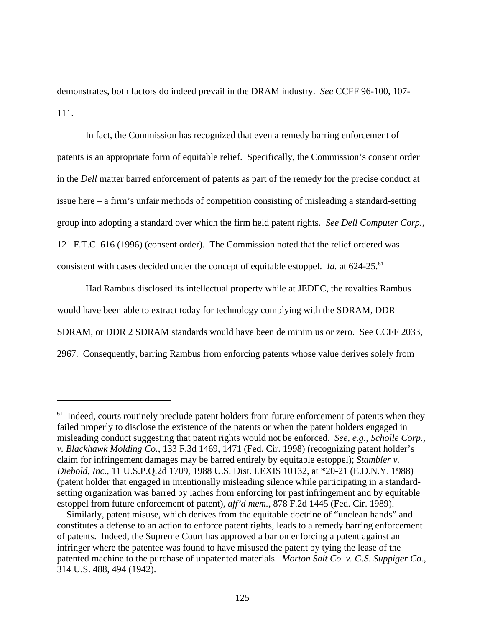demonstrates, both factors do indeed prevail in the DRAM industry. *See* CCFF 96-100, 107- 111.

In fact, the Commission has recognized that even a remedy barring enforcement of patents is an appropriate form of equitable relief. Specifically, the Commission's consent order in the *Dell* matter barred enforcement of patents as part of the remedy for the precise conduct at issue here – a firm's unfair methods of competition consisting of misleading a standard-setting group into adopting a standard over which the firm held patent rights. *See Dell Computer Corp.*, 121 F.T.C. 616 (1996) (consent order). The Commission noted that the relief ordered was consistent with cases decided under the concept of equitable estoppel. *Id.* at 624-25.<sup>61</sup>

Had Rambus disclosed its intellectual property while at JEDEC, the royalties Rambus would have been able to extract today for technology complying with the SDRAM, DDR SDRAM, or DDR 2 SDRAM standards would have been de minim us or zero. See CCFF 2033, 2967. Consequently, barring Rambus from enforcing patents whose value derives solely from

 $<sup>61</sup>$  Indeed, courts routinely preclude patent holders from future enforcement of patents when they</sup> failed properly to disclose the existence of the patents or when the patent holders engaged in misleading conduct suggesting that patent rights would not be enforced. *See, e.g.*, *Scholle Corp., v. Blackhawk Molding Co.*, 133 F.3d 1469, 1471 (Fed. Cir. 1998) (recognizing patent holder's claim for infringement damages may be barred entirely by equitable estoppel); *Stambler v. Diebold, Inc.*, 11 U.S.P.Q.2d 1709, 1988 U.S. Dist. LEXIS 10132, at \*20-21 (E.D.N.Y. 1988) (patent holder that engaged in intentionally misleading silence while participating in a standardsetting organization was barred by laches from enforcing for past infringement and by equitable estoppel from future enforcement of patent), *aff'd mem.*, 878 F.2d 1445 (Fed. Cir. 1989).

Similarly, patent misuse, which derives from the equitable doctrine of "unclean hands" and constitutes a defense to an action to enforce patent rights, leads to a remedy barring enforcement of patents. Indeed, the Supreme Court has approved a bar on enforcing a patent against an infringer where the patentee was found to have misused the patent by tying the lease of the patented machine to the purchase of unpatented materials. *Morton Salt Co. v. G.S. Suppiger Co.*, 314 U.S. 488, 494 (1942).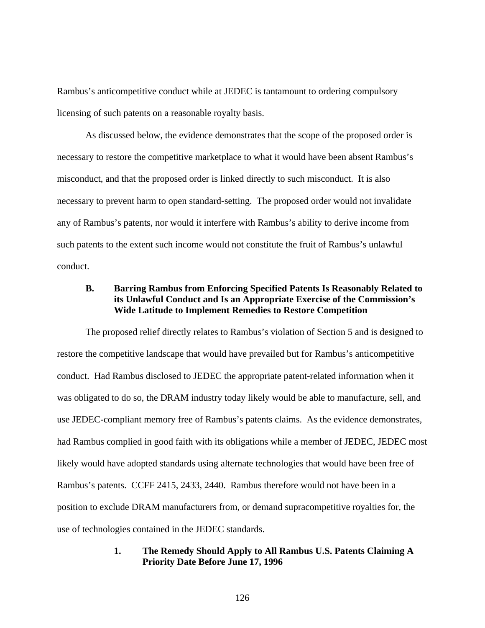Rambus's anticompetitive conduct while at JEDEC is tantamount to ordering compulsory licensing of such patents on a reasonable royalty basis.

As discussed below, the evidence demonstrates that the scope of the proposed order is necessary to restore the competitive marketplace to what it would have been absent Rambus's misconduct, and that the proposed order is linked directly to such misconduct. It is also necessary to prevent harm to open standard-setting. The proposed order would not invalidate any of Rambus's patents, nor would it interfere with Rambus's ability to derive income from such patents to the extent such income would not constitute the fruit of Rambus's unlawful conduct.

## **B. Barring Rambus from Enforcing Specified Patents Is Reasonably Related to its Unlawful Conduct and Is an Appropriate Exercise of the Commission's Wide Latitude to Implement Remedies to Restore Competition**

The proposed relief directly relates to Rambus's violation of Section 5 and is designed to restore the competitive landscape that would have prevailed but for Rambus's anticompetitive conduct. Had Rambus disclosed to JEDEC the appropriate patent-related information when it was obligated to do so, the DRAM industry today likely would be able to manufacture, sell, and use JEDEC-compliant memory free of Rambus's patents claims. As the evidence demonstrates, had Rambus complied in good faith with its obligations while a member of JEDEC, JEDEC most likely would have adopted standards using alternate technologies that would have been free of Rambus's patents. CCFF 2415, 2433, 2440. Rambus therefore would not have been in a position to exclude DRAM manufacturers from, or demand supracompetitive royalties for, the use of technologies contained in the JEDEC standards.

#### **1. The Remedy Should Apply to All Rambus U.S. Patents Claiming A Priority Date Before June 17, 1996**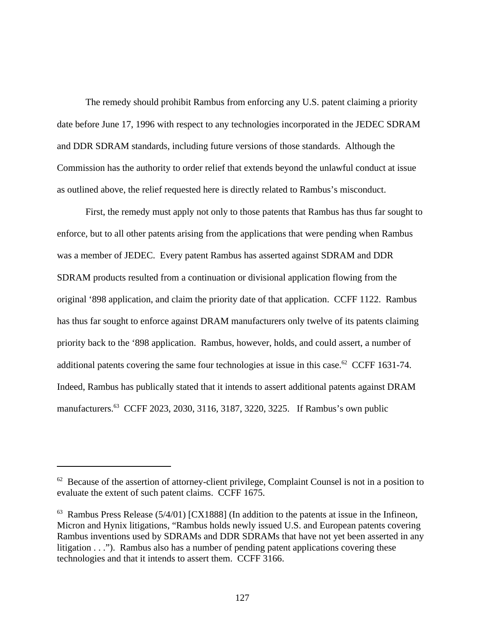The remedy should prohibit Rambus from enforcing any U.S. patent claiming a priority date before June 17, 1996 with respect to any technologies incorporated in the JEDEC SDRAM and DDR SDRAM standards, including future versions of those standards. Although the Commission has the authority to order relief that extends beyond the unlawful conduct at issue as outlined above, the relief requested here is directly related to Rambus's misconduct.

First, the remedy must apply not only to those patents that Rambus has thus far sought to enforce, but to all other patents arising from the applications that were pending when Rambus was a member of JEDEC. Every patent Rambus has asserted against SDRAM and DDR SDRAM products resulted from a continuation or divisional application flowing from the original '898 application, and claim the priority date of that application. CCFF 1122. Rambus has thus far sought to enforce against DRAM manufacturers only twelve of its patents claiming priority back to the '898 application. Rambus, however, holds, and could assert, a number of additional patents covering the same four technologies at issue in this case.<sup>62</sup> CCFF 1631-74. Indeed, Rambus has publically stated that it intends to assert additional patents against DRAM manufacturers.<sup>63</sup> CCFF 2023, 2030, 3116, 3187, 3220, 3225. If Rambus's own public

 $62$  Because of the assertion of attorney-client privilege, Complaint Counsel is not in a position to evaluate the extent of such patent claims. CCFF 1675.

 $63$  Rambus Press Release (5/4/01) [CX1888] (In addition to the patents at issue in the Infineon, Micron and Hynix litigations, "Rambus holds newly issued U.S. and European patents covering Rambus inventions used by SDRAMs and DDR SDRAMs that have not yet been asserted in any litigation . . ."). Rambus also has a number of pending patent applications covering these technologies and that it intends to assert them. CCFF 3166.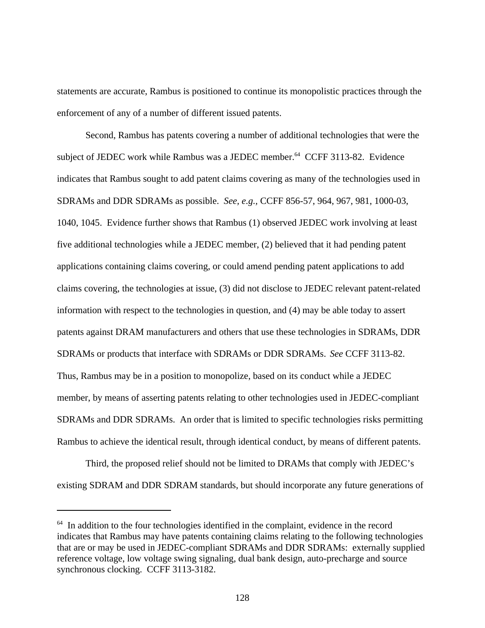statements are accurate, Rambus is positioned to continue its monopolistic practices through the enforcement of any of a number of different issued patents.

Second, Rambus has patents covering a number of additional technologies that were the subject of JEDEC work while Rambus was a JEDEC member.<sup>64</sup> CCFF 3113-82. Evidence indicates that Rambus sought to add patent claims covering as many of the technologies used in SDRAMs and DDR SDRAMs as possible. *See, e.g.,* CCFF 856-57, 964, 967, 981, 1000-03, 1040, 1045. Evidence further shows that Rambus (1) observed JEDEC work involving at least five additional technologies while a JEDEC member, (2) believed that it had pending patent applications containing claims covering, or could amend pending patent applications to add claims covering, the technologies at issue, (3) did not disclose to JEDEC relevant patent-related information with respect to the technologies in question, and (4) may be able today to assert patents against DRAM manufacturers and others that use these technologies in SDRAMs, DDR SDRAMs or products that interface with SDRAMs or DDR SDRAMs. *See* CCFF 3113-82. Thus, Rambus may be in a position to monopolize, based on its conduct while a JEDEC member, by means of asserting patents relating to other technologies used in JEDEC-compliant SDRAMs and DDR SDRAMs. An order that is limited to specific technologies risks permitting Rambus to achieve the identical result, through identical conduct, by means of different patents.

Third, the proposed relief should not be limited to DRAMs that comply with JEDEC's existing SDRAM and DDR SDRAM standards, but should incorporate any future generations of

 $64$  In addition to the four technologies identified in the complaint, evidence in the record indicates that Rambus may have patents containing claims relating to the following technologies that are or may be used in JEDEC-compliant SDRAMs and DDR SDRAMs: externally supplied reference voltage, low voltage swing signaling, dual bank design, auto-precharge and source synchronous clocking. CCFF 3113-3182.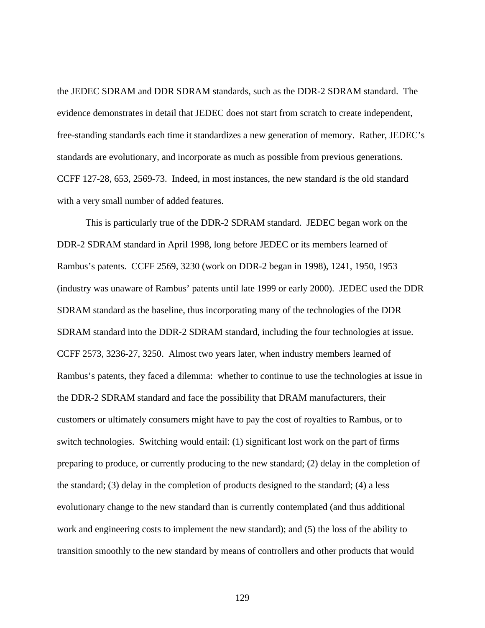the JEDEC SDRAM and DDR SDRAM standards, such as the DDR-2 SDRAM standard. The evidence demonstrates in detail that JEDEC does not start from scratch to create independent, free-standing standards each time it standardizes a new generation of memory. Rather, JEDEC's standards are evolutionary, and incorporate as much as possible from previous generations. CCFF 127-28, 653, 2569-73. Indeed, in most instances, the new standard *is* the old standard with a very small number of added features.

This is particularly true of the DDR-2 SDRAM standard. JEDEC began work on the DDR-2 SDRAM standard in April 1998, long before JEDEC or its members learned of Rambus's patents. CCFF 2569, 3230 (work on DDR-2 began in 1998), 1241, 1950, 1953 (industry was unaware of Rambus' patents until late 1999 or early 2000). JEDEC used the DDR SDRAM standard as the baseline, thus incorporating many of the technologies of the DDR SDRAM standard into the DDR-2 SDRAM standard, including the four technologies at issue. CCFF 2573, 3236-27, 3250. Almost two years later, when industry members learned of Rambus's patents, they faced a dilemma: whether to continue to use the technologies at issue in the DDR-2 SDRAM standard and face the possibility that DRAM manufacturers, their customers or ultimately consumers might have to pay the cost of royalties to Rambus, or to switch technologies. Switching would entail: (1) significant lost work on the part of firms preparing to produce, or currently producing to the new standard; (2) delay in the completion of the standard; (3) delay in the completion of products designed to the standard; (4) a less evolutionary change to the new standard than is currently contemplated (and thus additional work and engineering costs to implement the new standard); and (5) the loss of the ability to transition smoothly to the new standard by means of controllers and other products that would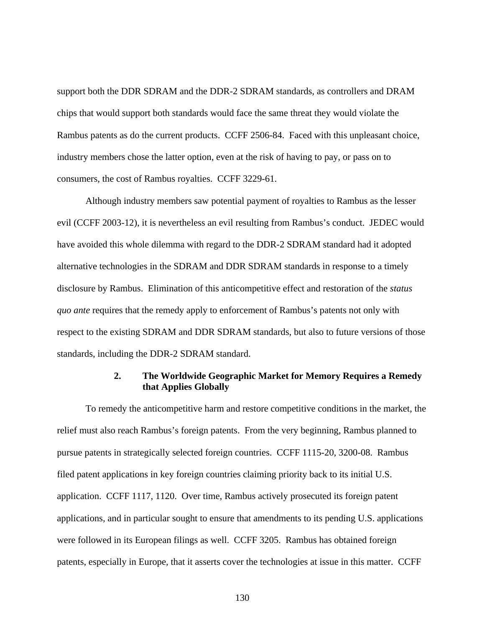support both the DDR SDRAM and the DDR-2 SDRAM standards, as controllers and DRAM chips that would support both standards would face the same threat they would violate the Rambus patents as do the current products. CCFF 2506-84. Faced with this unpleasant choice, industry members chose the latter option, even at the risk of having to pay, or pass on to consumers, the cost of Rambus royalties. CCFF 3229-61.

Although industry members saw potential payment of royalties to Rambus as the lesser evil (CCFF 2003-12), it is nevertheless an evil resulting from Rambus's conduct. JEDEC would have avoided this whole dilemma with regard to the DDR-2 SDRAM standard had it adopted alternative technologies in the SDRAM and DDR SDRAM standards in response to a timely disclosure by Rambus. Elimination of this anticompetitive effect and restoration of the *status quo ante* requires that the remedy apply to enforcement of Rambus's patents not only with respect to the existing SDRAM and DDR SDRAM standards, but also to future versions of those standards, including the DDR-2 SDRAM standard.

### **2. The Worldwide Geographic Market for Memory Requires a Remedy that Applies Globally**

To remedy the anticompetitive harm and restore competitive conditions in the market, the relief must also reach Rambus's foreign patents. From the very beginning, Rambus planned to pursue patents in strategically selected foreign countries. CCFF 1115-20, 3200-08. Rambus filed patent applications in key foreign countries claiming priority back to its initial U.S. application. CCFF 1117, 1120. Over time, Rambus actively prosecuted its foreign patent applications, and in particular sought to ensure that amendments to its pending U.S. applications were followed in its European filings as well. CCFF 3205. Rambus has obtained foreign patents, especially in Europe, that it asserts cover the technologies at issue in this matter. CCFF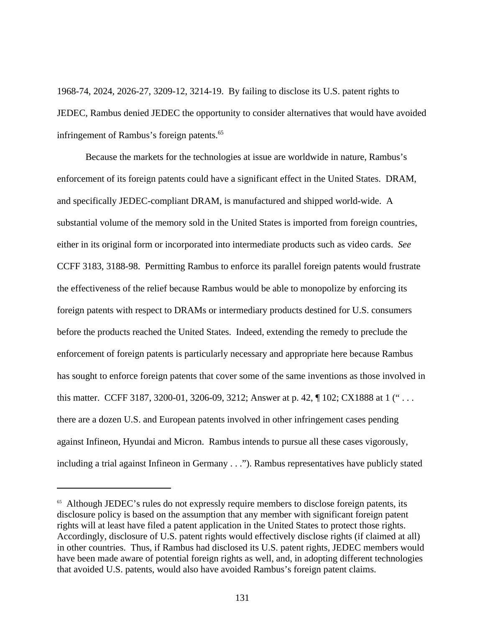1968-74, 2024, 2026-27, 3209-12, 3214-19. By failing to disclose its U.S. patent rights to JEDEC, Rambus denied JEDEC the opportunity to consider alternatives that would have avoided infringement of Rambus's foreign patents.<sup>65</sup>

Because the markets for the technologies at issue are worldwide in nature, Rambus's enforcement of its foreign patents could have a significant effect in the United States. DRAM, and specifically JEDEC-compliant DRAM, is manufactured and shipped world-wide. A substantial volume of the memory sold in the United States is imported from foreign countries, either in its original form or incorporated into intermediate products such as video cards. *See* CCFF 3183, 3188-98. Permitting Rambus to enforce its parallel foreign patents would frustrate the effectiveness of the relief because Rambus would be able to monopolize by enforcing its foreign patents with respect to DRAMs or intermediary products destined for U.S. consumers before the products reached the United States. Indeed, extending the remedy to preclude the enforcement of foreign patents is particularly necessary and appropriate here because Rambus has sought to enforce foreign patents that cover some of the same inventions as those involved in this matter. CCFF 3187, 3200-01, 3206-09, 3212; Answer at p. 42, ¶ 102; CX1888 at 1 (" . . . there are a dozen U.S. and European patents involved in other infringement cases pending against Infineon, Hyundai and Micron. Rambus intends to pursue all these cases vigorously, including a trial against Infineon in Germany . . ."). Rambus representatives have publicly stated

<sup>&</sup>lt;sup>65</sup> Although JEDEC's rules do not expressly require members to disclose foreign patents, its disclosure policy is based on the assumption that any member with significant foreign patent rights will at least have filed a patent application in the United States to protect those rights. Accordingly, disclosure of U.S. patent rights would effectively disclose rights (if claimed at all) in other countries. Thus, if Rambus had disclosed its U.S. patent rights, JEDEC members would have been made aware of potential foreign rights as well, and, in adopting different technologies that avoided U.S. patents, would also have avoided Rambus's foreign patent claims.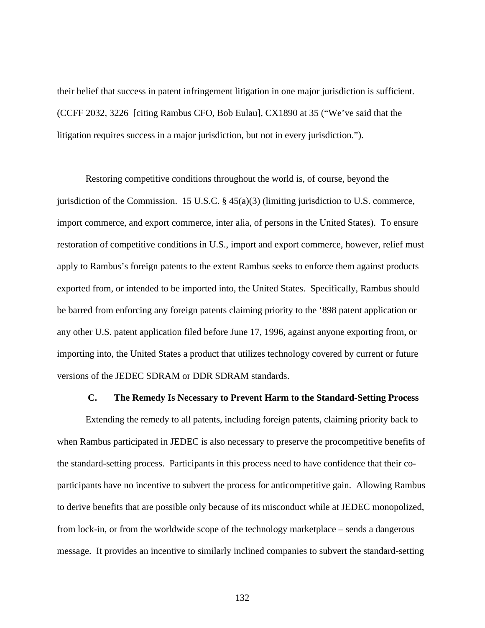their belief that success in patent infringement litigation in one major jurisdiction is sufficient. (CCFF 2032, 3226 [citing Rambus CFO, Bob Eulau], CX1890 at 35 ("We've said that the litigation requires success in a major jurisdiction, but not in every jurisdiction.").

Restoring competitive conditions throughout the world is, of course, beyond the jurisdiction of the Commission. 15 U.S.C. § 45(a)(3) (limiting jurisdiction to U.S. commerce, import commerce, and export commerce, inter alia, of persons in the United States). To ensure restoration of competitive conditions in U.S., import and export commerce, however, relief must apply to Rambus's foreign patents to the extent Rambus seeks to enforce them against products exported from, or intended to be imported into, the United States. Specifically, Rambus should be barred from enforcing any foreign patents claiming priority to the '898 patent application or any other U.S. patent application filed before June 17, 1996, against anyone exporting from, or importing into, the United States a product that utilizes technology covered by current or future versions of the JEDEC SDRAM or DDR SDRAM standards.

#### **C. The Remedy Is Necessary to Prevent Harm to the Standard-Setting Process**

Extending the remedy to all patents, including foreign patents, claiming priority back to when Rambus participated in JEDEC is also necessary to preserve the procompetitive benefits of the standard-setting process. Participants in this process need to have confidence that their coparticipants have no incentive to subvert the process for anticompetitive gain. Allowing Rambus to derive benefits that are possible only because of its misconduct while at JEDEC monopolized, from lock-in, or from the worldwide scope of the technology marketplace – sends a dangerous message. It provides an incentive to similarly inclined companies to subvert the standard-setting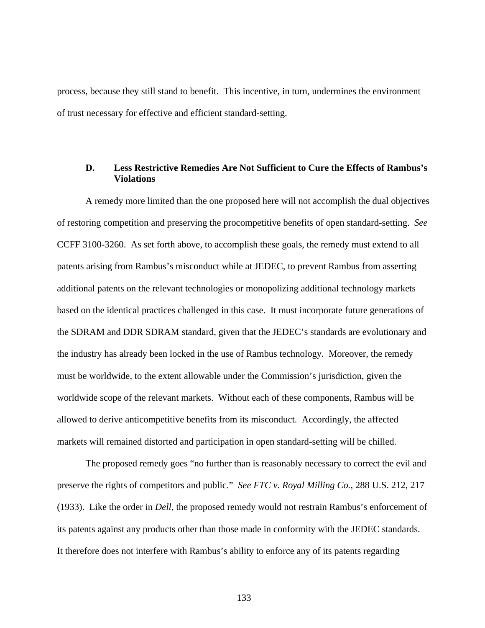process, because they still stand to benefit. This incentive, in turn, undermines the environment of trust necessary for effective and efficient standard-setting.

#### **D. Less Restrictive Remedies Are Not Sufficient to Cure the Effects of Rambus's Violations**

A remedy more limited than the one proposed here will not accomplish the dual objectives of restoring competition and preserving the procompetitive benefits of open standard-setting. *See* CCFF 3100-3260. As set forth above, to accomplish these goals, the remedy must extend to all patents arising from Rambus's misconduct while at JEDEC, to prevent Rambus from asserting additional patents on the relevant technologies or monopolizing additional technology markets based on the identical practices challenged in this case. It must incorporate future generations of the SDRAM and DDR SDRAM standard, given that the JEDEC's standards are evolutionary and the industry has already been locked in the use of Rambus technology. Moreover, the remedy must be worldwide, to the extent allowable under the Commission's jurisdiction, given the worldwide scope of the relevant markets. Without each of these components, Rambus will be allowed to derive anticompetitive benefits from its misconduct. Accordingly, the affected markets will remained distorted and participation in open standard-setting will be chilled.

The proposed remedy goes "no further than is reasonably necessary to correct the evil and preserve the rights of competitors and public." *See FTC v. Royal Milling Co.*, 288 U.S. 212, 217 (1933). Like the order in *Dell*, the proposed remedy would not restrain Rambus's enforcement of its patents against any products other than those made in conformity with the JEDEC standards. It therefore does not interfere with Rambus's ability to enforce any of its patents regarding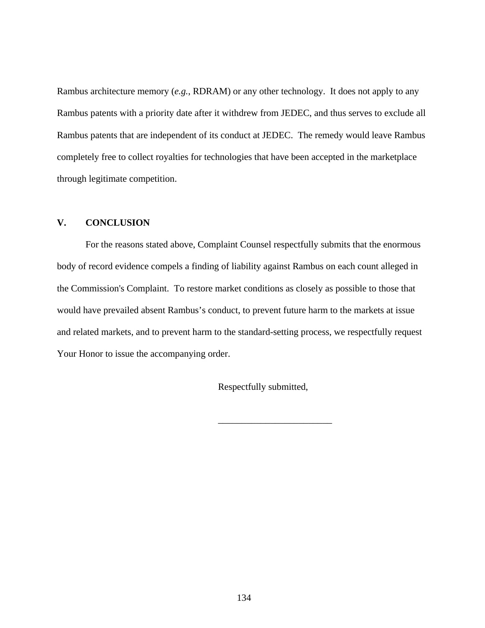Rambus architecture memory (*e.g.*, RDRAM) or any other technology. It does not apply to any Rambus patents with a priority date after it withdrew from JEDEC, and thus serves to exclude all Rambus patents that are independent of its conduct at JEDEC. The remedy would leave Rambus completely free to collect royalties for technologies that have been accepted in the marketplace through legitimate competition.

# **V. CONCLUSION**

For the reasons stated above, Complaint Counsel respectfully submits that the enormous body of record evidence compels a finding of liability against Rambus on each count alleged in the Commission's Complaint. To restore market conditions as closely as possible to those that would have prevailed absent Rambus's conduct, to prevent future harm to the markets at issue and related markets, and to prevent harm to the standard-setting process, we respectfully request Your Honor to issue the accompanying order.

Respectfully submitted,

\_\_\_\_\_\_\_\_\_\_\_\_\_\_\_\_\_\_\_\_\_\_\_\_